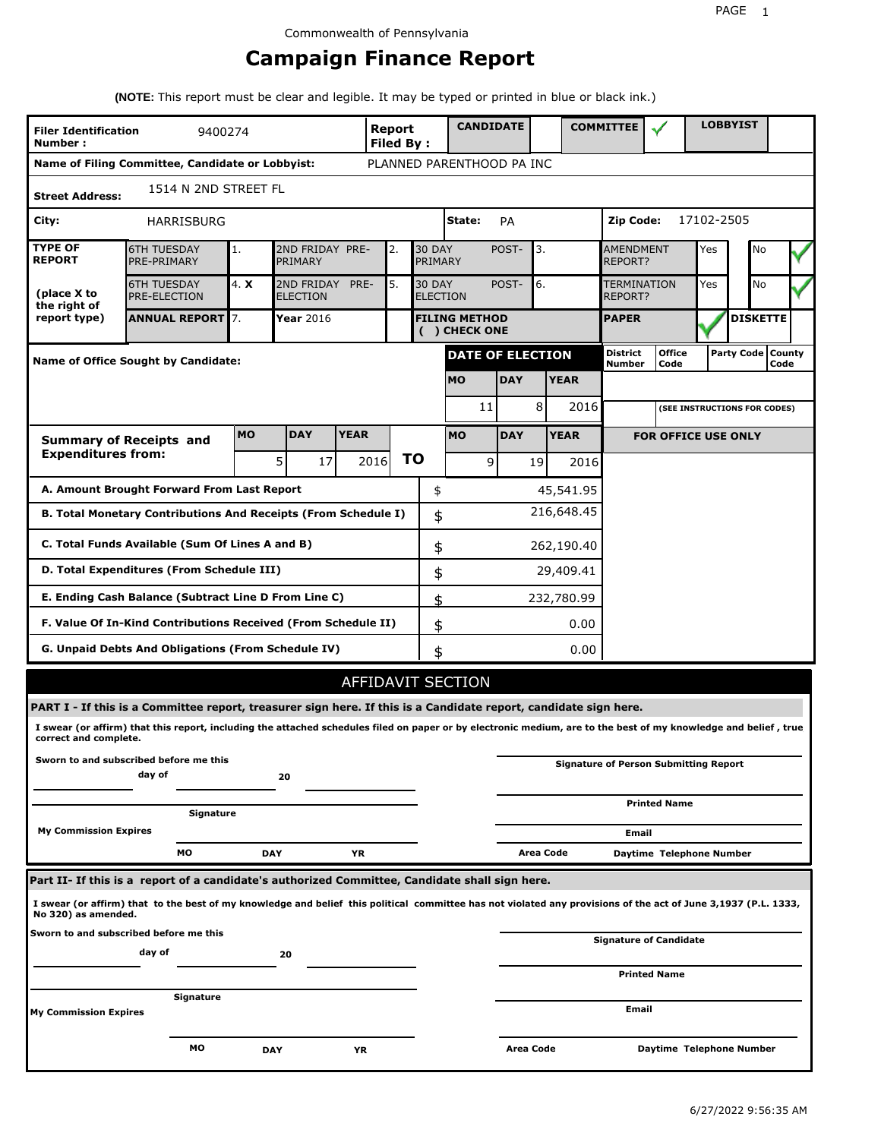# **Campaign Finance Report**

**(NOTE:** This report must be clear and legible. It may be typed or printed in blue or black ink.)

| <b>Filer Identification</b><br>Number: | 9400274                                                                                                                                                         |            |                               |             | Report<br><b>Filed By:</b> |    |                                  | <b>CANDIDATE</b>                      |            |           |             | <b>COMMITTEE</b>                     |                                              |            | <b>LOBBYIST</b>     |      |  |
|----------------------------------------|-----------------------------------------------------------------------------------------------------------------------------------------------------------------|------------|-------------------------------|-------------|----------------------------|----|----------------------------------|---------------------------------------|------------|-----------|-------------|--------------------------------------|----------------------------------------------|------------|---------------------|------|--|
|                                        | Name of Filing Committee, Candidate or Lobbyist:                                                                                                                |            |                               |             |                            |    |                                  | PLANNED PARENTHOOD PA INC             |            |           |             |                                      |                                              |            |                     |      |  |
| <b>Street Address:</b>                 | 1514 N 2ND STREET FL                                                                                                                                            |            |                               |             |                            |    |                                  |                                       |            |           |             |                                      |                                              |            |                     |      |  |
| City:                                  | <b>HARRISBURG</b>                                                                                                                                               |            |                               |             |                            |    |                                  | State:                                | PA         |           |             | Zip Code:                            |                                              | 17102-2505 |                     |      |  |
| <b>TYPE OF</b><br><b>REPORT</b>        | <b>6TH TUESDAY</b><br>PRE-PRIMARY                                                                                                                               | 1.         | 2ND FRIDAY PRE-<br>PRIMARY    |             | 2.                         |    | <b>30 DAY</b><br>PRIMARY         |                                       | POST-      | 3.        |             | <b>AMENDMENT</b><br><b>REPORT?</b>   |                                              | Yes        | No                  |      |  |
| (place X to<br>the right of            | <b>6TH TUESDAY</b><br>PRE-ELECTION                                                                                                                              | 4. X       | 2ND FRIDAY<br><b>ELECTION</b> | PRE-        | 5.                         |    | <b>30 DAY</b><br><b>ELECTION</b> |                                       | POST-      | 6.        |             | <b>TERMINATION</b><br><b>REPORT?</b> |                                              | Yes        | No                  |      |  |
| report type)                           | <b>ANNUAL REPORT</b> 7.                                                                                                                                         |            | Year 2016                     |             |                            |    |                                  | <b>FILING METHOD</b><br>( ) CHECK ONE |            |           |             | <b>PAPER</b>                         |                                              |            | <b>DISKETTE</b>     |      |  |
|                                        | Name of Office Sought by Candidate:                                                                                                                             |            |                               |             |                            |    |                                  | DATE OF ELECTION                      |            |           |             | District<br>Number                   | <b>Office</b><br>Code                        |            | Party Code   County | Code |  |
|                                        |                                                                                                                                                                 |            |                               |             |                            |    |                                  | <b>MO</b>                             | <b>DAY</b> |           | <b>YEAR</b> |                                      |                                              |            |                     |      |  |
|                                        |                                                                                                                                                                 |            |                               |             |                            |    |                                  | 11                                    |            | 8         | 2016        |                                      | (SEE INSTRUCTIONS FOR CODES)                 |            |                     |      |  |
|                                        | <b>Summary of Receipts and</b>                                                                                                                                  | <b>MO</b>  | <b>DAY</b>                    | <b>YEAR</b> |                            |    |                                  | <b>MO</b>                             | <b>DAY</b> |           | <b>YEAR</b> |                                      | <b>FOR OFFICE USE ONLY</b>                   |            |                     |      |  |
| <b>Expenditures from:</b>              |                                                                                                                                                                 |            | 5 <sup>1</sup><br>17          |             | 2016                       | ΤO |                                  | 9                                     |            | 19        | 2016        |                                      |                                              |            |                     |      |  |
|                                        | A. Amount Brought Forward From Last Report                                                                                                                      |            |                               |             |                            |    | \$                               |                                       |            |           | 45,541.95   |                                      |                                              |            |                     |      |  |
|                                        | B. Total Monetary Contributions And Receipts (From Schedule I)                                                                                                  |            |                               |             |                            |    | \$                               |                                       |            |           | 216,648.45  |                                      |                                              |            |                     |      |  |
|                                        | C. Total Funds Available (Sum Of Lines A and B)                                                                                                                 |            |                               |             |                            |    | \$                               |                                       |            |           | 262,190.40  |                                      |                                              |            |                     |      |  |
|                                        | D. Total Expenditures (From Schedule III)                                                                                                                       |            |                               |             |                            |    | \$                               |                                       |            |           | 29,409.41   |                                      |                                              |            |                     |      |  |
|                                        | E. Ending Cash Balance (Subtract Line D From Line C)                                                                                                            |            |                               |             |                            |    | \$                               |                                       |            |           | 232,780.99  |                                      |                                              |            |                     |      |  |
|                                        | F. Value Of In-Kind Contributions Received (From Schedule II)                                                                                                   |            |                               |             |                            |    | \$                               |                                       |            |           | 0.00        |                                      |                                              |            |                     |      |  |
|                                        | G. Unpaid Debts And Obligations (From Schedule IV)                                                                                                              |            |                               |             |                            |    | \$                               |                                       |            |           | 0.00        |                                      |                                              |            |                     |      |  |
|                                        |                                                                                                                                                                 |            |                               |             |                            |    |                                  | <b>AFFIDAVIT SECTION</b>              |            |           |             |                                      |                                              |            |                     |      |  |
|                                        | PART I - If this is a Committee report, treasurer sign here. If this is a Candidate report, candidate sign here.                                                |            |                               |             |                            |    |                                  |                                       |            |           |             |                                      |                                              |            |                     |      |  |
| correct and complete.                  | I swear (or affirm) that this report, including the attached schedules filed on paper or by electronic medium, are to the best of my knowledge and belief, true |            |                               |             |                            |    |                                  |                                       |            |           |             |                                      |                                              |            |                     |      |  |
|                                        | Sworn to and subscribed before me this<br>day of                                                                                                                |            | 20                            |             |                            |    |                                  |                                       |            |           |             |                                      | <b>Signature of Person Submitting Report</b> |            |                     |      |  |
|                                        | Signature                                                                                                                                                       |            |                               |             |                            |    |                                  |                                       |            |           |             |                                      | <b>Printed Name</b>                          |            |                     |      |  |
| <b>My Commission Expires</b>           |                                                                                                                                                                 |            |                               |             |                            |    |                                  |                                       |            |           |             | Email                                |                                              |            |                     |      |  |
|                                        | МO                                                                                                                                                              | <b>DAY</b> |                               | ΥR          |                            |    |                                  |                                       |            | Area Code |             |                                      | Daytime Telephone Number                     |            |                     |      |  |
|                                        | Part II- If this is a report of a candidate's authorized Committee, Candidate shall sign here.                                                                  |            |                               |             |                            |    |                                  |                                       |            |           |             |                                      |                                              |            |                     |      |  |
| No 320) as amended.                    | I swear (or affirm) that to the best of my knowledge and belief this political committee has not violated any provisions of the act of June 3,1937 (P.L. 1333,  |            |                               |             |                            |    |                                  |                                       |            |           |             |                                      |                                              |            |                     |      |  |
|                                        | Sworn to and subscribed before me this<br>day of                                                                                                                |            |                               |             |                            |    |                                  |                                       |            |           |             |                                      | Signature of Candidate                       |            |                     |      |  |
|                                        |                                                                                                                                                                 |            | 20                            |             |                            |    |                                  |                                       |            |           |             |                                      | <b>Printed Name</b>                          |            |                     |      |  |
| <b>My Commission Expires</b>           | Signature                                                                                                                                                       |            |                               |             |                            |    |                                  |                                       |            |           |             | Email                                |                                              |            |                     |      |  |
|                                        |                                                                                                                                                                 |            |                               |             |                            |    |                                  |                                       |            |           |             |                                      |                                              |            |                     |      |  |
|                                        | мо                                                                                                                                                              | <b>DAY</b> |                               | ΥR          |                            |    |                                  |                                       | Area Code  |           |             |                                      | Daytime Telephone Number                     |            |                     |      |  |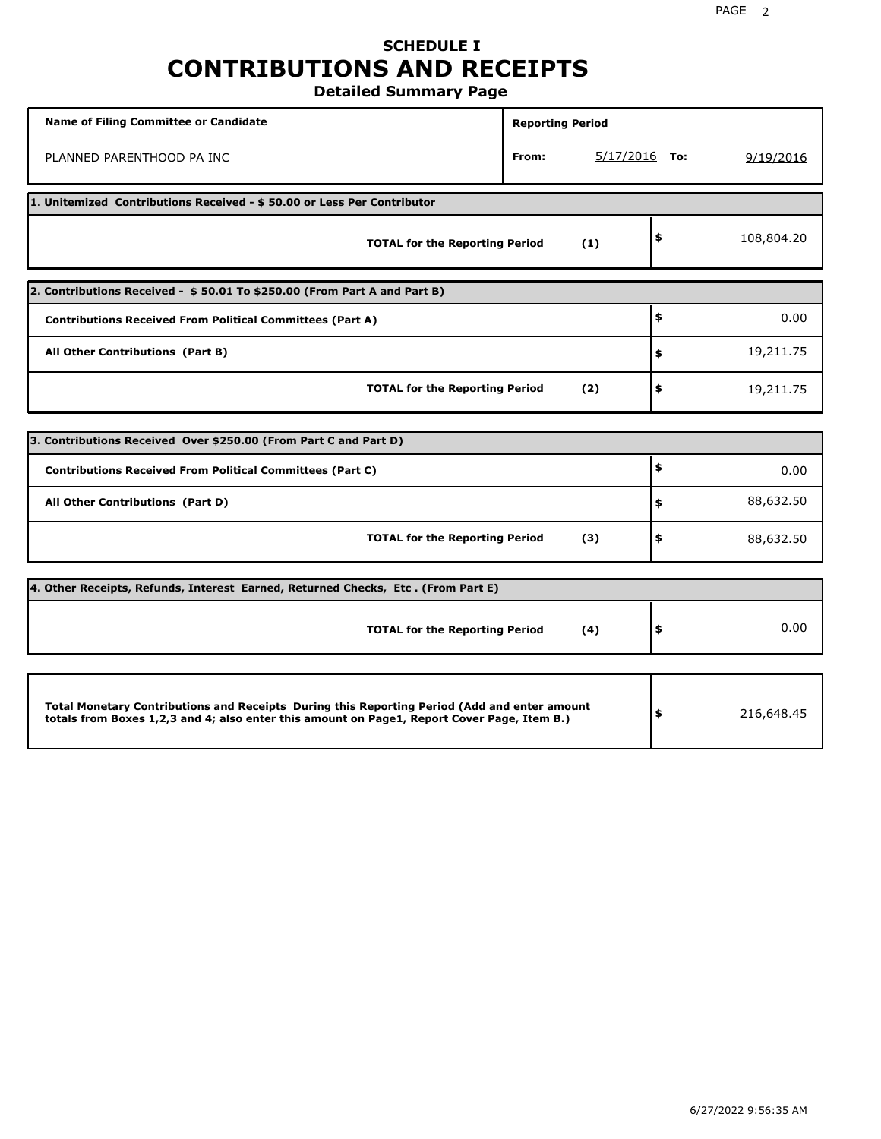# **SCHEDULE I CONTRIBUTIONS AND RECEIPTS**

**Detailed Summary Page**

| Name of Filing Committee or Candidate                                                                                                                                                       | <b>Reporting Period</b> |                 |                  |
|---------------------------------------------------------------------------------------------------------------------------------------------------------------------------------------------|-------------------------|-----------------|------------------|
| PLANNED PARENTHOOD PA INC                                                                                                                                                                   | From:                   | $5/17/2016$ To: | 9/19/2016        |
| 1. Unitemized Contributions Received - \$50.00 or Less Per Contributor                                                                                                                      |                         |                 |                  |
| <b>TOTAL for the Reporting Period</b>                                                                                                                                                       | (1)                     |                 | \$<br>108,804.20 |
| 2. Contributions Received - \$50.01 To \$250.00 (From Part A and Part B)                                                                                                                    |                         |                 |                  |
| <b>Contributions Received From Political Committees (Part A)</b>                                                                                                                            |                         |                 | \$<br>0.00       |
| All Other Contributions (Part B)                                                                                                                                                            |                         |                 | \$<br>19,211.75  |
| <b>TOTAL for the Reporting Period</b>                                                                                                                                                       | (2)                     |                 | \$<br>19,211.75  |
| 3. Contributions Received Over \$250.00 (From Part C and Part D)                                                                                                                            |                         |                 |                  |
| <b>Contributions Received From Political Committees (Part C)</b>                                                                                                                            |                         |                 | \$<br>0.00       |
| All Other Contributions (Part D)                                                                                                                                                            |                         |                 | \$<br>88,632.50  |
| <b>TOTAL for the Reporting Period</b>                                                                                                                                                       | (3)                     |                 | \$<br>88,632.50  |
| 4. Other Receipts, Refunds, Interest Earned, Returned Checks, Etc. (From Part E)                                                                                                            |                         |                 |                  |
| <b>TOTAL for the Reporting Period</b>                                                                                                                                                       | (4)                     |                 | \$<br>0.00       |
|                                                                                                                                                                                             |                         |                 |                  |
| Total Monetary Contributions and Receipts During this Reporting Period (Add and enter amount<br>totals from Boxes 1,2,3 and 4; also enter this amount on Page1, Report Cover Page, Item B.) |                         |                 | \$<br>216,648.45 |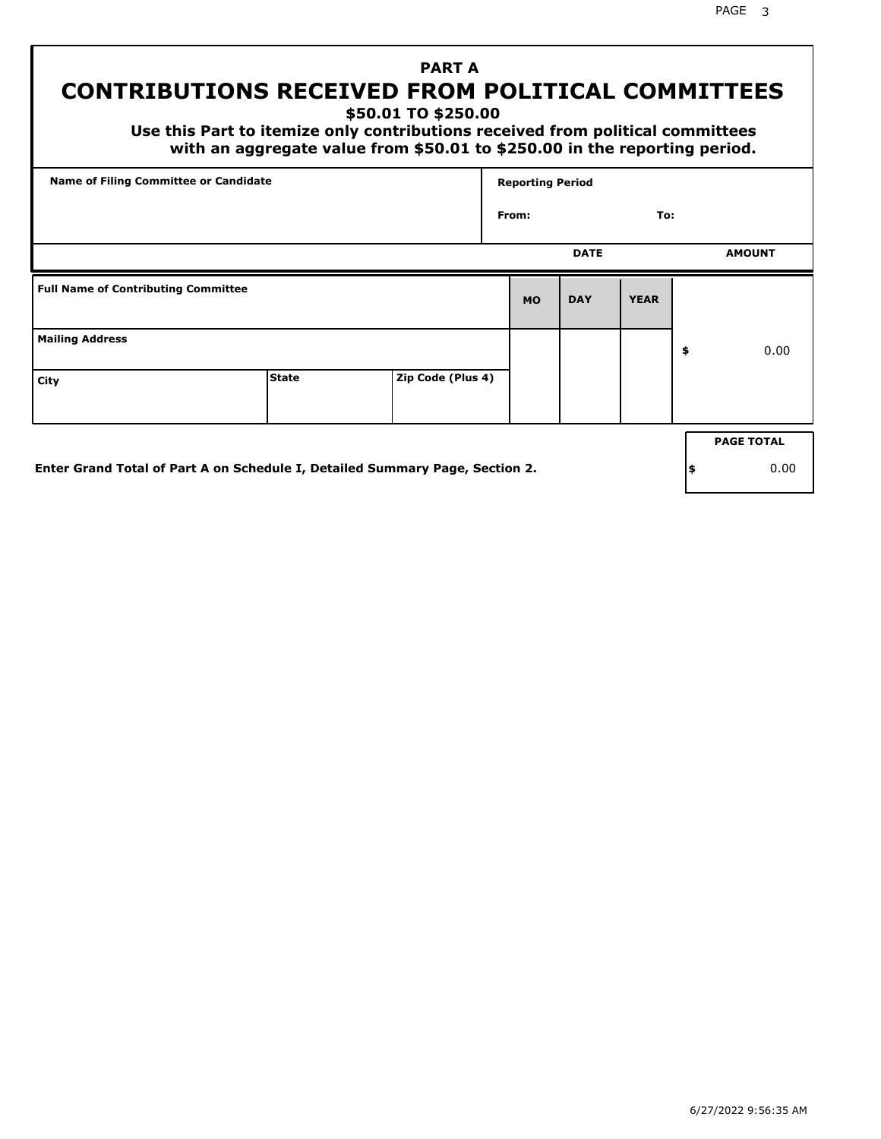## **PART A CONTRIBUTIONS RECEIVED FROM POLITICAL COMMITTEES**

**\$50.01 TO \$250.00**

 **Use this Part to itemize only contributions received from political committees with an aggregate value from \$50.01 to \$250.00 in the reporting period.**

| Name of Filing Committee or Candidate      |              |                   | <b>Reporting Period</b> |             |             |                   |
|--------------------------------------------|--------------|-------------------|-------------------------|-------------|-------------|-------------------|
|                                            |              |                   | From:                   |             | To:         |                   |
|                                            |              |                   |                         | <b>DATE</b> |             | <b>AMOUNT</b>     |
| <b>Full Name of Contributing Committee</b> |              |                   | <b>MO</b>               | <b>DAY</b>  | <b>YEAR</b> |                   |
| <b>Mailing Address</b>                     |              |                   |                         |             |             | \$<br>0.00        |
| City                                       | <b>State</b> | Zip Code (Plus 4) |                         |             |             |                   |
|                                            |              |                   |                         |             |             | <b>PAGE TOTAL</b> |

**Enter Grand Total of Part A on Schedule I, Detailed Summary Page, Section 2.**

**\$** 0.00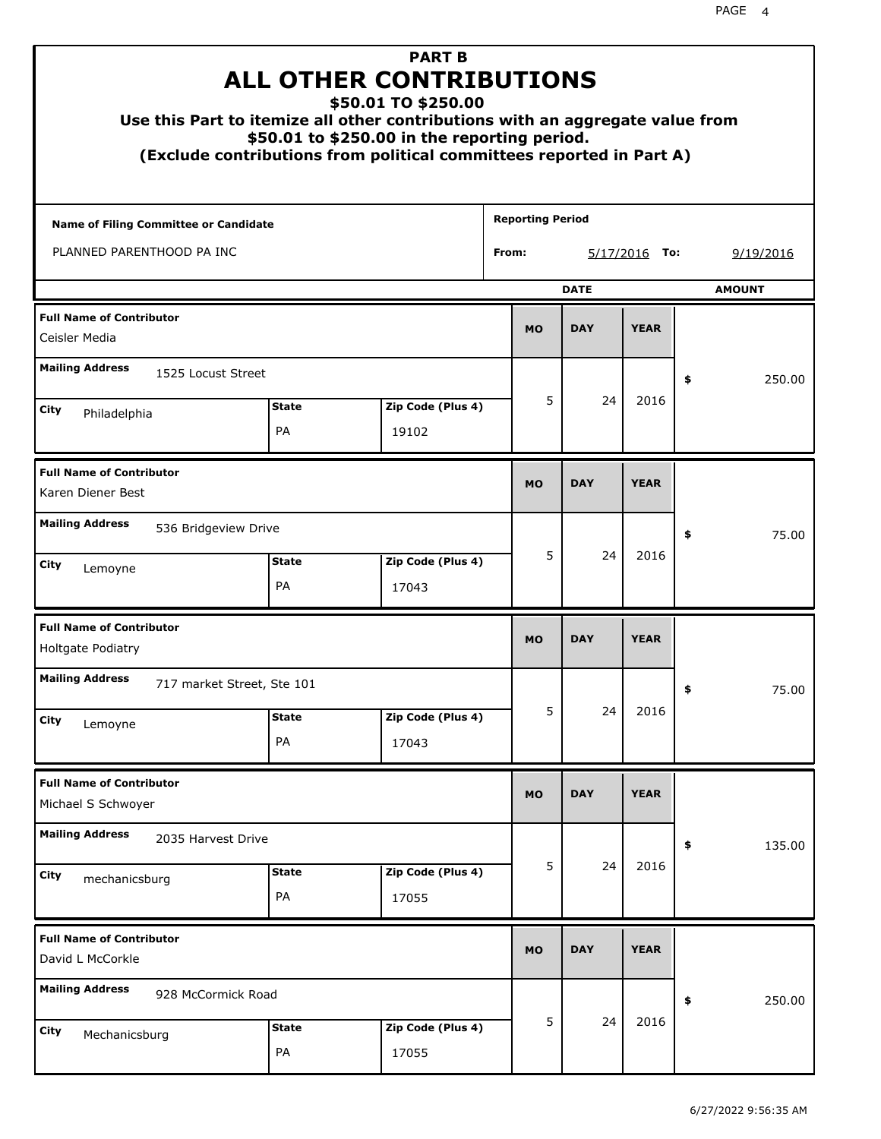| Use this Part to itemize all other contributions with an aggregate value from<br>(Exclude contributions from political committees reported in Part A) |                    | <b>PART B</b><br><b>ALL OTHER CONTRIBUTIONS</b><br>\$50.01 TO \$250.00<br>\$50.01 to \$250.00 in the reporting period. |                         |             |                 |               |
|-------------------------------------------------------------------------------------------------------------------------------------------------------|--------------------|------------------------------------------------------------------------------------------------------------------------|-------------------------|-------------|-----------------|---------------|
| Name of Filing Committee or Candidate                                                                                                                 |                    |                                                                                                                        | <b>Reporting Period</b> |             |                 |               |
| PLANNED PARENTHOOD PA INC                                                                                                                             |                    |                                                                                                                        | From:                   |             | $5/17/2016$ To: | 9/19/2016     |
|                                                                                                                                                       |                    |                                                                                                                        |                         | <b>DATE</b> |                 | <b>AMOUNT</b> |
| <b>Full Name of Contributor</b><br>Ceisler Media                                                                                                      |                    |                                                                                                                        | <b>MO</b>               | <b>DAY</b>  | <b>YEAR</b>     |               |
| <b>Mailing Address</b><br>1525 Locust Street                                                                                                          |                    |                                                                                                                        |                         |             |                 | \$<br>250.00  |
| City                                                                                                                                                  | <b>State</b>       | Zip Code (Plus 4)                                                                                                      | 5                       | 24          | 2016            |               |
| Philadelphia                                                                                                                                          | PA                 | 19102                                                                                                                  |                         |             |                 |               |
| <b>Full Name of Contributor</b><br>Karen Diener Best                                                                                                  |                    |                                                                                                                        | <b>MO</b>               | <b>DAY</b>  | <b>YEAR</b>     |               |
| <b>Mailing Address</b><br>536 Bridgeview Drive                                                                                                        |                    |                                                                                                                        |                         |             |                 | 75.00<br>\$   |
| City<br>Lemoyne                                                                                                                                       | <b>State</b><br>PA | Zip Code (Plus 4)<br>17043                                                                                             | 5                       | 24          | 2016            |               |
| <b>Full Name of Contributor</b><br>Holtgate Podiatry                                                                                                  |                    |                                                                                                                        | <b>MO</b>               | <b>DAY</b>  | <b>YEAR</b>     |               |
| <b>Mailing Address</b><br>717 market Street, Ste 101                                                                                                  |                    |                                                                                                                        |                         |             |                 | 75.00<br>÷,   |
| City<br>Lemoyne                                                                                                                                       | <b>State</b>       | Zip Code (Plus 4)                                                                                                      | 5                       | 24          | 2016            |               |
|                                                                                                                                                       | PA                 | 17043                                                                                                                  |                         |             |                 |               |
| <b>Full Name of Contributor</b><br>Michael S Schwoyer                                                                                                 |                    |                                                                                                                        | <b>MO</b>               | <b>DAY</b>  | <b>YEAR</b>     |               |
| <b>Mailing Address</b><br>2035 Harvest Drive                                                                                                          |                    |                                                                                                                        |                         |             |                 | \$<br>135.00  |
| City<br>mechanicsburg                                                                                                                                 | <b>State</b><br>PA | Zip Code (Plus 4)<br>17055                                                                                             | 5                       | 24          | 2016            |               |
| <b>Full Name of Contributor</b><br>David L McCorkle                                                                                                   |                    |                                                                                                                        | <b>MO</b>               | <b>DAY</b>  | <b>YEAR</b>     |               |
| <b>Mailing Address</b><br>928 McCormick Road                                                                                                          |                    |                                                                                                                        |                         |             |                 | 250.00<br>\$  |
| <b>City</b><br>Mechanicsburg                                                                                                                          | <b>State</b><br>PA | Zip Code (Plus 4)<br>17055                                                                                             | 5                       | 24          | 2016            |               |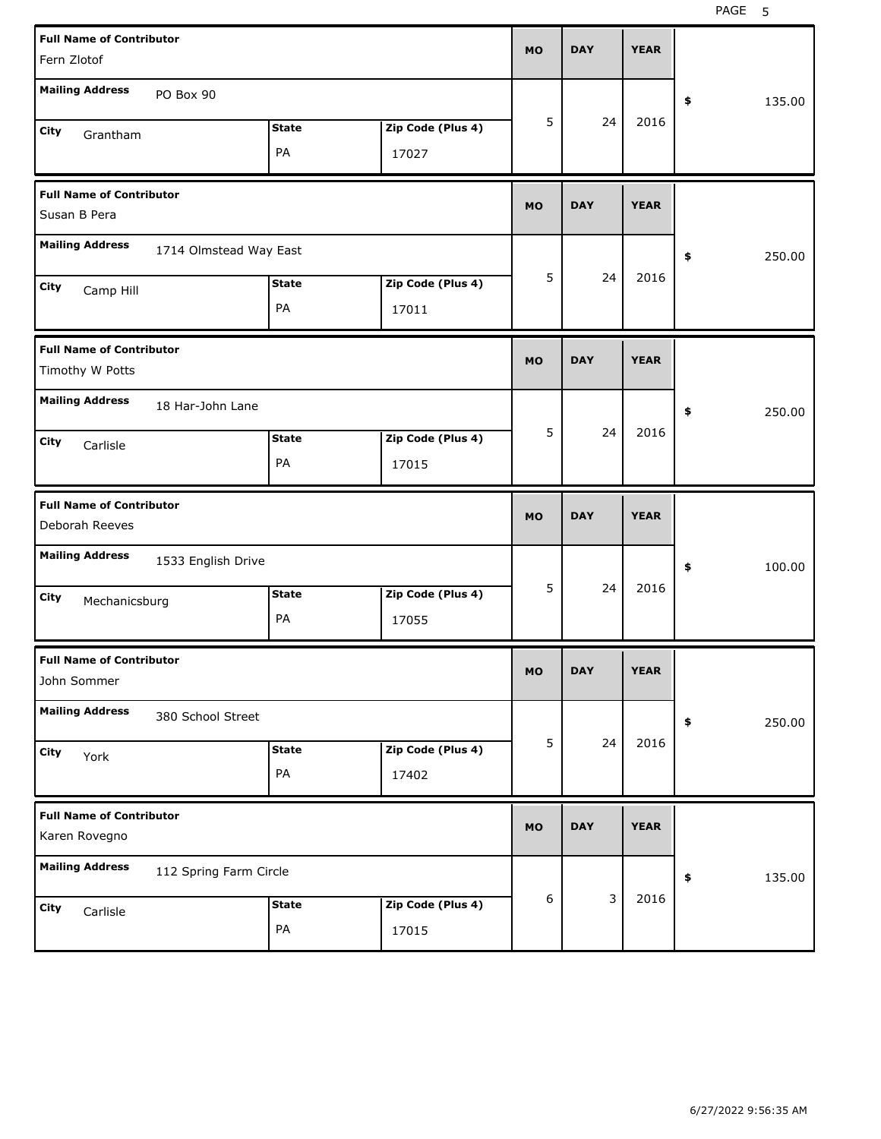| <b>Full Name of Contributor</b><br>Fern Zlotof     |                        |              |                   | <b>MO</b> | <b>DAY</b> | <b>YEAR</b> |              |  |
|----------------------------------------------------|------------------------|--------------|-------------------|-----------|------------|-------------|--------------|--|
| <b>Mailing Address</b>                             | PO Box 90              |              |                   |           |            |             | \$<br>135.00 |  |
| City<br>Grantham                                   |                        | <b>State</b> | Zip Code (Plus 4) | 5         | 24         | 2016        |              |  |
|                                                    |                        | PA           | 17027             |           |            |             |              |  |
| <b>Full Name of Contributor</b><br>Susan B Pera    |                        |              |                   | <b>MO</b> | <b>DAY</b> | <b>YEAR</b> |              |  |
| <b>Mailing Address</b>                             | 1714 Olmstead Way East |              |                   |           |            |             | \$<br>250.00 |  |
| City<br>Camp Hill                                  |                        | <b>State</b> | Zip Code (Plus 4) | 5         | 24         | 2016        |              |  |
|                                                    |                        | PA           | 17011             |           |            |             |              |  |
| <b>Full Name of Contributor</b><br>Timothy W Potts |                        |              |                   | <b>MO</b> | <b>DAY</b> | <b>YEAR</b> |              |  |
| <b>Mailing Address</b>                             | 18 Har-John Lane       |              |                   |           |            |             | \$<br>250.00 |  |
| City<br>Carlisle                                   |                        | <b>State</b> | Zip Code (Plus 4) | 5         | 24         | 2016        |              |  |
|                                                    |                        | PA           | 17015             |           |            |             |              |  |
|                                                    |                        |              |                   |           |            |             |              |  |
| <b>Full Name of Contributor</b><br>Deborah Reeves  |                        |              |                   | <b>MO</b> | <b>DAY</b> | <b>YEAR</b> |              |  |
| <b>Mailing Address</b>                             | 1533 English Drive     |              |                   |           |            |             | \$<br>100.00 |  |
| City<br>Mechanicsburg                              |                        | <b>State</b> | Zip Code (Plus 4) | 5         | 24         | 2016        |              |  |
|                                                    |                        | PA           | 17055             |           |            |             |              |  |
| <b>Full Name of Contributor</b><br>John Sommer     |                        |              |                   | МO        | DАI        | <b>YEAR</b> |              |  |
| <b>Mailing Address</b>                             | 380 School Street      |              |                   |           |            |             | 250.00<br>\$ |  |
| City<br>York                                       |                        | <b>State</b> | Zip Code (Plus 4) | 5         | 24         | 2016        |              |  |
|                                                    |                        | PA           | 17402             |           |            |             |              |  |
| <b>Full Name of Contributor</b><br>Karen Rovegno   |                        |              |                   | <b>MO</b> | <b>DAY</b> | <b>YEAR</b> |              |  |
| <b>Mailing Address</b>                             | 112 Spring Farm Circle |              |                   |           |            |             | 135.00<br>\$ |  |
| City<br>Carlisle                                   |                        | <b>State</b> | Zip Code (Plus 4) | 6         | 3          | 2016        |              |  |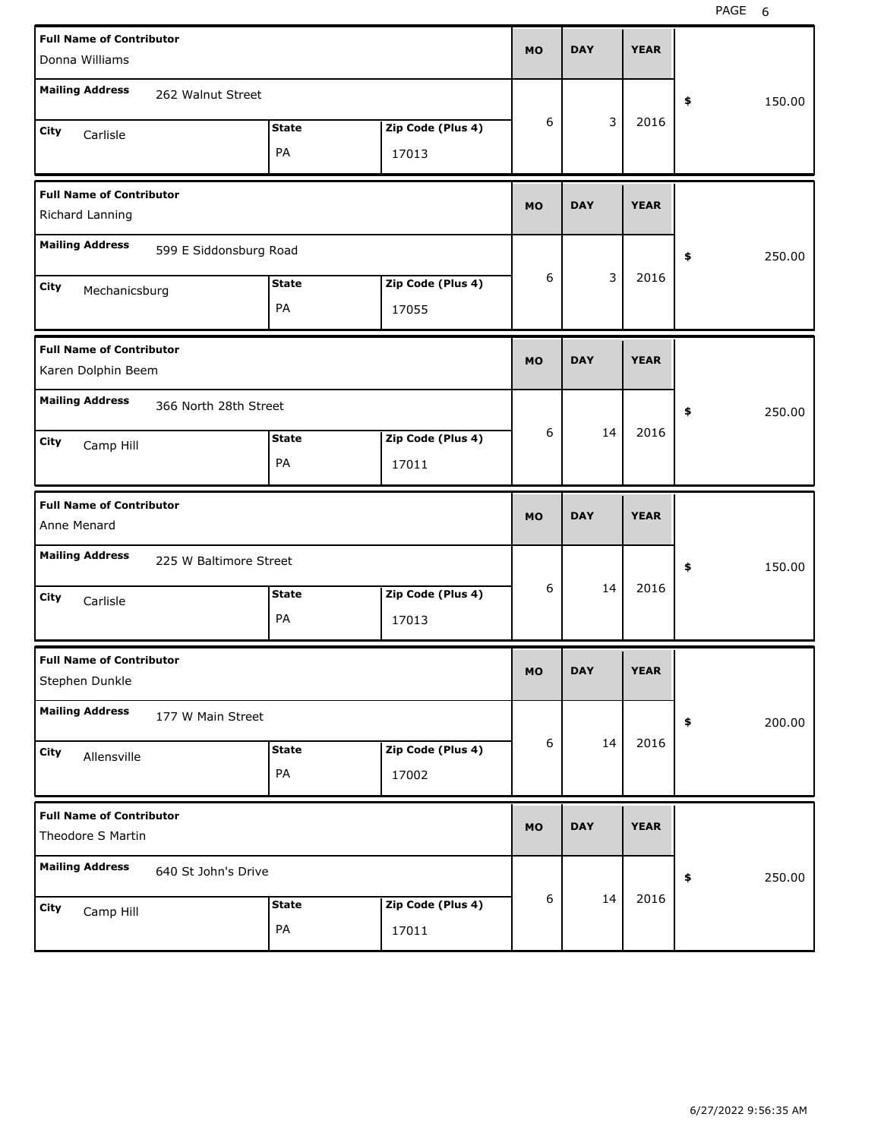| <b>Full Name of Contributor</b><br>Donna Williams     |                            | <b>MO</b> | <b>DAY</b> | <b>YEAR</b> |              |
|-------------------------------------------------------|----------------------------|-----------|------------|-------------|--------------|
| <b>Mailing Address</b><br>262 Walnut Street           |                            |           |            |             | \$<br>150.00 |
| <b>State</b><br>City                                  | Zip Code (Plus 4)          | 6         | 3          | 2016        |              |
| Carlisle<br>PA                                        | 17013                      |           |            |             |              |
| <b>Full Name of Contributor</b><br>Richard Lanning    |                            | <b>MO</b> | <b>DAY</b> | <b>YEAR</b> |              |
| <b>Mailing Address</b><br>599 E Siddonsburg Road      |                            |           |            |             | \$<br>250.00 |
| <b>State</b><br>City<br>Mechanicsburg<br>PA           | Zip Code (Plus 4)<br>17055 | 6         | 3          | 2016        |              |
|                                                       |                            |           |            |             |              |
| <b>Full Name of Contributor</b><br>Karen Dolphin Beem |                            | <b>MO</b> | <b>DAY</b> | <b>YEAR</b> |              |
| <b>Mailing Address</b><br>366 North 28th Street       |                            |           |            |             | \$<br>250.00 |
| <b>State</b><br>City<br>Camp Hill                     | Zip Code (Plus 4)          | 6         | 14         | 2016        |              |
| PA                                                    | 17011                      |           |            |             |              |
|                                                       |                            |           |            |             |              |
| <b>Full Name of Contributor</b><br>Anne Menard        |                            | <b>MO</b> | <b>DAY</b> | <b>YEAR</b> |              |
| <b>Mailing Address</b><br>225 W Baltimore Street      |                            |           |            |             | \$<br>150.00 |
| <b>State</b><br>City<br>Carlisle                      | Zip Code (Plus 4)          | 6         | 14         | 2016        |              |
| PA                                                    | 17013                      |           |            |             |              |
| <b>Full Name of Contributor</b><br>Stephen Dunkle     |                            | MU        | <b>DAY</b> | <b>YEAR</b> |              |
| <b>Mailing Address</b><br>177 W Main Street           |                            |           |            |             | 200.00<br>\$ |
| <b>State</b><br>City                                  | Zip Code (Plus 4)          | 6         | 14         | 2016        |              |
| Allensville<br>PA                                     | 17002                      |           |            |             |              |
| <b>Full Name of Contributor</b><br>Theodore S Martin  |                            | <b>MO</b> | <b>DAY</b> | <b>YEAR</b> |              |
| <b>Mailing Address</b><br>640 St John's Drive         |                            |           |            |             | 250.00<br>\$ |
| <b>State</b><br>City<br>Camp Hill                     | Zip Code (Plus 4)          | 6         | 14         | 2016        |              |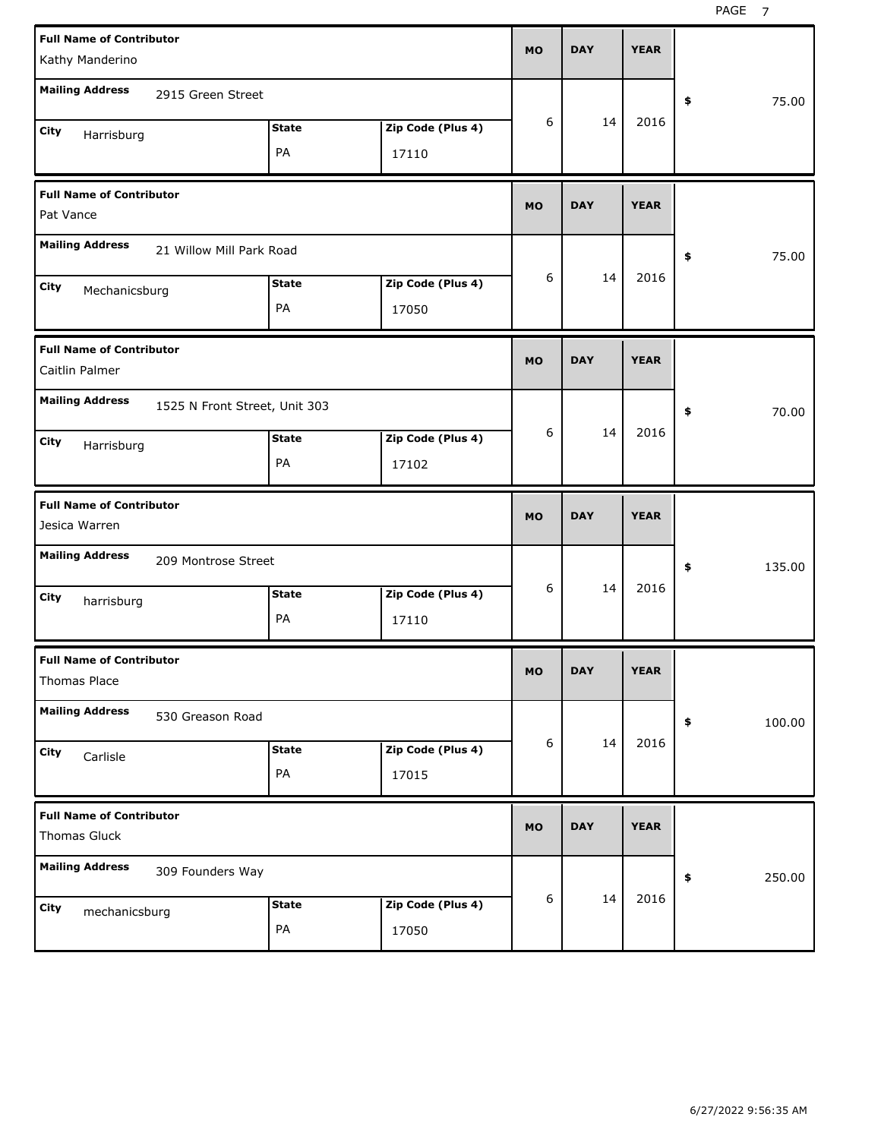| <b>Full Name of Contributor</b><br>Kathy Manderino |                                                     |                            | <b>MO</b> | <b>DAY</b> | <b>YEAR</b> |              |
|----------------------------------------------------|-----------------------------------------------------|----------------------------|-----------|------------|-------------|--------------|
| <b>Mailing Address</b><br>2915 Green Street        |                                                     |                            |           |            |             | 75.00<br>\$  |
| City<br>Harrisburg                                 | <b>State</b><br>PA                                  | Zip Code (Plus 4)<br>17110 | 6         | 14         | 2016        |              |
| <b>Full Name of Contributor</b><br>Pat Vance       |                                                     |                            | <b>MO</b> | <b>DAY</b> | <b>YEAR</b> |              |
| <b>Mailing Address</b>                             | 21 Willow Mill Park Road                            |                            |           |            |             | 75.00<br>\$  |
| City<br>Mechanicsburg                              | <b>State</b><br>PA                                  | Zip Code (Plus 4)<br>17050 | 6         | 14         | 2016        |              |
| <b>Full Name of Contributor</b><br>Caitlin Palmer  |                                                     |                            | <b>MO</b> | <b>DAY</b> | <b>YEAR</b> |              |
| <b>Mailing Address</b><br>City<br>Harrisburg       | 1525 N Front Street, Unit 303<br><b>State</b><br>PA | Zip Code (Plus 4)<br>17102 | 6         | 14         | 2016        | 70.00<br>\$  |
|                                                    |                                                     |                            |           |            |             |              |
| <b>Full Name of Contributor</b><br>Jesica Warren   |                                                     |                            | <b>MO</b> | <b>DAY</b> | <b>YEAR</b> |              |
| <b>Mailing Address</b>                             | 209 Montrose Street                                 |                            |           |            |             | 135.00<br>\$ |
| City<br>harrisburg                                 | <b>State</b><br>PA                                  | Zip Code (Plus 4)<br>17110 | 6         | 14         | 2016        |              |
| <b>Full Name of Contributor</b><br>Thomas Place    |                                                     |                            | <b>MO</b> | <b>DAY</b> | <b>YEAR</b> |              |
| <b>Mailing Address</b><br>530 Greason Road         |                                                     |                            |           |            |             | \$<br>100.00 |
| City<br>Carlisle                                   | <b>State</b><br>PA                                  | Zip Code (Plus 4)<br>17015 | 6         | 14         | 2016        |              |
| <b>Full Name of Contributor</b><br>Thomas Gluck    |                                                     |                            | <b>MO</b> | <b>DAY</b> | <b>YEAR</b> |              |
| <b>Mailing Address</b><br>309 Founders Way         |                                                     |                            |           | 14         | 2016        | \$<br>250.00 |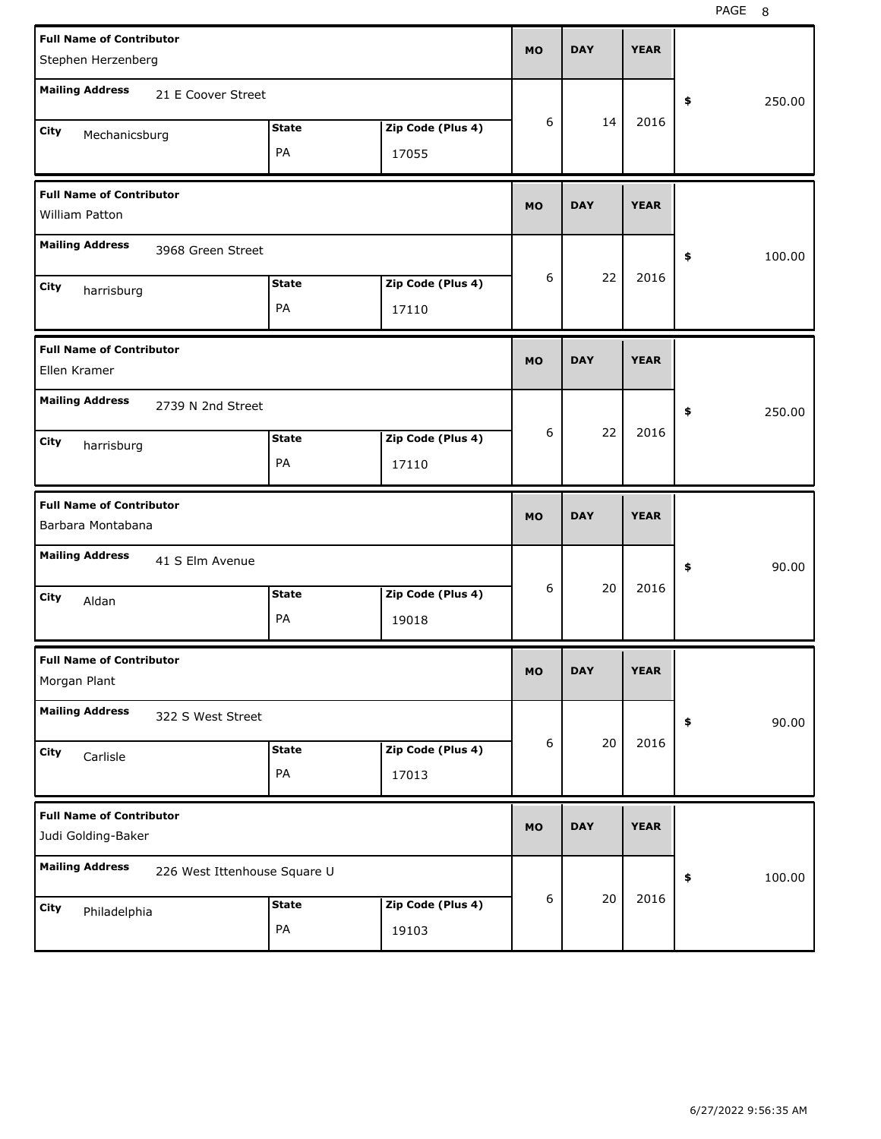| <b>Full Name of Contributor</b><br>Stephen Herzenberg |                              |                    |                            | <b>MO</b> | <b>DAY</b> | <b>YEAR</b> |              |  |
|-------------------------------------------------------|------------------------------|--------------------|----------------------------|-----------|------------|-------------|--------------|--|
| <b>Mailing Address</b>                                | 21 E Coover Street           |                    |                            |           |            |             | \$<br>250.00 |  |
| City<br>Mechanicsburg                                 |                              | <b>State</b>       | Zip Code (Plus 4)          | 6         | 14         | 2016        |              |  |
|                                                       |                              | PA                 | 17055                      |           |            |             |              |  |
| <b>Full Name of Contributor</b><br>William Patton     |                              |                    |                            | <b>MO</b> | <b>DAY</b> | <b>YEAR</b> |              |  |
| <b>Mailing Address</b>                                | 3968 Green Street            |                    |                            |           |            |             | \$<br>100.00 |  |
| City<br>harrisburg                                    |                              | <b>State</b><br>PA | Zip Code (Plus 4)<br>17110 | 6         | 22         | 2016        |              |  |
|                                                       |                              |                    |                            |           |            |             |              |  |
| <b>Full Name of Contributor</b><br>Ellen Kramer       |                              |                    |                            | <b>MO</b> | <b>DAY</b> | <b>YEAR</b> |              |  |
| <b>Mailing Address</b>                                | 2739 N 2nd Street            |                    |                            |           |            |             | \$<br>250.00 |  |
| City<br>harrisburg                                    |                              | <b>State</b>       | Zip Code (Plus 4)          | 6         | 22         | 2016        |              |  |
|                                                       |                              | PA                 | 17110                      |           |            |             |              |  |
|                                                       |                              |                    |                            |           |            |             |              |  |
| <b>Full Name of Contributor</b><br>Barbara Montabana  |                              |                    |                            | <b>MO</b> | <b>DAY</b> | <b>YEAR</b> |              |  |
| <b>Mailing Address</b>                                | 41 S Elm Avenue              |                    |                            |           |            |             | \$<br>90.00  |  |
| City<br>Aldan                                         |                              | <b>State</b>       | Zip Code (Plus 4)          | 6         | 20         | 2016        |              |  |
|                                                       |                              | PA                 | 19018                      |           |            |             |              |  |
| <b>Full Name of Contributor</b><br>Morgan Plant       |                              |                    |                            | MU        | <b>DAY</b> | <b>YEAR</b> |              |  |
| <b>Mailing Address</b>                                | 322 S West Street            |                    |                            |           |            |             | \$<br>90.00  |  |
| City<br>Carlisle                                      |                              | <b>State</b>       | Zip Code (Plus 4)          | 6         | 20         | 2016        |              |  |
|                                                       |                              | PA                 | 17013                      |           |            |             |              |  |
| <b>Full Name of Contributor</b><br>Judi Golding-Baker |                              |                    |                            | <b>MO</b> | <b>DAY</b> | <b>YEAR</b> |              |  |
| <b>Mailing Address</b>                                | 226 West Ittenhouse Square U |                    |                            |           |            |             | 100.00<br>\$ |  |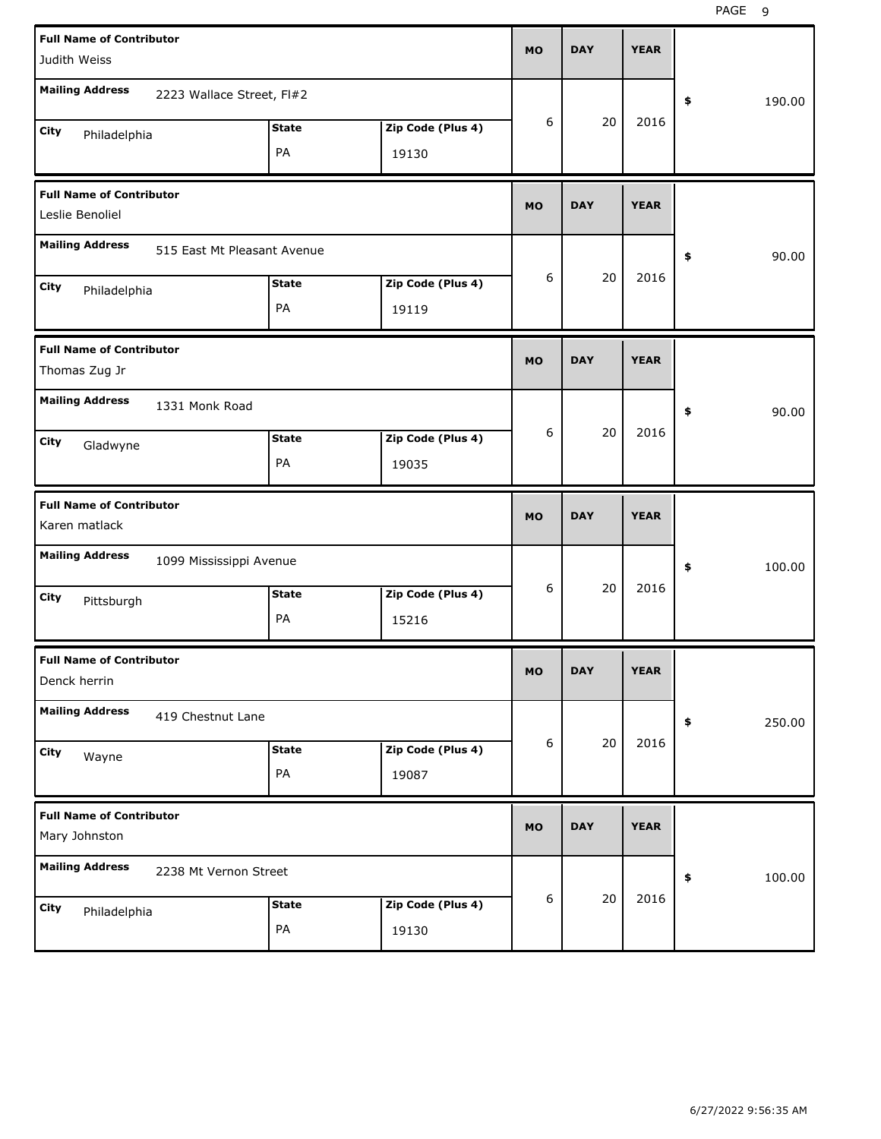| <b>Full Name of Contributor</b><br>Judith Weiss    |                             |              |                   | <b>MO</b> | <b>DAY</b> | <b>YEAR</b> |              |
|----------------------------------------------------|-----------------------------|--------------|-------------------|-----------|------------|-------------|--------------|
| <b>Mailing Address</b>                             | 2223 Wallace Street, FI#2   |              |                   |           |            |             | \$<br>190.00 |
| City<br>Philadelphia                               |                             | <b>State</b> | Zip Code (Plus 4) | 6         | 20         | 2016        |              |
|                                                    |                             | PA           | 19130             |           |            |             |              |
| <b>Full Name of Contributor</b><br>Leslie Benoliel |                             |              |                   | <b>MO</b> | <b>DAY</b> | <b>YEAR</b> |              |
| <b>Mailing Address</b>                             | 515 East Mt Pleasant Avenue |              |                   |           |            |             | \$<br>90.00  |
| City<br>Philadelphia                               |                             | <b>State</b> | Zip Code (Plus 4) | 6         | 20         | 2016        |              |
|                                                    |                             | PA           | 19119             |           |            |             |              |
| <b>Full Name of Contributor</b><br>Thomas Zug Jr   |                             |              |                   | <b>MO</b> | <b>DAY</b> | <b>YEAR</b> |              |
| <b>Mailing Address</b>                             | 1331 Monk Road              |              |                   |           |            |             | \$<br>90.00  |
| City<br>Gladwyne                                   |                             | <b>State</b> | Zip Code (Plus 4) | 6         | 20         | 2016        |              |
|                                                    |                             | PA           | 19035             |           |            |             |              |
|                                                    |                             |              |                   |           |            |             |              |
| <b>Full Name of Contributor</b><br>Karen matlack   |                             |              |                   | <b>MO</b> | <b>DAY</b> | <b>YEAR</b> |              |
| <b>Mailing Address</b>                             | 1099 Mississippi Avenue     |              |                   |           |            |             | \$<br>100.00 |
| City                                               |                             | <b>State</b> | Zip Code (Plus 4) | 6         | 20         | 2016        |              |
| Pittsburgh                                         |                             | PA           | 15216             |           |            |             |              |
| <b>Full Name of Contributor</b><br>Denck herrin    |                             |              |                   | MU        | <b>DAY</b> | <b>YEAR</b> |              |
| <b>Mailing Address</b>                             | 419 Chestnut Lane           |              |                   |           |            |             | 250.00<br>\$ |
| <b>City</b>                                        |                             | <b>State</b> | Zip Code (Plus 4) | 6         | 20         | 2016        |              |
| Wayne                                              |                             | PA           | 19087             |           |            |             |              |
| <b>Full Name of Contributor</b><br>Mary Johnston   |                             |              |                   | <b>MO</b> | <b>DAY</b> | <b>YEAR</b> |              |
| <b>Mailing Address</b>                             | 2238 Mt Vernon Street       |              |                   |           |            |             | 100.00<br>\$ |
| City<br>Philadelphia                               |                             | <b>State</b> | Zip Code (Plus 4) | 6         | 20         | 2016        |              |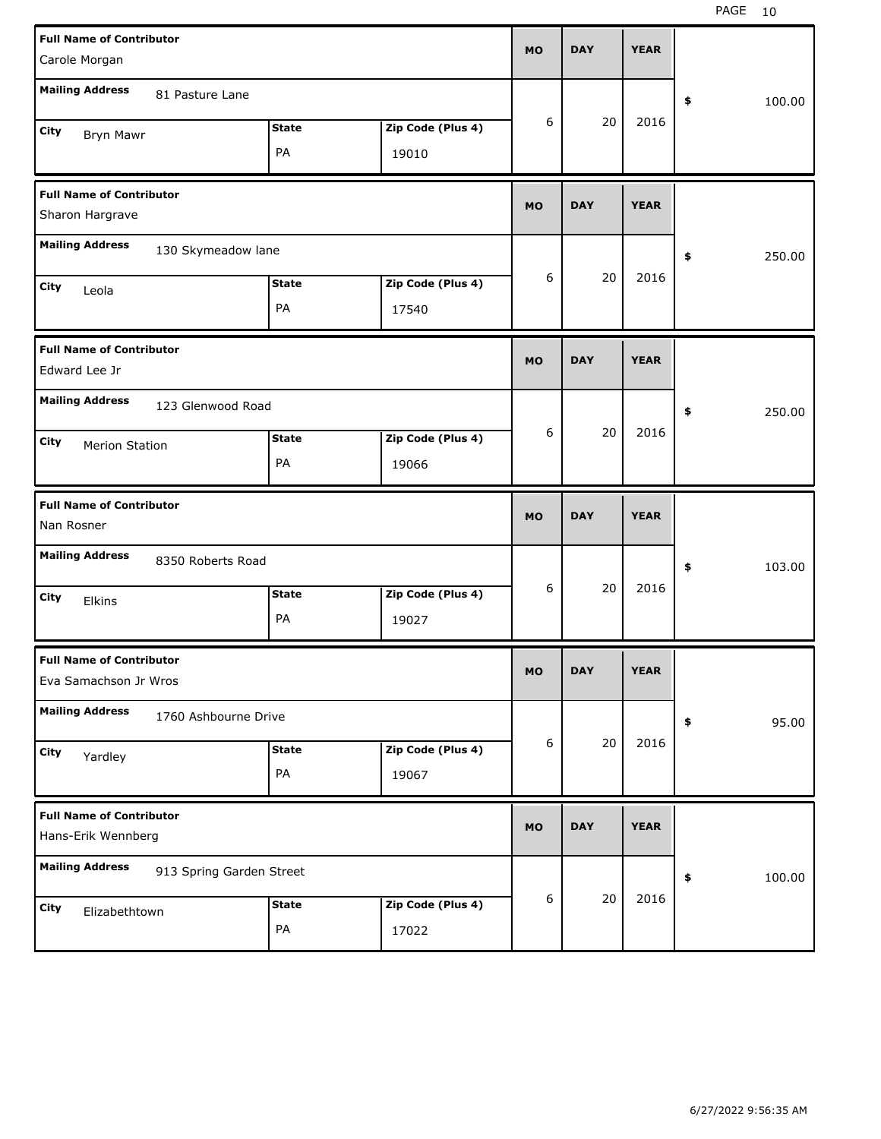| <b>Full Name of Contributor</b>                          |              |                   | <b>MO</b> | <b>DAY</b> | <b>YEAR</b> |              |
|----------------------------------------------------------|--------------|-------------------|-----------|------------|-------------|--------------|
| Carole Morgan                                            |              |                   |           |            |             |              |
| <b>Mailing Address</b><br>81 Pasture Lane                |              |                   |           |            |             | 100.00<br>\$ |
| City<br>Bryn Mawr                                        | <b>State</b> | Zip Code (Plus 4) | 6         | 20         | 2016        |              |
|                                                          | PA           | 19010             |           |            |             |              |
| <b>Full Name of Contributor</b>                          |              |                   | <b>MO</b> | <b>DAY</b> | <b>YEAR</b> |              |
| Sharon Hargrave                                          |              |                   |           |            |             |              |
| <b>Mailing Address</b><br>130 Skymeadow lane             |              |                   |           |            |             | 250.00<br>\$ |
| City<br>Leola                                            | <b>State</b> | Zip Code (Plus 4) | 6         | 20         | 2016        |              |
|                                                          | PA           | 17540             |           |            |             |              |
| <b>Full Name of Contributor</b><br>Edward Lee Jr         |              |                   | <b>MO</b> | <b>DAY</b> | <b>YEAR</b> |              |
| <b>Mailing Address</b><br>123 Glenwood Road              |              |                   |           |            |             | \$<br>250.00 |
| City<br><b>Merion Station</b>                            | <b>State</b> | Zip Code (Plus 4) | 6         | 20         | 2016        |              |
|                                                          | PA           | 19066             |           |            |             |              |
|                                                          |              |                   |           |            |             |              |
| <b>Full Name of Contributor</b><br>Nan Rosner            |              |                   | <b>MO</b> | <b>DAY</b> | <b>YEAR</b> |              |
| <b>Mailing Address</b><br>8350 Roberts Road              |              |                   |           |            |             | \$<br>103.00 |
| City<br>Elkins                                           | <b>State</b> | Zip Code (Plus 4) | 6         | 20         | 2016        |              |
|                                                          | PA           | 19027             |           |            |             |              |
| <b>Full Name of Contributor</b><br>Eva Samachson Jr Wros |              |                   | МO        | <b>DAY</b> | <b>YEAR</b> |              |
| <b>Mailing Address</b><br>1760 Ashbourne Drive           |              |                   |           |            |             | 95.00<br>\$  |
| City                                                     | <b>State</b> | Zip Code (Plus 4) | 6         | 20         | 2016        |              |
| Yardley                                                  | PA           | 19067             |           |            |             |              |
| <b>Full Name of Contributor</b><br>Hans-Erik Wennberg    |              |                   | <b>MO</b> | <b>DAY</b> | <b>YEAR</b> |              |
| <b>Mailing Address</b><br>913 Spring Garden Street       |              |                   |           |            |             | \$<br>100.00 |
| City<br>Elizabethtown                                    | <b>State</b> | Zip Code (Plus 4) | 6         | 20         | 2016        |              |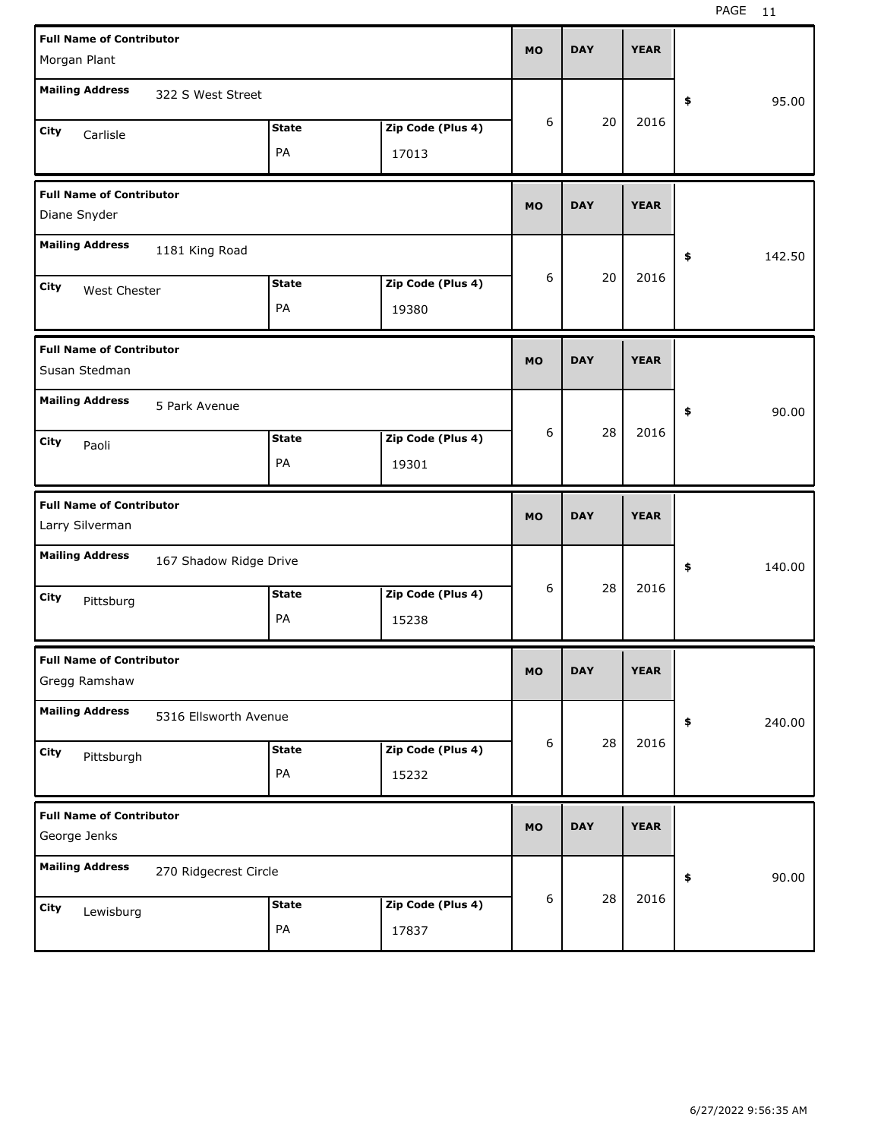| <b>Full Name of Contributor</b><br>Morgan Plant                          | <b>MO</b> | <b>DAY</b> | <b>YEAR</b> |              |
|--------------------------------------------------------------------------|-----------|------------|-------------|--------------|
| <b>Mailing Address</b><br>322 S West Street                              |           |            |             | 95.00        |
| Zip Code (Plus 4)<br><b>State</b><br>City<br>Carlisle<br>PA<br>17013     | 6         | 20         | 2016        | \$           |
| <b>Full Name of Contributor</b><br>Diane Snyder                          | <b>MO</b> | <b>DAY</b> | <b>YEAR</b> |              |
| <b>Mailing Address</b><br>1181 King Road                                 |           |            |             | \$<br>142.50 |
| Zip Code (Plus 4)<br><b>State</b><br>City<br>West Chester<br>PA<br>19380 | 6         | 20         | 2016        |              |
| <b>Full Name of Contributor</b><br>Susan Stedman                         | <b>MO</b> | <b>DAY</b> | <b>YEAR</b> |              |
| <b>Mailing Address</b><br>5 Park Avenue                                  |           |            |             | \$<br>90.00  |
| Zip Code (Plus 4)<br><b>State</b><br>City<br>Paoli<br>PA<br>19301        | 6         | 28         | 2016        |              |
|                                                                          |           |            |             |              |
| <b>Full Name of Contributor</b><br>Larry Silverman                       | <b>MO</b> | <b>DAY</b> | <b>YEAR</b> |              |
| <b>Mailing Address</b><br>167 Shadow Ridge Drive                         |           |            |             | \$<br>140.00 |
| Zip Code (Plus 4)<br><b>State</b><br>City<br>Pittsburg<br>PA<br>15238    | 6         | 28         | 2016        |              |
| <b>Full Name of Contributor</b><br>Gregg Ramshaw                         | MO        | <b>DAY</b> | <b>YEAR</b> |              |
| <b>Mailing Address</b><br>5316 Ellsworth Avenue                          |           |            |             | \$<br>240.00 |
| Zip Code (Plus 4)<br><b>State</b><br>City<br>Pittsburgh<br>PA<br>15232   | 6         | 28         | 2016        |              |
| <b>Full Name of Contributor</b><br>George Jenks                          | <b>MO</b> | <b>DAY</b> | <b>YEAR</b> |              |
| <b>Mailing Address</b><br>270 Ridgecrest Circle                          |           | 28         | 2016        | 90.00<br>\$  |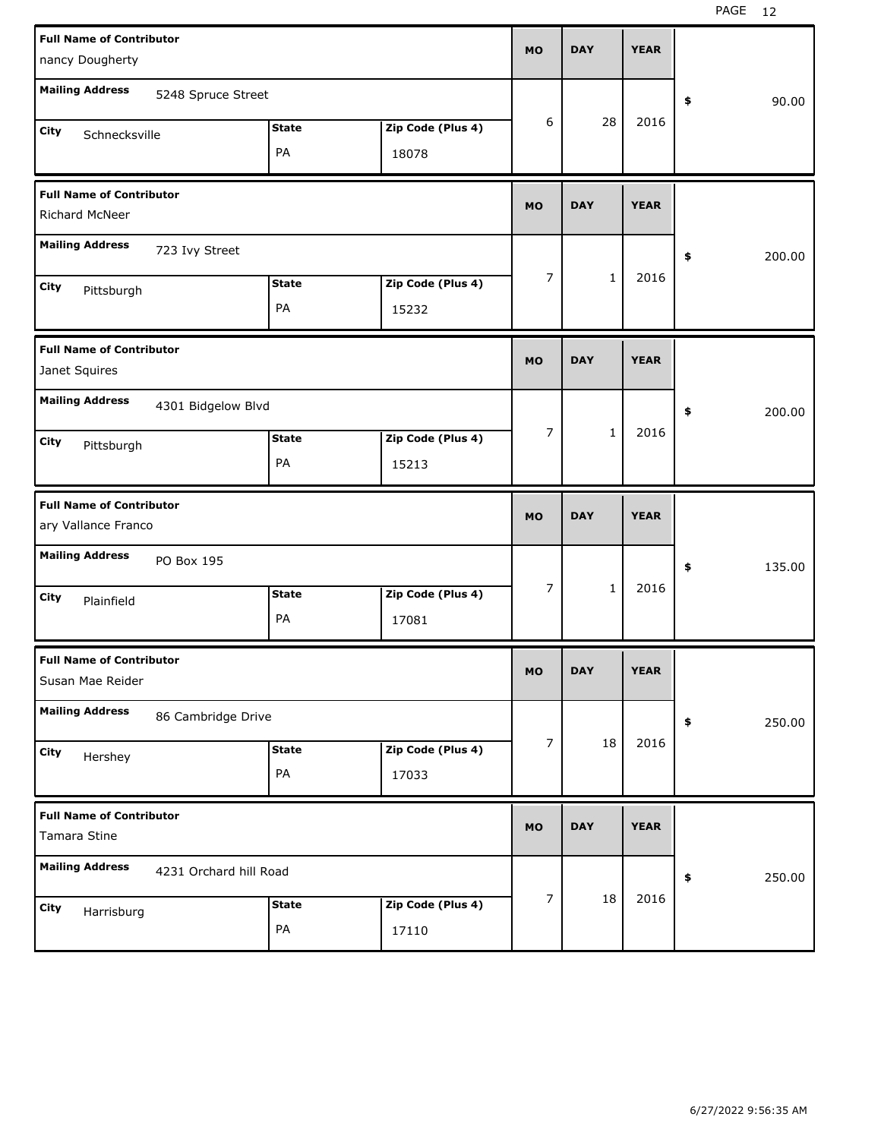| <b>Full Name of Contributor</b><br>nancy Dougherty     |                            | <b>MO</b> | <b>DAY</b>   | <b>YEAR</b> |              |
|--------------------------------------------------------|----------------------------|-----------|--------------|-------------|--------------|
| <b>Mailing Address</b><br>5248 Spruce Street           |                            |           |              |             | \$<br>90.00  |
| <b>State</b><br>City<br>Schnecksville<br>PA            | Zip Code (Plus 4)<br>18078 | 6         | 28           | 2016        |              |
| <b>Full Name of Contributor</b><br>Richard McNeer      |                            | <b>MO</b> | <b>DAY</b>   | <b>YEAR</b> |              |
| <b>Mailing Address</b><br>723 Ivy Street               |                            |           |              |             | \$<br>200.00 |
| <b>State</b><br>City<br>Pittsburgh<br>PA               | Zip Code (Plus 4)<br>15232 | 7         | $\mathbf{1}$ | 2016        |              |
| <b>Full Name of Contributor</b><br>Janet Squires       |                            | <b>MO</b> | <b>DAY</b>   | <b>YEAR</b> |              |
| <b>Mailing Address</b><br>4301 Bidgelow Blvd           |                            |           |              |             | \$<br>200.00 |
| <b>State</b><br>City<br>Pittsburgh<br>PA               | Zip Code (Plus 4)<br>15213 | 7         | $\mathbf{1}$ | 2016        |              |
|                                                        |                            |           |              |             |              |
| <b>Full Name of Contributor</b><br>ary Vallance Franco |                            | <b>MO</b> | <b>DAY</b>   | <b>YEAR</b> |              |
| <b>Mailing Address</b><br>PO Box 195                   |                            |           |              |             | \$<br>135.00 |
| <b>State</b><br>City<br>Plainfield<br>PA               | Zip Code (Plus 4)<br>17081 | 7         | $\mathbf{1}$ | 2016        |              |
| <b>Full Name of Contributor</b><br>Susan Mae Reider    |                            | <b>MO</b> | <b>DAY</b>   | <b>YEAR</b> |              |
| <b>Mailing Address</b><br>86 Cambridge Drive           |                            |           |              |             | 250.00<br>\$ |
| <b>State</b><br>City<br>Hershey<br>PA                  | Zip Code (Plus 4)<br>17033 | 7         | 18           | 2016        |              |
| <b>Full Name of Contributor</b><br>Tamara Stine        |                            | <b>MO</b> | <b>DAY</b>   | <b>YEAR</b> |              |
| <b>Mailing Address</b><br>4231 Orchard hill Road       |                            | 7         | 18           | 2016        | 250.00<br>\$ |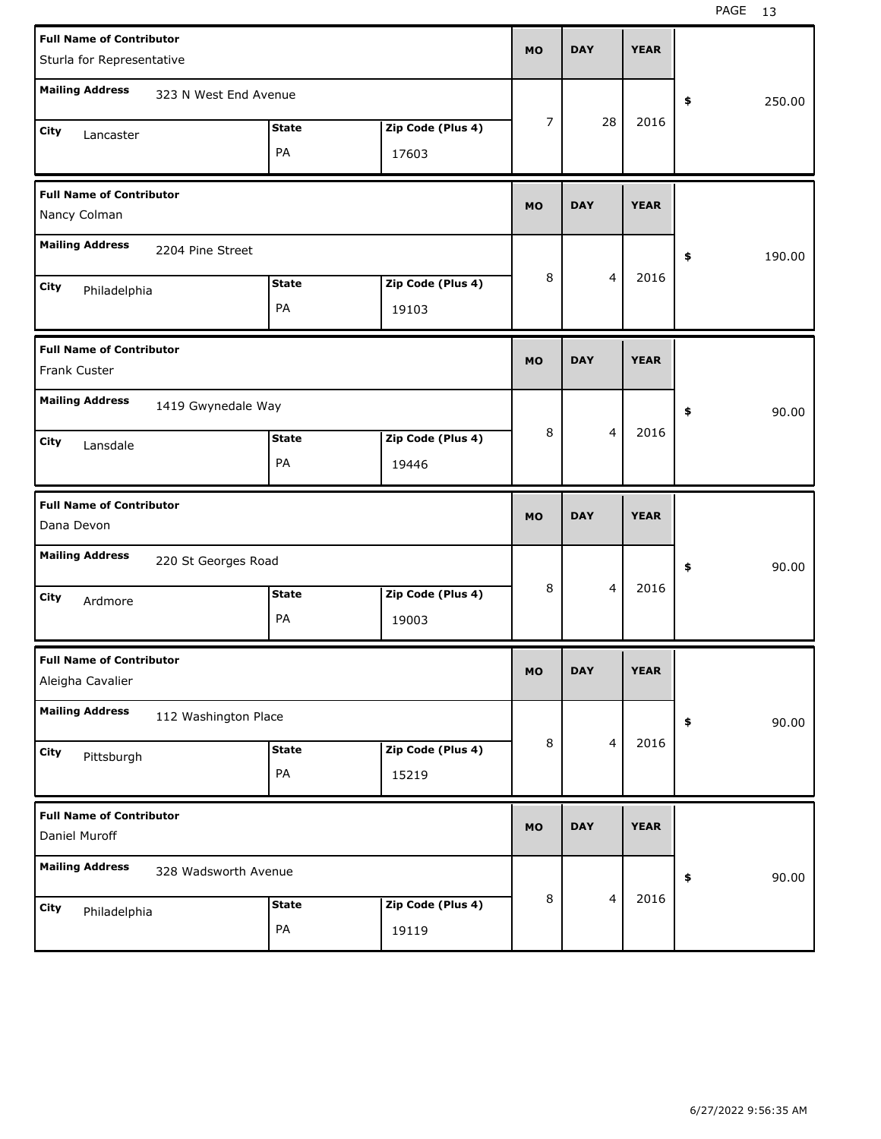| <b>Full Name of Contributor</b><br>Sturla for Representative |                       |                            | <b>MO</b>      | <b>DAY</b>              | <b>YEAR</b> |                     |
|--------------------------------------------------------------|-----------------------|----------------------------|----------------|-------------------------|-------------|---------------------|
| <b>Mailing Address</b>                                       | 323 N West End Avenue |                            |                |                         |             | \$<br>250.00        |
| City<br>Lancaster                                            | <b>State</b><br>PA    | Zip Code (Plus 4)<br>17603 | $\overline{7}$ | 28                      | 2016        |                     |
| <b>Full Name of Contributor</b><br>Nancy Colman              |                       |                            | <b>MO</b>      | <b>DAY</b>              | <b>YEAR</b> |                     |
| <b>Mailing Address</b>                                       | 2204 Pine Street      |                            |                |                         |             | \$<br>190.00        |
| City<br>Philadelphia                                         | <b>State</b><br>PA    | Zip Code (Plus 4)<br>19103 | 8              | 4                       | 2016        |                     |
| <b>Full Name of Contributor</b><br>Frank Custer              |                       |                            | <b>MO</b>      | <b>DAY</b>              | <b>YEAR</b> |                     |
| <b>Mailing Address</b>                                       | 1419 Gwynedale Way    |                            |                |                         |             | 90.00<br>\$         |
| City<br>Lansdale                                             | <b>State</b><br>PA    | Zip Code (Plus 4)<br>19446 | 8              | 4                       | 2016        |                     |
|                                                              |                       |                            |                |                         |             |                     |
| <b>Full Name of Contributor</b><br>Dana Devon                |                       |                            | <b>MO</b>      | <b>DAY</b>              | <b>YEAR</b> |                     |
| <b>Mailing Address</b>                                       | 220 St Georges Road   |                            |                |                         |             | \$<br>90.00         |
| City<br>Ardmore                                              | <b>State</b><br>PA    | Zip Code (Plus 4)<br>19003 | 8              | 4                       | 2016        |                     |
| <b>Full Name of Contributor</b><br>Aleigha Cavalier          |                       |                            | <b>MO</b>      | <b>DAY</b>              | <b>YEAR</b> |                     |
| <b>Mailing Address</b>                                       | 112 Washington Place  |                            |                |                         |             | 90.00<br>$\pmb{\$}$ |
| City<br>Pittsburgh                                           | <b>State</b><br>PA    | Zip Code (Plus 4)<br>15219 | 8              | $\overline{\mathbf{4}}$ | 2016        |                     |
| <b>Full Name of Contributor</b><br>Daniel Muroff             |                       |                            | <b>MO</b>      | <b>DAY</b>              | <b>YEAR</b> |                     |
| <b>Mailing Address</b>                                       | 328 Wadsworth Avenue  |                            |                |                         | 2016        | 90.00<br>\$         |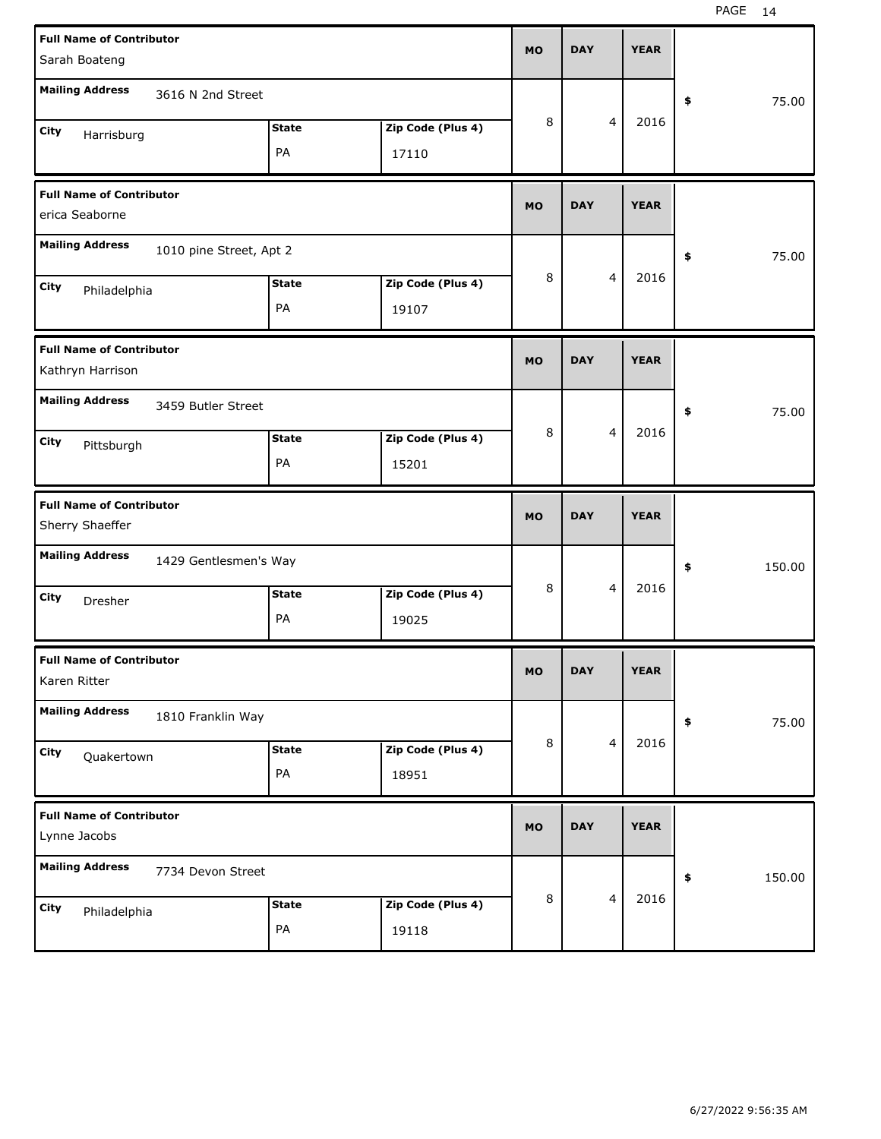| <b>Full Name of Contributor</b>                     |              |                   | <b>MO</b> | <b>DAY</b> |                | <b>YEAR</b> |              |
|-----------------------------------------------------|--------------|-------------------|-----------|------------|----------------|-------------|--------------|
| Sarah Boateng                                       |              |                   |           |            |                |             |              |
| <b>Mailing Address</b><br>3616 N 2nd Street         |              |                   |           |            |                |             | \$<br>75.00  |
| City<br>Harrisburg                                  | <b>State</b> | Zip Code (Plus 4) | 8         |            | 4              | 2016        |              |
|                                                     | PA           | 17110             |           |            |                |             |              |
| <b>Full Name of Contributor</b><br>erica Seaborne   |              |                   | <b>MO</b> | <b>DAY</b> |                | <b>YEAR</b> |              |
| <b>Mailing Address</b><br>1010 pine Street, Apt 2   |              |                   |           |            |                |             | \$<br>75.00  |
| City<br>Philadelphia                                | <b>State</b> | Zip Code (Plus 4) | 8         |            | 4              | 2016        |              |
|                                                     | PA           | 19107             |           |            |                |             |              |
| <b>Full Name of Contributor</b><br>Kathryn Harrison |              |                   | <b>MO</b> | <b>DAY</b> |                | <b>YEAR</b> |              |
| <b>Mailing Address</b><br>3459 Butler Street        |              |                   |           |            |                |             | \$<br>75.00  |
| City<br>Pittsburgh                                  | <b>State</b> | Zip Code (Plus 4) | 8         |            | 4              | 2016        |              |
|                                                     | PA           | 15201             |           |            |                |             |              |
|                                                     |              |                   |           |            |                |             |              |
| <b>Full Name of Contributor</b><br>Sherry Shaeffer  |              |                   | <b>MO</b> | <b>DAY</b> |                | <b>YEAR</b> |              |
| <b>Mailing Address</b><br>1429 Gentlesmen's Way     |              |                   |           |            |                |             | \$<br>150.00 |
| City<br>Dresher                                     | <b>State</b> | Zip Code (Plus 4) | 8         |            | 4              | 2016        |              |
|                                                     | PA           | 19025             |           |            |                |             |              |
| <b>Full Name of Contributor</b><br>Karen Ritter     |              |                   | <b>MO</b> | <b>DAY</b> |                | <b>YEAR</b> |              |
| <b>Mailing Address</b><br>1810 Franklin Way         |              |                   |           |            |                |             | \$<br>75.00  |
| City                                                | State        | Zip Code (Plus 4) | 8         |            | $\overline{4}$ | 2016        |              |
| Quakertown                                          | PA           | 18951             |           |            |                |             |              |
| <b>Full Name of Contributor</b><br>Lynne Jacobs     |              |                   | <b>MO</b> | <b>DAY</b> |                | <b>YEAR</b> |              |
| <b>Mailing Address</b><br>7734 Devon Street         |              |                   |           |            |                |             | \$<br>150.00 |
| City<br>Philadelphia                                | <b>State</b> | Zip Code (Plus 4) | 8         |            | $\overline{4}$ | 2016        |              |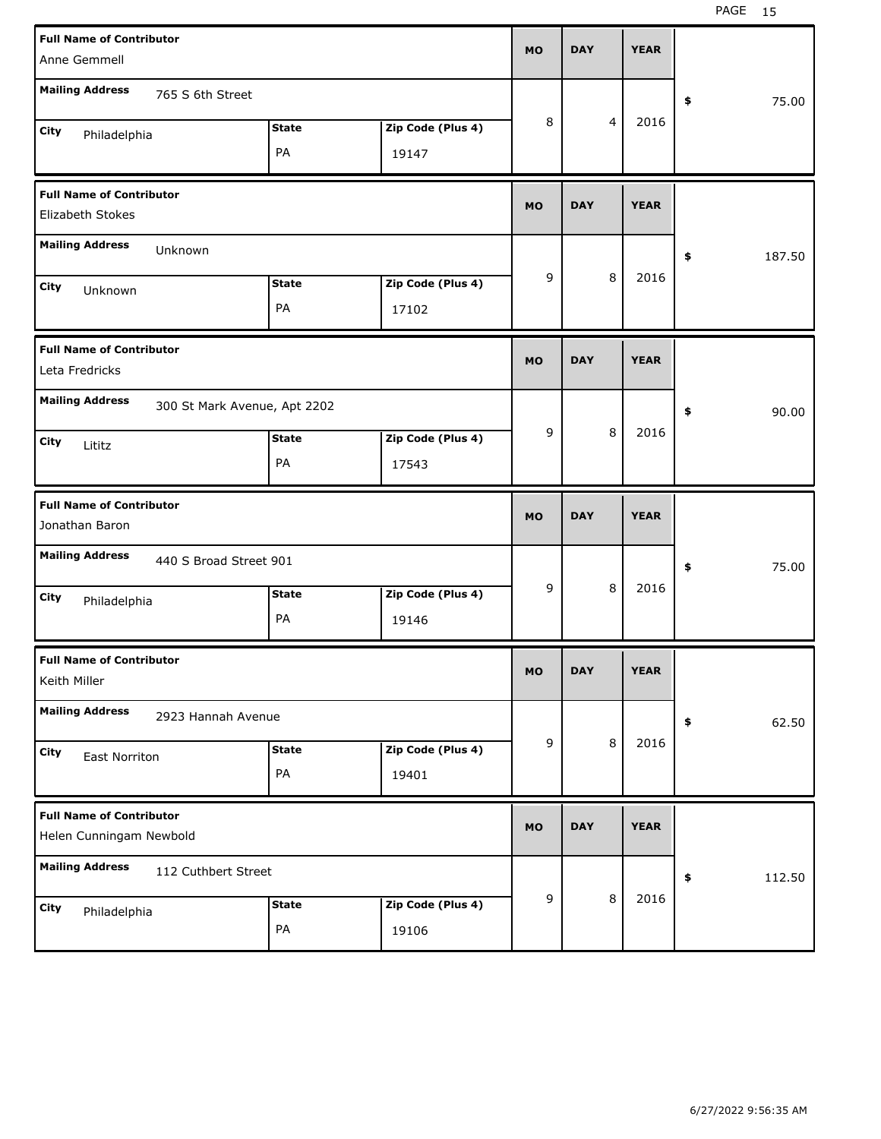| <b>Full Name of Contributor</b>                            |                              |                   | <b>MO</b> | <b>DAY</b> | <b>YEAR</b> |              |
|------------------------------------------------------------|------------------------------|-------------------|-----------|------------|-------------|--------------|
| Anne Gemmell                                               |                              |                   |           |            |             |              |
| <b>Mailing Address</b><br>765 S 6th Street                 |                              |                   |           |            |             | 75.00<br>\$  |
| City<br>Philadelphia                                       | <b>State</b>                 | Zip Code (Plus 4) | 8         | 4          | 2016        |              |
|                                                            | PA                           | 19147             |           |            |             |              |
| <b>Full Name of Contributor</b><br>Elizabeth Stokes        |                              |                   | <b>MO</b> | <b>DAY</b> | <b>YEAR</b> |              |
| <b>Mailing Address</b><br>Unknown                          |                              |                   |           |            |             |              |
|                                                            |                              |                   | 9         | 8          | 2016        | \$<br>187.50 |
| City<br>Unknown                                            | <b>State</b>                 | Zip Code (Plus 4) |           |            |             |              |
|                                                            | PA                           | 17102             |           |            |             |              |
| <b>Full Name of Contributor</b><br>Leta Fredricks          |                              |                   | <b>MO</b> | <b>DAY</b> | <b>YEAR</b> |              |
| <b>Mailing Address</b>                                     | 300 St Mark Avenue, Apt 2202 |                   |           |            |             | \$<br>90.00  |
| City<br>Lititz                                             | <b>State</b>                 | Zip Code (Plus 4) | 9         | 8          | 2016        |              |
|                                                            | PA                           | 17543             |           |            |             |              |
|                                                            |                              |                   |           |            |             |              |
| <b>Full Name of Contributor</b><br>Jonathan Baron          |                              |                   | <b>MO</b> | <b>DAY</b> | <b>YEAR</b> |              |
| <b>Mailing Address</b><br>440 S Broad Street 901           |                              |                   |           |            |             | 75.00<br>\$  |
| City                                                       | <b>State</b>                 | Zip Code (Plus 4) | 9         | 8          | 2016        |              |
| Philadelphia                                               | PA                           | 19146             |           |            |             |              |
| <b>Full Name of Contributor</b><br>Keith Miller            |                              |                   | <b>MO</b> | <b>DAY</b> | <b>YEAR</b> |              |
| <b>Mailing Address</b><br>2923 Hannah Avenue               |                              |                   |           |            |             | 62.50<br>\$  |
| City                                                       | <b>State</b>                 | Zip Code (Plus 4) | 9         | 8          | 2016        |              |
| <b>East Norriton</b>                                       | PA                           | 19401             |           |            |             |              |
| <b>Full Name of Contributor</b><br>Helen Cunningam Newbold |                              |                   | <b>MO</b> | <b>DAY</b> | <b>YEAR</b> |              |
| <b>Mailing Address</b><br>112 Cuthbert Street              |                              |                   |           |            |             | 112.50<br>\$ |
| City<br>Philadelphia                                       | <b>State</b>                 | Zip Code (Plus 4) | 9         | 8          | 2016        |              |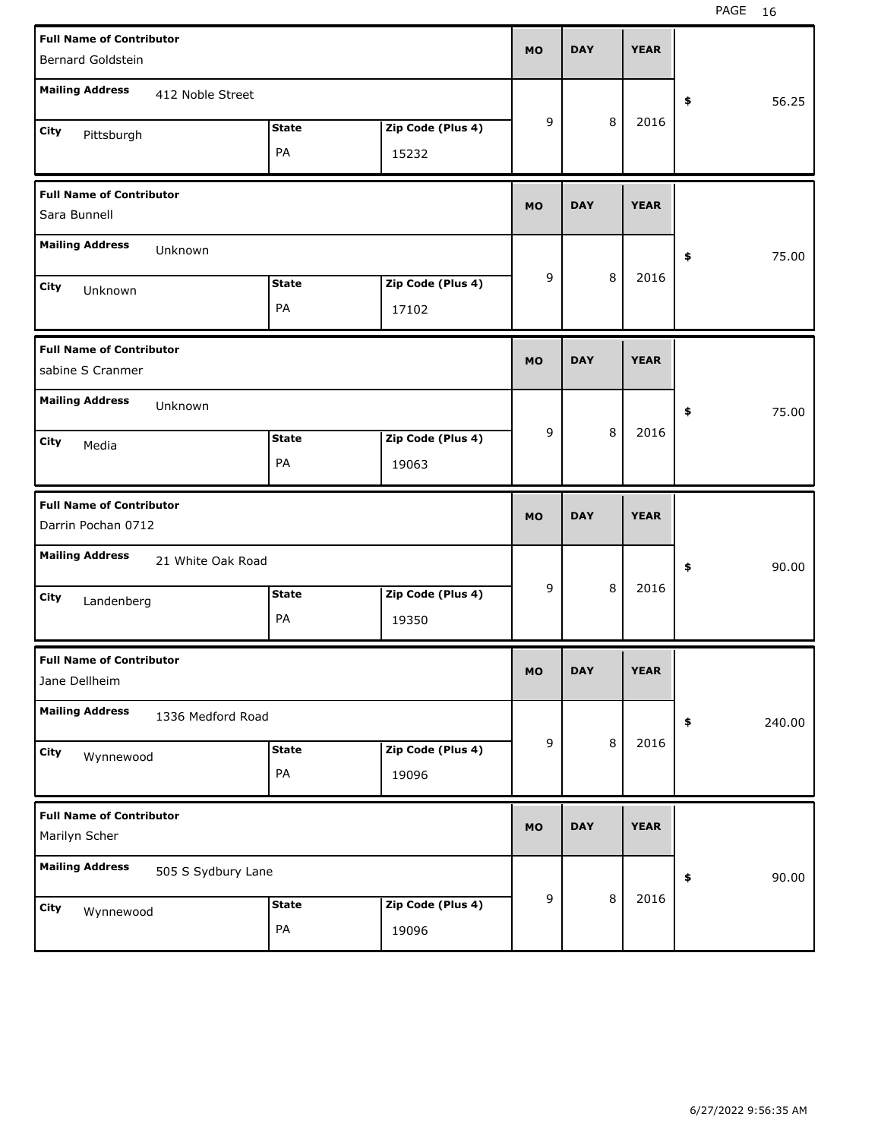| <b>Full Name of Contributor</b><br>Bernard Goldstein  |                    |                    |                            | <b>MO</b>   | <b>DAY</b> |         | <b>YEAR</b> |              |
|-------------------------------------------------------|--------------------|--------------------|----------------------------|-------------|------------|---------|-------------|--------------|
| <b>Mailing Address</b>                                | 412 Noble Street   |                    |                            |             |            |         |             | \$<br>56.25  |
| City<br>Pittsburgh                                    |                    | <b>State</b><br>PA | Zip Code (Plus 4)<br>15232 | 9           |            | 8       | 2016        |              |
| <b>Full Name of Contributor</b><br>Sara Bunnell       |                    |                    |                            | <b>MO</b>   | <b>DAY</b> |         | <b>YEAR</b> |              |
| <b>Mailing Address</b>                                | Unknown            |                    |                            |             |            |         |             | \$<br>75.00  |
| City<br>Unknown                                       |                    | <b>State</b><br>PA | Zip Code (Plus 4)<br>17102 | 9           |            | 8       | 2016        |              |
| <b>Full Name of Contributor</b><br>sabine S Cranmer   |                    |                    |                            | <b>MO</b>   | <b>DAY</b> |         | <b>YEAR</b> |              |
| <b>Mailing Address</b>                                | Unknown            |                    |                            |             |            |         |             | \$<br>75.00  |
| City<br>Media                                         |                    | <b>State</b><br>PA | Zip Code (Plus 4)<br>19063 | 9           |            | 8       | 2016        |              |
|                                                       |                    |                    |                            |             |            |         |             |              |
| <b>Full Name of Contributor</b><br>Darrin Pochan 0712 |                    |                    |                            | <b>MO</b>   | <b>DAY</b> |         | <b>YEAR</b> |              |
| <b>Mailing Address</b>                                | 21 White Oak Road  |                    |                            |             |            |         |             | \$<br>90.00  |
| City<br>Landenberg                                    |                    | <b>State</b><br>PA | Zip Code (Plus 4)<br>19350 | 9           |            | 8       | 2016        |              |
| <b>Full Name of Contributor</b><br>Jane Dellheim      |                    |                    |                            | <b>MO</b>   | <b>DAY</b> |         | <b>YEAR</b> |              |
| <b>Mailing Address</b>                                | 1336 Medford Road  |                    |                            |             |            |         |             | \$<br>240.00 |
| City<br>Wynnewood                                     |                    | <b>State</b><br>PA | Zip Code (Plus 4)<br>19096 | $\mathsf g$ |            | $\,8\,$ | 2016        |              |
| <b>Full Name of Contributor</b><br>Marilyn Scher      |                    |                    |                            | <b>MO</b>   | <b>DAY</b> |         | <b>YEAR</b> |              |
| <b>Mailing Address</b>                                | 505 S Sydbury Lane |                    |                            | $\mathsf g$ |            | $\,8\,$ | 2016        | \$<br>90.00  |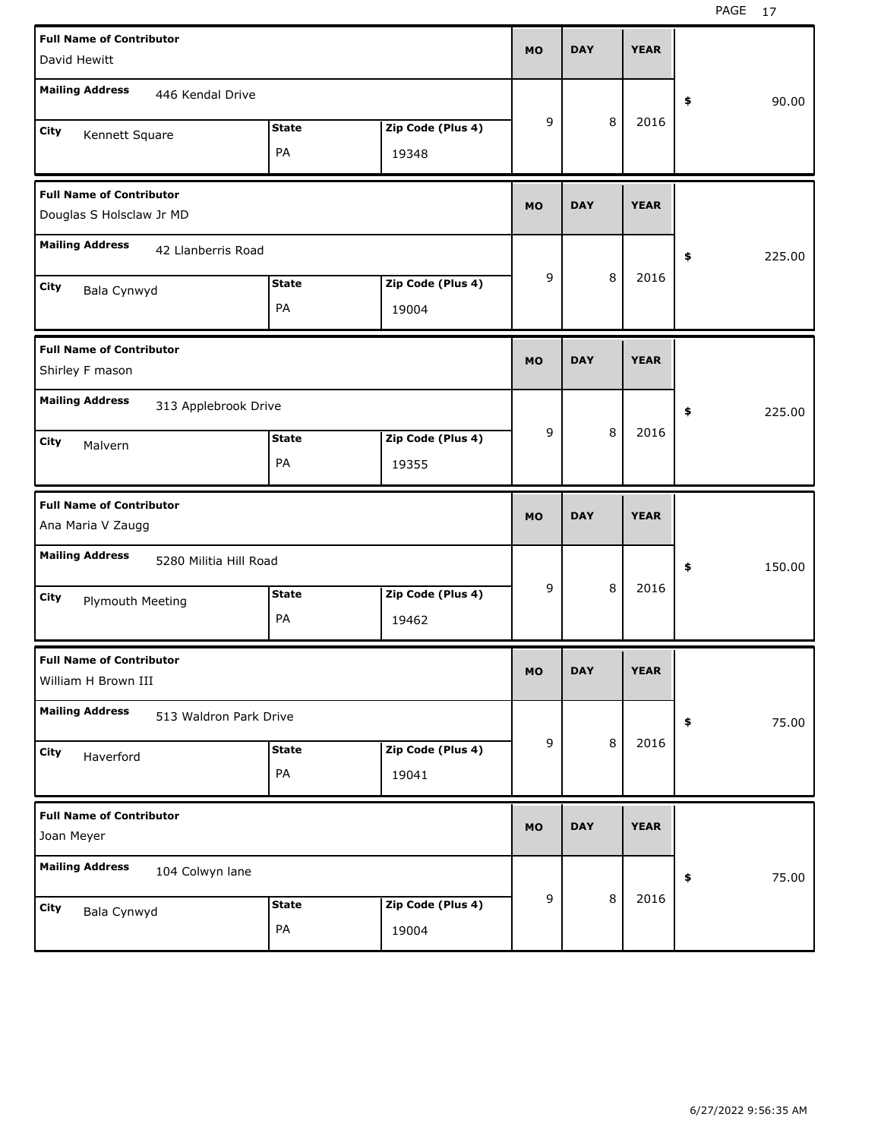| <b>Full Name of Contributor</b><br>David Hewitt             |                    |                            | <b>MO</b> | <b>DAY</b> |         | <b>YEAR</b> |              |
|-------------------------------------------------------------|--------------------|----------------------------|-----------|------------|---------|-------------|--------------|
| <b>Mailing Address</b><br>446 Kendal Drive                  |                    |                            |           |            |         |             | \$<br>90.00  |
| City<br>Kennett Square                                      | <b>State</b><br>PA | Zip Code (Plus 4)<br>19348 | 9         |            | 8       | 2016        |              |
| <b>Full Name of Contributor</b><br>Douglas S Holsclaw Jr MD |                    |                            | <b>MO</b> | <b>DAY</b> |         | <b>YEAR</b> |              |
| <b>Mailing Address</b><br>42 Llanberris Road                |                    |                            |           |            |         |             | \$<br>225.00 |
| City<br>Bala Cynwyd                                         | <b>State</b><br>PA | Zip Code (Plus 4)<br>19004 | 9         |            | 8       | 2016        |              |
| <b>Full Name of Contributor</b><br>Shirley F mason          |                    |                            | <b>MO</b> | <b>DAY</b> |         | <b>YEAR</b> |              |
| <b>Mailing Address</b><br>313 Applebrook Drive              |                    |                            |           |            |         |             | \$<br>225.00 |
| City<br>Malvern                                             | <b>State</b><br>PA | Zip Code (Plus 4)<br>19355 | 9         |            | 8       | 2016        |              |
|                                                             |                    |                            |           |            |         |             |              |
| <b>Full Name of Contributor</b><br>Ana Maria V Zaugg        |                    |                            | <b>MO</b> | <b>DAY</b> |         | <b>YEAR</b> |              |
| <b>Mailing Address</b><br>5280 Militia Hill Road            |                    |                            |           |            |         |             | \$<br>150.00 |
| City<br><b>Plymouth Meeting</b>                             | <b>State</b><br>PA | Zip Code (Plus 4)<br>19462 | 9         |            | 8       | 2016        |              |
| <b>Full Name of Contributor</b><br>William H Brown III      |                    |                            | <b>MO</b> | <b>DAY</b> |         | <b>YEAR</b> |              |
| <b>Mailing Address</b><br>513 Waldron Park Drive            |                    |                            |           |            |         |             | \$<br>75.00  |
| City<br>Haverford                                           | <b>State</b><br>PA | Zip Code (Plus 4)<br>19041 | 9         |            | $\,8\,$ | 2016        |              |
| <b>Full Name of Contributor</b><br>Joan Meyer               |                    |                            | <b>MO</b> | <b>DAY</b> |         | <b>YEAR</b> |              |
| <b>Mailing Address</b><br>104 Colwyn lane                   |                    |                            | 9         |            | 8       | 2016        | \$<br>75.00  |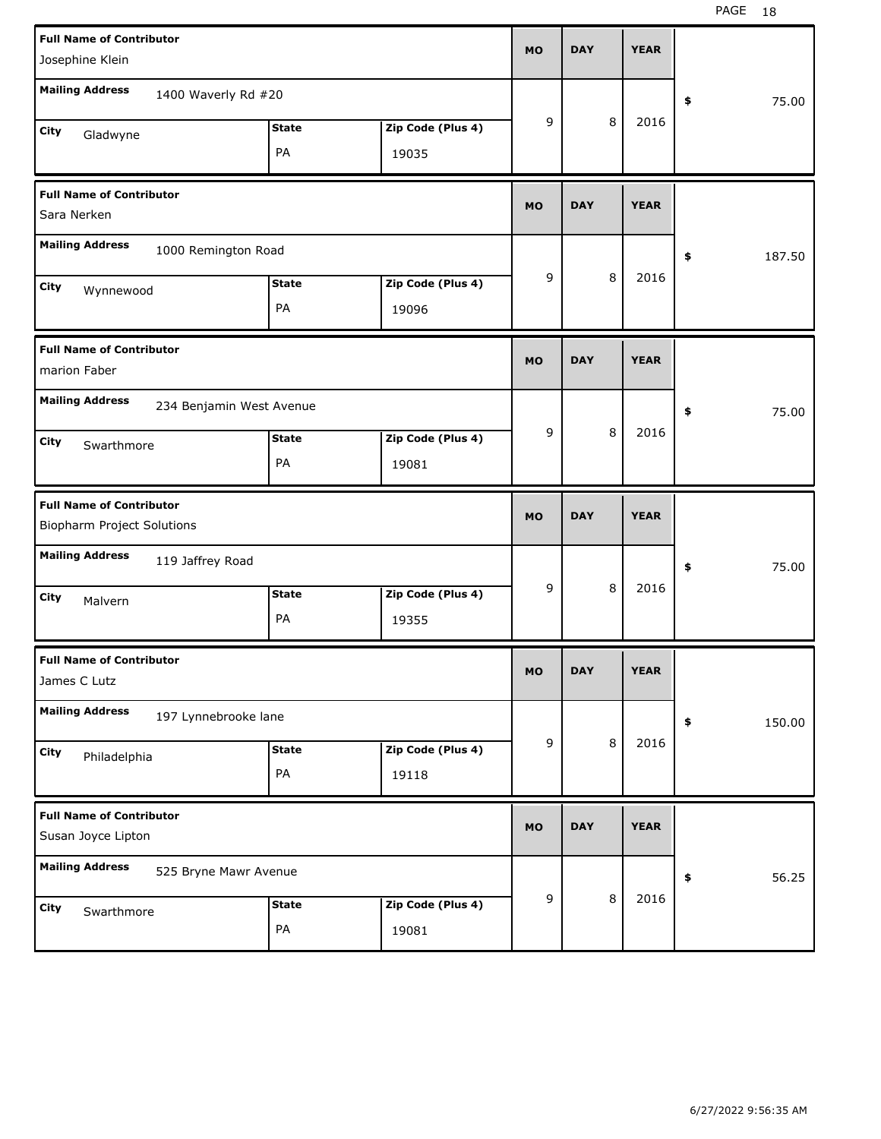| <b>Full Name of Contributor</b>                               |                          |              |                   |           |            |   |             |              |
|---------------------------------------------------------------|--------------------------|--------------|-------------------|-----------|------------|---|-------------|--------------|
| Josephine Klein                                               |                          |              |                   | <b>MO</b> | <b>DAY</b> |   | <b>YEAR</b> |              |
| <b>Mailing Address</b>                                        | 1400 Waverly Rd #20      |              |                   |           |            |   |             | \$<br>75.00  |
| City<br>Gladwyne                                              |                          | <b>State</b> | Zip Code (Plus 4) | 9         |            | 8 | 2016        |              |
|                                                               |                          | PA           | 19035             |           |            |   |             |              |
| <b>Full Name of Contributor</b><br>Sara Nerken                |                          |              |                   | <b>MO</b> | <b>DAY</b> |   | <b>YEAR</b> |              |
| <b>Mailing Address</b>                                        | 1000 Remington Road      |              |                   |           |            |   |             | \$<br>187.50 |
| City<br>Wynnewood                                             |                          | <b>State</b> | Zip Code (Plus 4) | 9         |            | 8 | 2016        |              |
|                                                               |                          | PA           | 19096             |           |            |   |             |              |
| <b>Full Name of Contributor</b><br>marion Faber               |                          |              |                   | <b>MO</b> | <b>DAY</b> |   | <b>YEAR</b> |              |
| <b>Mailing Address</b>                                        | 234 Benjamin West Avenue |              |                   |           |            |   |             | \$<br>75.00  |
| City<br>Swarthmore                                            |                          | <b>State</b> | Zip Code (Plus 4) | 9         |            | 8 | 2016        |              |
|                                                               |                          | PA           | 19081             |           |            |   |             |              |
|                                                               |                          |              |                   |           |            |   |             |              |
| <b>Full Name of Contributor</b><br>Biopharm Project Solutions |                          |              |                   | <b>MO</b> | <b>DAY</b> |   | <b>YEAR</b> |              |
| <b>Mailing Address</b>                                        | 119 Jaffrey Road         |              |                   |           |            |   |             | \$<br>75.00  |
| City<br>Malvern                                               |                          | <b>State</b> | Zip Code (Plus 4) | 9         |            | 8 | 2016        |              |
|                                                               |                          | PA           | 19355             |           |            |   |             |              |
| <b>Full Name of Contributor</b><br>James C Lutz               |                          |              |                   | MO        | <b>DAY</b> |   | <b>YEAR</b> |              |
| <b>Mailing Address</b>                                        | 197 Lynnebrooke lane     |              |                   |           |            |   |             | \$<br>150.00 |
| City                                                          |                          | <b>State</b> | Zip Code (Plus 4) | 9         |            | 8 | 2016        |              |
| Philadelphia                                                  |                          | PA           | 19118             |           |            |   |             |              |
| <b>Full Name of Contributor</b><br>Susan Joyce Lipton         |                          |              |                   | MO        | <b>DAY</b> |   | <b>YEAR</b> |              |
| <b>Mailing Address</b>                                        | 525 Bryne Mawr Avenue    |              |                   |           |            |   |             | \$<br>56.25  |
| City<br>Swarthmore                                            |                          | <b>State</b> | Zip Code (Plus 4) | 9         |            | 8 | 2016        |              |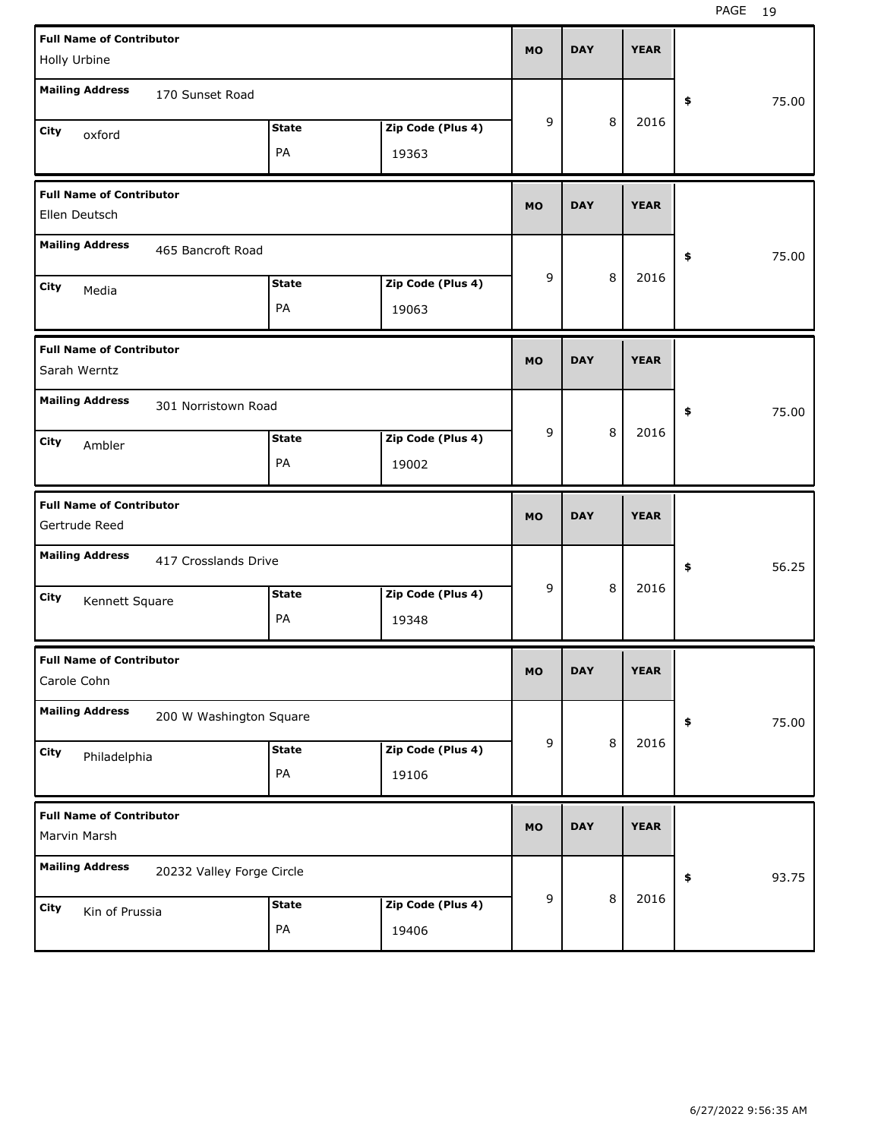| <b>Full Name of Contributor</b><br>Holly Urbine  |                           |              |                   | <b>MO</b> | <b>DAY</b> |   | <b>YEAR</b> |             |
|--------------------------------------------------|---------------------------|--------------|-------------------|-----------|------------|---|-------------|-------------|
|                                                  |                           |              |                   |           |            |   |             |             |
| <b>Mailing Address</b>                           | 170 Sunset Road           |              |                   |           |            |   |             | \$<br>75.00 |
| City<br>oxford                                   |                           | <b>State</b> | Zip Code (Plus 4) | 9         |            | 8 | 2016        |             |
|                                                  |                           | PA           | 19363             |           |            |   |             |             |
| <b>Full Name of Contributor</b><br>Ellen Deutsch |                           |              |                   | <b>MO</b> | <b>DAY</b> |   | <b>YEAR</b> |             |
| <b>Mailing Address</b>                           | 465 Bancroft Road         |              |                   |           |            |   |             | \$<br>75.00 |
| City<br>Media                                    |                           | <b>State</b> | Zip Code (Plus 4) | 9         |            | 8 | 2016        |             |
|                                                  |                           | PA           | 19063             |           |            |   |             |             |
| <b>Full Name of Contributor</b><br>Sarah Werntz  |                           |              |                   | <b>MO</b> | <b>DAY</b> |   | <b>YEAR</b> |             |
| <b>Mailing Address</b>                           | 301 Norristown Road       |              |                   |           |            |   |             | \$<br>75.00 |
| City<br>Ambler                                   |                           | <b>State</b> | Zip Code (Plus 4) | 9         |            | 8 | 2016        |             |
|                                                  |                           | PA           | 19002             |           |            |   |             |             |
|                                                  |                           |              |                   |           |            |   |             |             |
| <b>Full Name of Contributor</b><br>Gertrude Reed |                           |              |                   | <b>MO</b> | <b>DAY</b> |   | <b>YEAR</b> |             |
| <b>Mailing Address</b>                           | 417 Crosslands Drive      |              |                   |           |            |   |             | \$<br>56.25 |
| City                                             |                           | <b>State</b> | Zip Code (Plus 4) | 9         |            | 8 | 2016        |             |
| Kennett Square                                   |                           | PA           | 19348             |           |            |   |             |             |
| <b>Full Name of Contributor</b><br>Carole Cohn   |                           |              |                   | <b>MO</b> | <b>DAY</b> |   | <b>YEAR</b> |             |
| <b>Mailing Address</b>                           | 200 W Washington Square   |              |                   |           |            |   |             | \$<br>75.00 |
| City                                             |                           | <b>State</b> | Zip Code (Plus 4) | 9         |            | 8 | 2016        |             |
| Philadelphia                                     |                           | PA           | 19106             |           |            |   |             |             |
| <b>Full Name of Contributor</b><br>Marvin Marsh  |                           |              |                   | <b>MO</b> | <b>DAY</b> |   | <b>YEAR</b> |             |
| <b>Mailing Address</b>                           | 20232 Valley Forge Circle |              |                   |           |            |   |             | \$<br>93.75 |
| City<br>Kin of Prussia                           |                           | <b>State</b> | Zip Code (Plus 4) | 9         |            | 8 | 2016        |             |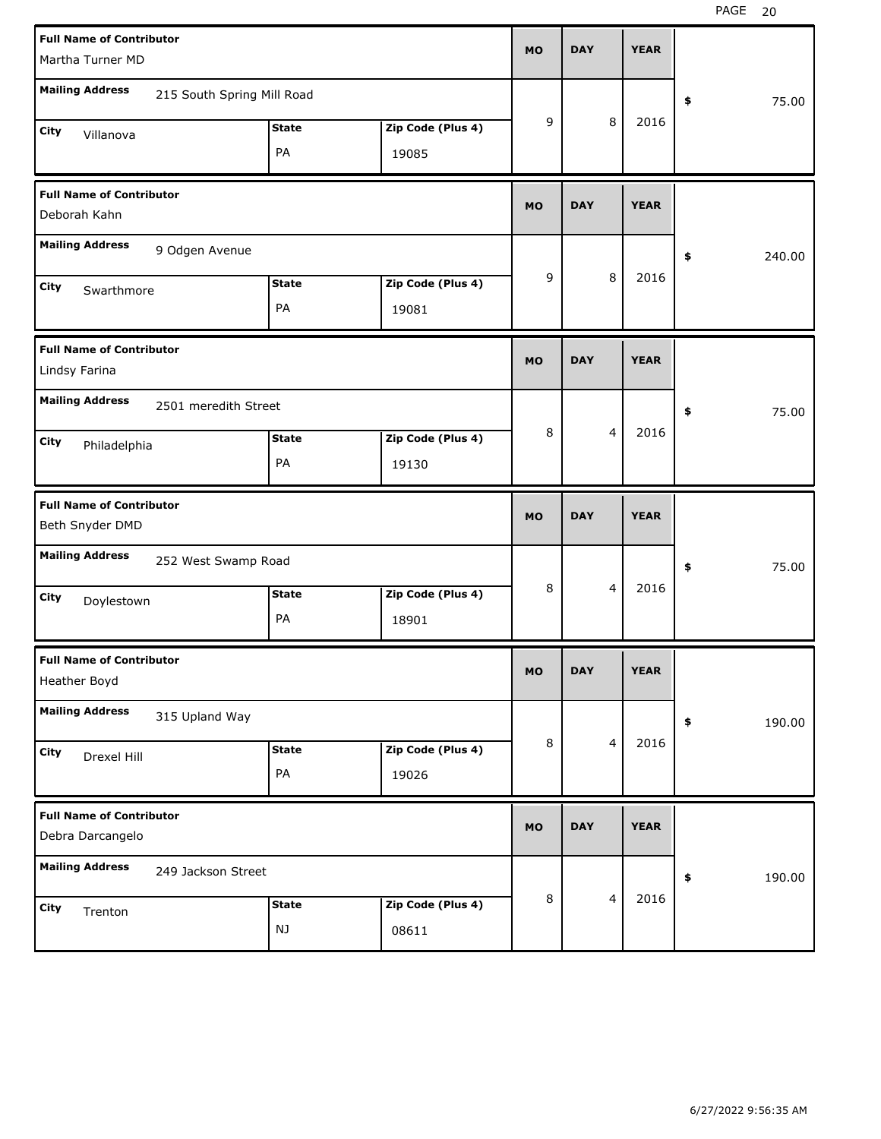| <b>Full Name of Contributor</b><br>Martha Turner MD |                            |                    |                            | <b>MO</b> | <b>DAY</b> |                         | <b>YEAR</b> |              |
|-----------------------------------------------------|----------------------------|--------------------|----------------------------|-----------|------------|-------------------------|-------------|--------------|
| <b>Mailing Address</b>                              | 215 South Spring Mill Road |                    |                            |           |            |                         |             | \$<br>75.00  |
| City<br>Villanova                                   |                            | <b>State</b><br>PA | Zip Code (Plus 4)<br>19085 | 9         |            | 8                       | 2016        |              |
| <b>Full Name of Contributor</b><br>Deborah Kahn     |                            |                    |                            | <b>MO</b> | <b>DAY</b> |                         | <b>YEAR</b> |              |
| <b>Mailing Address</b>                              | 9 Odgen Avenue             |                    |                            |           |            |                         |             | \$<br>240.00 |
| City<br>Swarthmore                                  |                            | <b>State</b><br>PA | Zip Code (Plus 4)<br>19081 | 9         |            | 8                       | 2016        |              |
| <b>Full Name of Contributor</b><br>Lindsy Farina    |                            |                    |                            | <b>MO</b> | <b>DAY</b> |                         | <b>YEAR</b> |              |
| <b>Mailing Address</b>                              | 2501 meredith Street       |                    |                            |           |            |                         |             | \$<br>75.00  |
| City<br>Philadelphia                                |                            | <b>State</b><br>PA | Zip Code (Plus 4)<br>19130 | 8         |            | $\overline{4}$          | 2016        |              |
|                                                     |                            |                    |                            |           |            |                         |             |              |
| <b>Full Name of Contributor</b><br>Beth Snyder DMD  |                            |                    |                            | <b>MO</b> | <b>DAY</b> |                         | <b>YEAR</b> |              |
| <b>Mailing Address</b>                              | 252 West Swamp Road        |                    |                            |           |            |                         |             | \$<br>75.00  |
| City<br>Doylestown                                  |                            | <b>State</b><br>PA | Zip Code (Plus 4)<br>18901 | 8         |            | $\overline{4}$          | 2016        |              |
| <b>Full Name of Contributor</b><br>Heather Boyd     |                            |                    |                            | <b>MO</b> | <b>DAY</b> |                         | <b>YEAR</b> |              |
| <b>Mailing Address</b>                              | 315 Upland Way             |                    |                            |           |            |                         |             | \$<br>190.00 |
| City<br>Drexel Hill                                 |                            | <b>State</b><br>PA | Zip Code (Plus 4)<br>19026 | 8         |            | $\overline{\mathbf{4}}$ | 2016        |              |
| <b>Full Name of Contributor</b><br>Debra Darcangelo |                            |                    |                            | <b>MO</b> | <b>DAY</b> |                         | <b>YEAR</b> |              |
| <b>Mailing Address</b>                              | 249 Jackson Street         |                    |                            | 8         |            | $\overline{\mathbf{4}}$ | 2016        | \$<br>190.00 |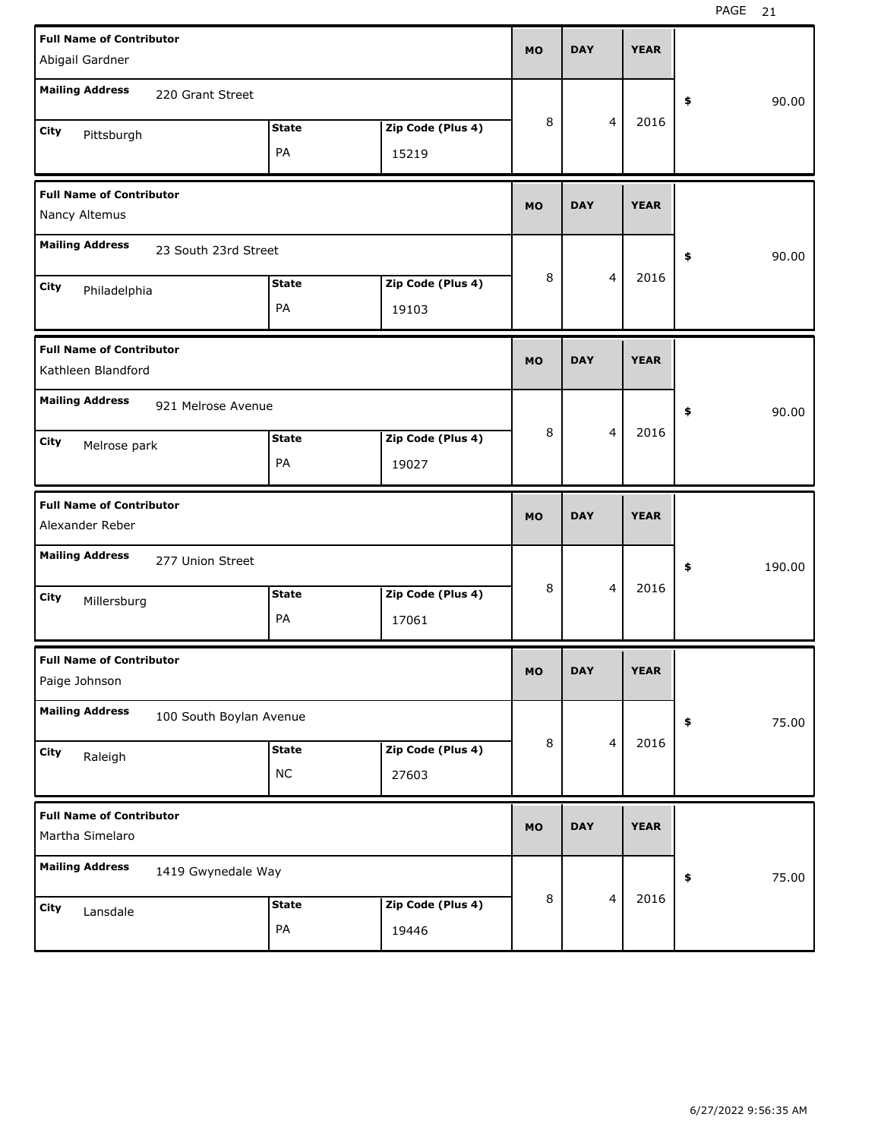| <b>Full Name of Contributor</b><br>Abigail Gardner                       | <b>MO</b> | <b>DAY</b> |                         | <b>YEAR</b> |              |
|--------------------------------------------------------------------------|-----------|------------|-------------------------|-------------|--------------|
| <b>Mailing Address</b><br>220 Grant Street                               |           |            |                         |             | \$<br>90.00  |
| Zip Code (Plus 4)<br><b>State</b><br>City<br>Pittsburgh<br>PA<br>15219   | 8         |            | $\overline{4}$          | 2016        |              |
| <b>Full Name of Contributor</b><br>Nancy Altemus                         | <b>MO</b> | <b>DAY</b> |                         | <b>YEAR</b> |              |
| <b>Mailing Address</b><br>23 South 23rd Street                           |           |            |                         |             | \$<br>90.00  |
| Zip Code (Plus 4)<br><b>State</b><br>City<br>Philadelphia<br>PA<br>19103 | 8         |            | $\overline{4}$          | 2016        |              |
| <b>Full Name of Contributor</b><br>Kathleen Blandford                    | <b>MO</b> | <b>DAY</b> |                         | <b>YEAR</b> |              |
| <b>Mailing Address</b><br>921 Melrose Avenue                             |           |            |                         |             | \$<br>90.00  |
| Zip Code (Plus 4)<br><b>State</b><br>City<br>Melrose park<br>PA<br>19027 | 8         |            | $\overline{4}$          | 2016        |              |
|                                                                          |           |            |                         |             |              |
| <b>Full Name of Contributor</b><br>Alexander Reber                       | <b>MO</b> | <b>DAY</b> |                         | <b>YEAR</b> |              |
| <b>Mailing Address</b><br>277 Union Street                               |           |            |                         |             | \$<br>190.00 |
| Zip Code (Plus 4)<br><b>State</b><br>City<br>Millersburg<br>PA<br>17061  | 8         |            | $\overline{4}$          | 2016        |              |
| <b>Full Name of Contributor</b><br>Paige Johnson                         | <b>MO</b> | <b>DAY</b> |                         | <b>YEAR</b> |              |
| <b>Mailing Address</b><br>100 South Boylan Avenue                        |           |            |                         |             | \$<br>75.00  |
| Zip Code (Plus 4)<br><b>State</b><br>City<br>Raleigh<br>$NC$<br>27603    | $\,8\,$   |            | $\overline{\mathbf{4}}$ | 2016        |              |
| <b>Full Name of Contributor</b><br>Martha Simelaro                       | <b>MO</b> | <b>DAY</b> |                         | <b>YEAR</b> |              |
| <b>Mailing Address</b><br>1419 Gwynedale Way                             | $\,8\,$   |            | $\overline{\mathbf{4}}$ | 2016        | \$<br>75.00  |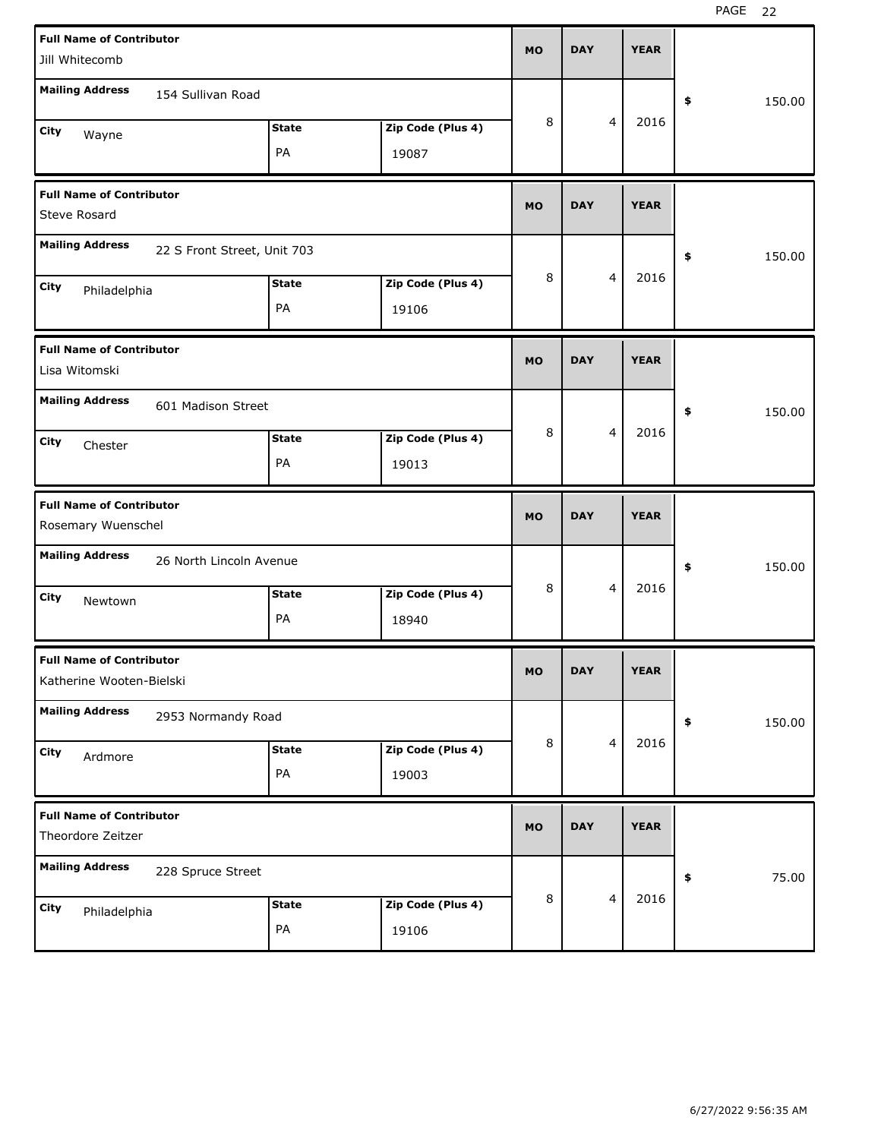| <b>Full Name of Contributor</b><br>Jill Whitecomb           |                            | <b>MO</b> | <b>DAY</b> |   | <b>YEAR</b> |              |
|-------------------------------------------------------------|----------------------------|-----------|------------|---|-------------|--------------|
| <b>Mailing Address</b><br>154 Sullivan Road                 |                            |           |            |   |             | \$<br>150.00 |
| <b>State</b><br>City<br>Wayne<br>PA                         | Zip Code (Plus 4)<br>19087 | 8         |            | 4 | 2016        |              |
| <b>Full Name of Contributor</b><br><b>Steve Rosard</b>      |                            | <b>MO</b> | <b>DAY</b> |   | <b>YEAR</b> |              |
| <b>Mailing Address</b><br>22 S Front Street, Unit 703       |                            |           |            |   |             | \$<br>150.00 |
| <b>State</b><br>City<br>Philadelphia<br>PA                  | Zip Code (Plus 4)<br>19106 | 8         |            | 4 | 2016        |              |
| <b>Full Name of Contributor</b><br>Lisa Witomski            |                            | <b>MO</b> | <b>DAY</b> |   | <b>YEAR</b> |              |
| <b>Mailing Address</b><br>601 Madison Street                |                            |           |            |   |             | \$<br>150.00 |
| <b>State</b><br>City<br>Chester<br>PA                       | Zip Code (Plus 4)<br>19013 | 8         |            | 4 | 2016        |              |
|                                                             |                            |           |            |   |             |              |
| <b>Full Name of Contributor</b><br>Rosemary Wuenschel       |                            | <b>MO</b> | <b>DAY</b> |   | <b>YEAR</b> |              |
| <b>Mailing Address</b><br>26 North Lincoln Avenue           |                            |           |            |   |             | \$<br>150.00 |
| <b>State</b><br>City<br>Newtown<br>PA                       | Zip Code (Plus 4)<br>18940 | 8         |            | 4 | 2016        |              |
| <b>Full Name of Contributor</b><br>Katherine Wooten-Bielski |                            | МO        | <b>DAY</b> |   | <b>YEAR</b> |              |
| <b>Mailing Address</b><br>2953 Normandy Road                |                            |           |            |   |             | \$<br>150.00 |
| <b>State</b><br>City<br>Ardmore<br>$\mathsf{PA}$            | Zip Code (Plus 4)<br>19003 | 8         |            | 4 | 2016        |              |
| <b>Full Name of Contributor</b><br>Theordore Zeitzer        |                            | <b>MO</b> | <b>DAY</b> |   | <b>YEAR</b> |              |
| <b>Mailing Address</b><br>228 Spruce Street                 |                            | 8         |            | 4 | 2016        | \$<br>75.00  |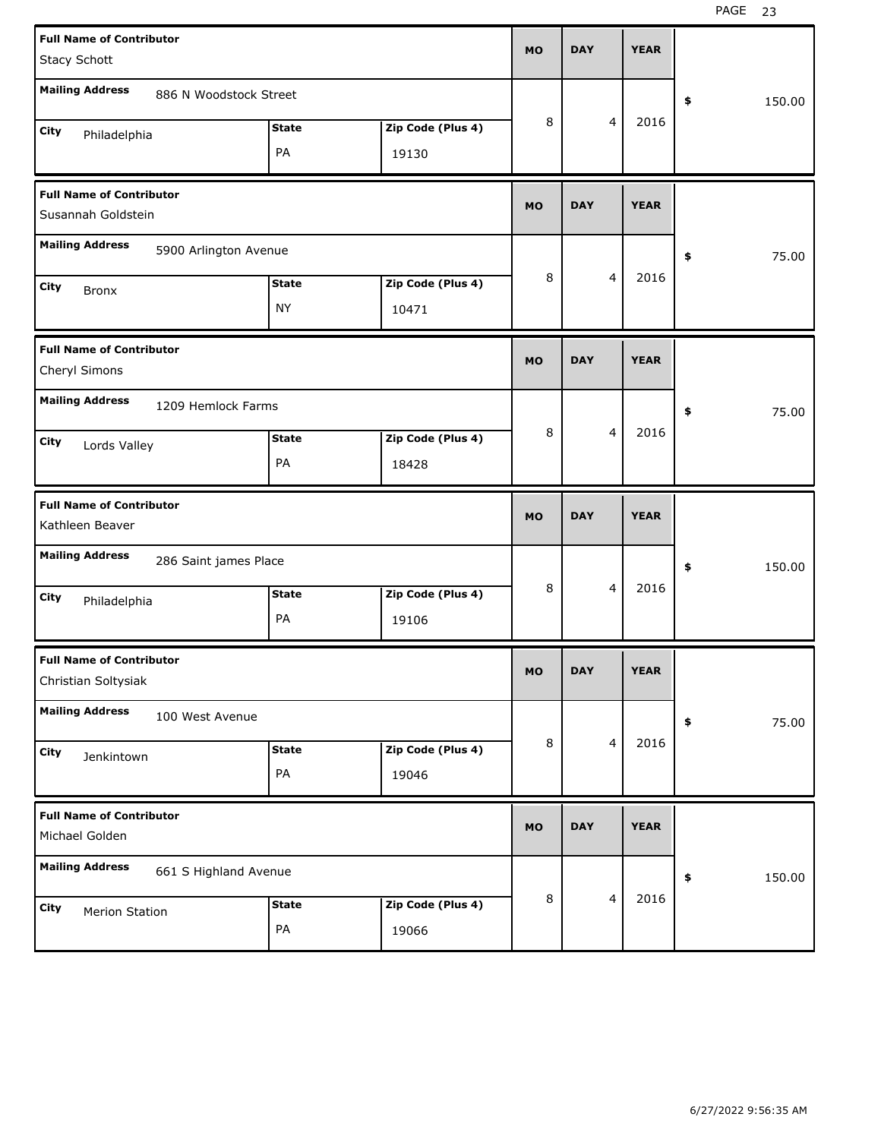| <b>Full Name of Contributor</b><br>Stacy Schott        |                        |                           |                            | <b>MO</b> | <b>DAY</b> |                         | <b>YEAR</b> |              |
|--------------------------------------------------------|------------------------|---------------------------|----------------------------|-----------|------------|-------------------------|-------------|--------------|
| <b>Mailing Address</b>                                 | 886 N Woodstock Street |                           |                            |           |            |                         |             | \$<br>150.00 |
| City<br>Philadelphia                                   |                        | <b>State</b><br>PA        | Zip Code (Plus 4)<br>19130 | 8         |            | 4                       | 2016        |              |
| <b>Full Name of Contributor</b><br>Susannah Goldstein  |                        |                           |                            | <b>MO</b> | <b>DAY</b> |                         | <b>YEAR</b> |              |
| <b>Mailing Address</b>                                 | 5900 Arlington Avenue  |                           |                            |           |            |                         |             | \$<br>75.00  |
| City<br><b>Bronx</b>                                   |                        | <b>State</b><br><b>NY</b> | Zip Code (Plus 4)<br>10471 | 8         |            | $\overline{\mathbf{4}}$ | 2016        |              |
| <b>Full Name of Contributor</b><br>Cheryl Simons       |                        |                           |                            | <b>MO</b> | <b>DAY</b> |                         | <b>YEAR</b> |              |
| <b>Mailing Address</b>                                 | 1209 Hemlock Farms     |                           |                            |           |            |                         |             | \$<br>75.00  |
| City<br>Lords Valley                                   |                        | <b>State</b><br>PA        | Zip Code (Plus 4)<br>18428 | 8         |            | $\overline{\mathbf{4}}$ | 2016        |              |
|                                                        |                        |                           |                            |           |            |                         |             |              |
| <b>Full Name of Contributor</b><br>Kathleen Beaver     |                        |                           |                            | <b>MO</b> | <b>DAY</b> |                         | <b>YEAR</b> |              |
| <b>Mailing Address</b>                                 | 286 Saint james Place  |                           |                            |           |            |                         |             | \$<br>150.00 |
| City<br>Philadelphia                                   |                        | <b>State</b><br>PA        | Zip Code (Plus 4)<br>19106 | 8         |            | $\overline{\mathbf{4}}$ | 2016        |              |
| <b>Full Name of Contributor</b><br>Christian Soltysiak |                        |                           |                            | <b>MO</b> | <b>DAY</b> |                         | <b>YEAR</b> |              |
| <b>Mailing Address</b>                                 | 100 West Avenue        |                           |                            |           |            |                         |             | \$<br>75.00  |
| City<br>Jenkintown                                     |                        | <b>State</b><br>PA        | Zip Code (Plus 4)<br>19046 | 8         |            | 4                       | 2016        |              |
| <b>Full Name of Contributor</b><br>Michael Golden      |                        |                           |                            | <b>MO</b> | <b>DAY</b> |                         | <b>YEAR</b> |              |
| <b>Mailing Address</b>                                 | 661 S Highland Avenue  |                           |                            |           |            | 4                       | 2016        | \$<br>150.00 |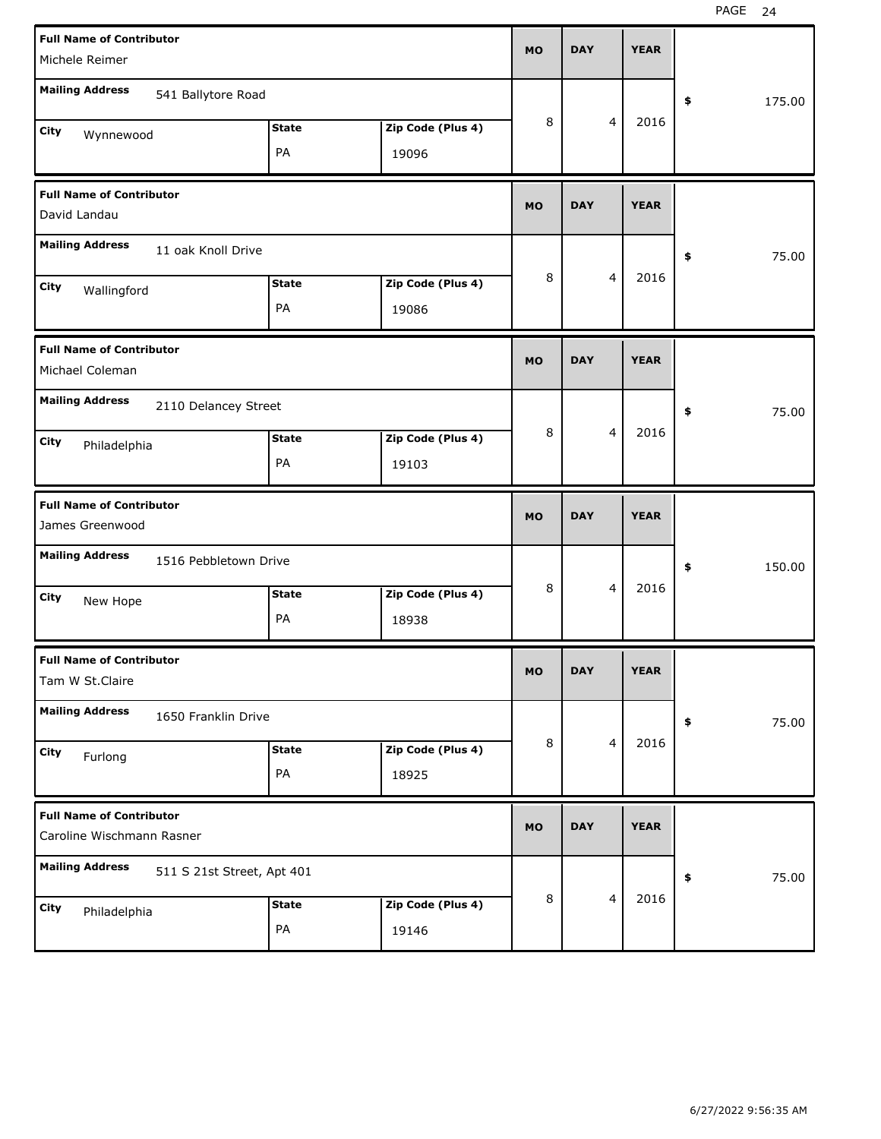| <b>Full Name of Contributor</b><br>Michele Reimer            |                            |                    |                            | <b>MO</b> | <b>DAY</b> |                         | <b>YEAR</b> |              |
|--------------------------------------------------------------|----------------------------|--------------------|----------------------------|-----------|------------|-------------------------|-------------|--------------|
| <b>Mailing Address</b>                                       | 541 Ballytore Road         |                    |                            |           |            |                         |             | \$<br>175.00 |
| City<br>Wynnewood                                            |                            | <b>State</b><br>PA | Zip Code (Plus 4)<br>19096 | 8         |            | $\overline{4}$          | 2016        |              |
| <b>Full Name of Contributor</b><br>David Landau              |                            |                    |                            | <b>MO</b> | <b>DAY</b> |                         | <b>YEAR</b> |              |
| <b>Mailing Address</b>                                       | 11 oak Knoll Drive         |                    |                            |           |            |                         |             | \$<br>75.00  |
| City<br>Wallingford                                          |                            | <b>State</b><br>PA | Zip Code (Plus 4)<br>19086 | 8         |            | $\overline{4}$          | 2016        |              |
| <b>Full Name of Contributor</b><br>Michael Coleman           |                            |                    |                            | <b>MO</b> | <b>DAY</b> |                         | <b>YEAR</b> |              |
| <b>Mailing Address</b>                                       | 2110 Delancey Street       |                    |                            |           |            |                         |             | \$<br>75.00  |
| City<br>Philadelphia                                         |                            | <b>State</b><br>PA | Zip Code (Plus 4)<br>19103 | 8         |            | $\overline{4}$          | 2016        |              |
|                                                              |                            |                    |                            |           |            |                         |             |              |
| <b>Full Name of Contributor</b><br>James Greenwood           |                            |                    |                            | <b>MO</b> | <b>DAY</b> |                         | <b>YEAR</b> |              |
| <b>Mailing Address</b>                                       | 1516 Pebbletown Drive      |                    |                            |           |            |                         |             | \$<br>150.00 |
| City<br>New Hope                                             |                            | <b>State</b><br>PA | Zip Code (Plus 4)<br>18938 | 8         |            | $\overline{4}$          | 2016        |              |
| <b>Full Name of Contributor</b><br>Tam W St.Claire           |                            |                    |                            | <b>MO</b> | <b>DAY</b> |                         | <b>YEAR</b> |              |
| <b>Mailing Address</b>                                       | 1650 Franklin Drive        |                    |                            |           |            |                         |             | \$<br>75.00  |
| City<br>Furlong                                              |                            | <b>State</b><br>PA | Zip Code (Plus 4)<br>18925 | 8         |            | $\overline{\mathbf{4}}$ | 2016        |              |
| <b>Full Name of Contributor</b><br>Caroline Wischmann Rasner |                            |                    |                            | <b>MO</b> | <b>DAY</b> |                         | <b>YEAR</b> |              |
| <b>Mailing Address</b>                                       | 511 S 21st Street, Apt 401 |                    |                            |           |            | $\overline{\mathbf{4}}$ | 2016        | \$<br>75.00  |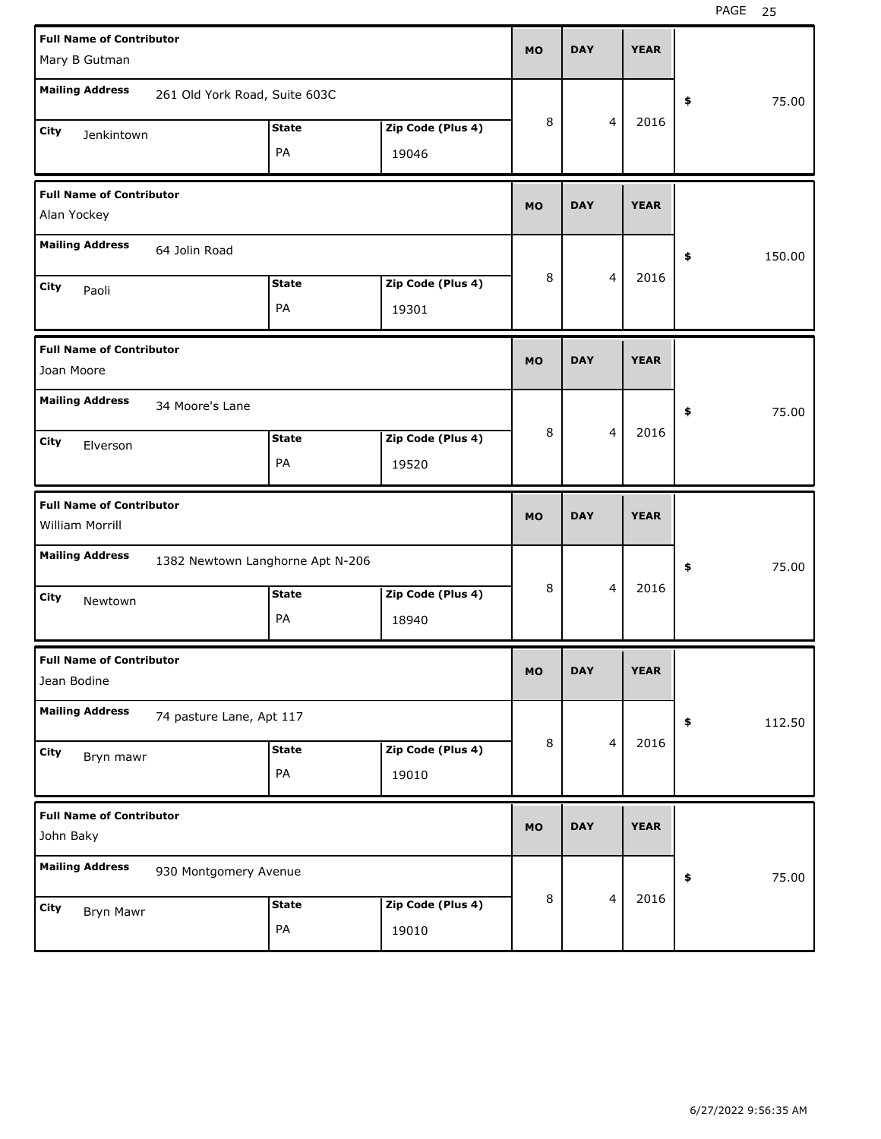| <b>Full Name of Contributor</b> |                                  |              |                   | <b>MO</b> | <b>DAY</b> |   | <b>YEAR</b> |            |        |
|---------------------------------|----------------------------------|--------------|-------------------|-----------|------------|---|-------------|------------|--------|
| Mary B Gutman                   |                                  |              |                   |           |            |   |             |            |        |
| <b>Mailing Address</b>          | 261 Old York Road, Suite 603C    |              |                   |           |            |   |             | \$         | 75.00  |
| City<br>Jenkintown              |                                  | <b>State</b> | Zip Code (Plus 4) | 8         |            | 4 | 2016        |            |        |
|                                 |                                  | PA           | 19046             |           |            |   |             |            |        |
| <b>Full Name of Contributor</b> |                                  |              |                   | <b>MO</b> | <b>DAY</b> |   | <b>YEAR</b> |            |        |
| Alan Yockey                     |                                  |              |                   |           |            |   |             |            |        |
| <b>Mailing Address</b>          | 64 Jolin Road                    |              |                   |           |            |   |             | \$         | 150.00 |
| City<br>Paoli                   |                                  | <b>State</b> | Zip Code (Plus 4) | 8         |            | 4 | 2016        |            |        |
|                                 |                                  | PA           | 19301             |           |            |   |             |            |        |
| <b>Full Name of Contributor</b> |                                  |              |                   | <b>MO</b> | <b>DAY</b> |   | <b>YEAR</b> |            |        |
| Joan Moore                      |                                  |              |                   |           |            |   |             |            |        |
| <b>Mailing Address</b>          | 34 Moore's Lane                  |              |                   |           |            |   |             | \$         | 75.00  |
| City<br>Elverson                |                                  | <b>State</b> | Zip Code (Plus 4) | 8         |            | 4 | 2016        |            |        |
|                                 |                                  | PA           | 19520             |           |            |   |             |            |        |
|                                 |                                  |              |                   |           |            |   |             |            |        |
| <b>Full Name of Contributor</b> |                                  |              |                   | <b>MO</b> | <b>DAY</b> |   | <b>YEAR</b> |            |        |
| William Morrill                 |                                  |              |                   |           |            |   |             |            |        |
| <b>Mailing Address</b>          | 1382 Newtown Langhorne Apt N-206 |              |                   |           |            |   |             | \$         | 75.00  |
| City                            |                                  | <b>State</b> | Zip Code (Plus 4) | 8         |            | 4 | 2016        |            |        |
| Newtown                         |                                  | PA           | 18940             |           |            |   |             |            |        |
| <b>Full Name of Contributor</b> |                                  |              |                   |           |            |   |             |            |        |
| Jean Bodine                     |                                  |              |                   | <b>MO</b> | <b>DAY</b> |   | <b>YEAR</b> |            |        |
| <b>Mailing Address</b>          | 74 pasture Lane, Apt 117         |              |                   |           |            |   |             | $\pmb{\$}$ | 112.50 |
| City                            |                                  | <b>State</b> | Zip Code (Plus 4) | 8         |            | 4 | 2016        |            |        |
| Bryn mawr                       |                                  | PA           | 19010             |           |            |   |             |            |        |
| <b>Full Name of Contributor</b> |                                  |              |                   |           |            |   |             |            |        |
| John Baky                       |                                  |              |                   | <b>MO</b> | <b>DAY</b> |   | <b>YEAR</b> |            |        |
| <b>Mailing Address</b>          | 930 Montgomery Avenue            |              |                   |           |            |   |             | \$         | 75.00  |
| City<br>Bryn Mawr               |                                  | <b>State</b> | Zip Code (Plus 4) | 8         |            | 4 | 2016        |            |        |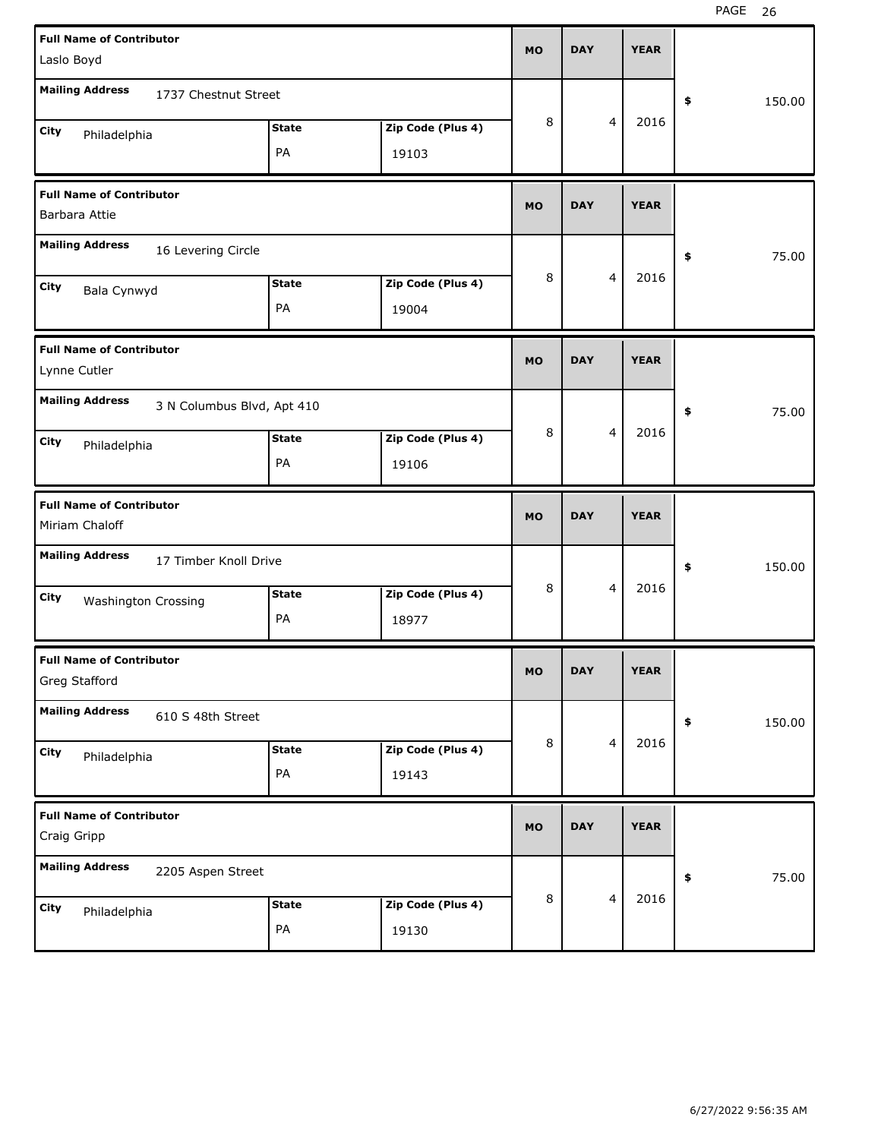| <b>Full Name of Contributor</b><br>Laslo Boyd     |                            |                   | <b>MO</b> | <b>DAY</b> | <b>YEAR</b> |              |
|---------------------------------------------------|----------------------------|-------------------|-----------|------------|-------------|--------------|
| <b>Mailing Address</b>                            |                            |                   |           |            |             |              |
| 1737 Chestnut Street                              |                            |                   | 8         | 4          | 2016        | \$<br>150.00 |
| City<br>Philadelphia                              | <b>State</b>               | Zip Code (Plus 4) |           |            |             |              |
|                                                   | PA                         | 19103             |           |            |             |              |
| <b>Full Name of Contributor</b><br>Barbara Attie  |                            |                   | <b>MO</b> | <b>DAY</b> | <b>YEAR</b> |              |
| <b>Mailing Address</b><br>16 Levering Circle      |                            |                   |           |            |             | \$<br>75.00  |
| City<br>Bala Cynwyd                               | <b>State</b>               | Zip Code (Plus 4) | 8         | 4          | 2016        |              |
|                                                   | PA                         | 19004             |           |            |             |              |
| <b>Full Name of Contributor</b>                   |                            |                   | <b>MO</b> | <b>DAY</b> | <b>YEAR</b> |              |
| Lynne Cutler                                      |                            |                   |           |            |             |              |
| <b>Mailing Address</b>                            | 3 N Columbus Blvd, Apt 410 |                   |           |            |             | \$<br>75.00  |
| City<br>Philadelphia                              | <b>State</b>               | Zip Code (Plus 4) | 8         | 4          | 2016        |              |
|                                                   | PA                         | 19106             |           |            |             |              |
|                                                   |                            |                   |           |            |             |              |
| <b>Full Name of Contributor</b><br>Miriam Chaloff |                            |                   | <b>MO</b> | <b>DAY</b> | <b>YEAR</b> |              |
| <b>Mailing Address</b><br>17 Timber Knoll Drive   |                            |                   |           |            |             | \$<br>150.00 |
| City                                              | <b>State</b>               | Zip Code (Plus 4) | 8         | 4          | 2016        |              |
| <b>Washington Crossing</b>                        | PA                         | 18977             |           |            |             |              |
| <b>Full Name of Contributor</b><br>Greg Stafford  |                            |                   | MO        | <b>DAY</b> | <b>YEAR</b> |              |
| <b>Mailing Address</b><br>610 S 48th Street       |                            |                   |           |            |             | \$<br>150.00 |
| City                                              | <b>State</b>               | Zip Code (Plus 4) | 8         | 4          | 2016        |              |
| Philadelphia                                      | PA                         | 19143             |           |            |             |              |
| <b>Full Name of Contributor</b><br>Craig Gripp    |                            |                   | <b>MO</b> | <b>DAY</b> | <b>YEAR</b> |              |
| <b>Mailing Address</b><br>2205 Aspen Street       |                            |                   |           |            |             | \$<br>75.00  |
| City<br>Philadelphia                              | <b>State</b>               | Zip Code (Plus 4) | 8         | 4          | 2016        |              |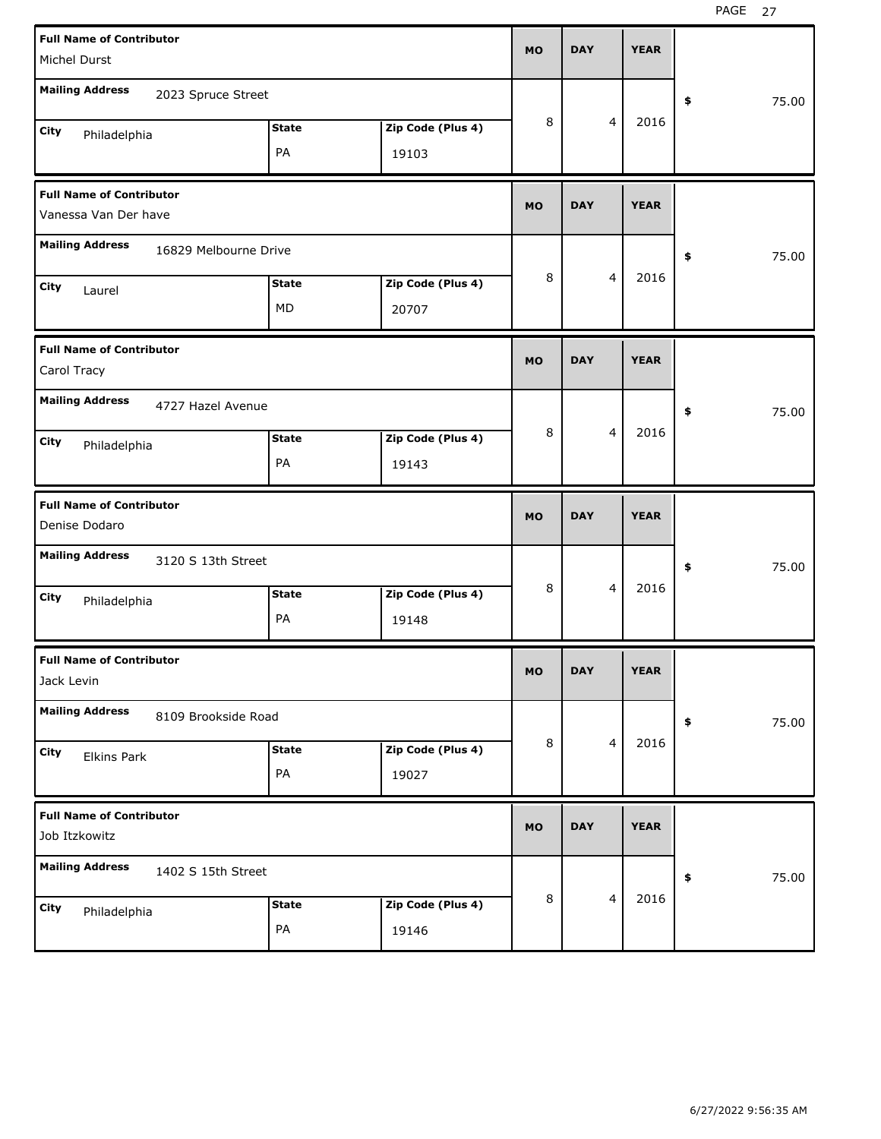| <b>Full Name of Contributor</b>                         |              |                   | <b>MO</b> | <b>DAY</b> |                | <b>YEAR</b> |             |
|---------------------------------------------------------|--------------|-------------------|-----------|------------|----------------|-------------|-------------|
| Michel Durst                                            |              |                   |           |            |                |             |             |
| <b>Mailing Address</b><br>2023 Spruce Street            |              |                   |           |            |                |             | \$<br>75.00 |
| City<br>Philadelphia                                    | <b>State</b> | Zip Code (Plus 4) | 8         |            | $\overline{4}$ | 2016        |             |
|                                                         | PA           | 19103             |           |            |                |             |             |
| <b>Full Name of Contributor</b><br>Vanessa Van Der have |              |                   | <b>MO</b> | <b>DAY</b> |                | <b>YEAR</b> |             |
| <b>Mailing Address</b>                                  |              |                   |           |            |                |             |             |
| 16829 Melbourne Drive                                   |              |                   |           |            |                |             | \$<br>75.00 |
| City<br>Laurel                                          | <b>State</b> | Zip Code (Plus 4) | 8         |            | $\overline{4}$ | 2016        |             |
|                                                         | MD           | 20707             |           |            |                |             |             |
| <b>Full Name of Contributor</b>                         |              |                   |           | <b>DAY</b> |                | <b>YEAR</b> |             |
| Carol Tracy                                             |              |                   | <b>MO</b> |            |                |             |             |
| <b>Mailing Address</b><br>4727 Hazel Avenue             |              |                   |           |            |                |             | \$<br>75.00 |
| City<br>Philadelphia                                    | <b>State</b> | Zip Code (Plus 4) | 8         |            | $\overline{4}$ | 2016        |             |
|                                                         | PA           | 19143             |           |            |                |             |             |
|                                                         |              |                   |           |            |                |             |             |
| <b>Full Name of Contributor</b>                         |              |                   | <b>MO</b> | <b>DAY</b> |                | <b>YEAR</b> |             |
| Denise Dodaro                                           |              |                   |           |            |                |             |             |
| <b>Mailing Address</b><br>3120 S 13th Street            |              |                   |           |            |                |             | \$<br>75.00 |
| City<br>Philadelphia                                    | <b>State</b> | Zip Code (Plus 4) | 8         |            | $\overline{4}$ | 2016        |             |
|                                                         | PA           | 19148             |           |            |                |             |             |
| <b>Full Name of Contributor</b>                         |              |                   |           |            |                |             |             |
| Jack Levin                                              |              |                   | <b>MO</b> | <b>DAY</b> |                | <b>YEAR</b> |             |
| <b>Mailing Address</b><br>8109 Brookside Road           |              |                   |           |            |                |             | \$<br>75.00 |
| City<br><b>Elkins Park</b>                              | <b>State</b> | Zip Code (Plus 4) | 8         |            | $\overline{a}$ | 2016        |             |
|                                                         | PA           | 19027             |           |            |                |             |             |
| <b>Full Name of Contributor</b>                         |              |                   |           |            |                |             |             |
| Job Itzkowitz                                           |              |                   | <b>MO</b> | <b>DAY</b> |                | <b>YEAR</b> |             |
| <b>Mailing Address</b><br>1402 S 15th Street            |              |                   |           |            |                |             | \$<br>75.00 |
| City<br>Philadelphia                                    | <b>State</b> | Zip Code (Plus 4) | 8         |            | $\overline{4}$ | 2016        |             |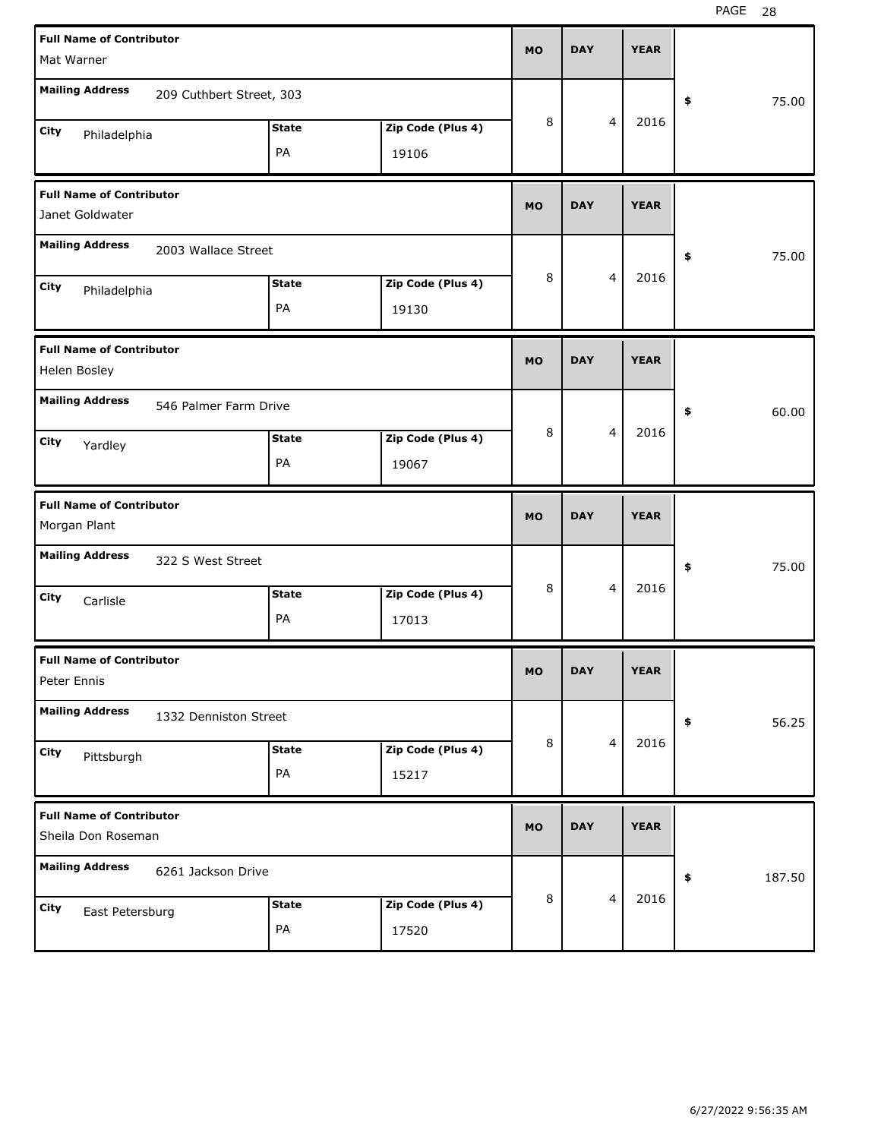PAGE 28

| <b>Full Name of Contributor</b>                       |                          |              |                   |           |            |                |             |              |
|-------------------------------------------------------|--------------------------|--------------|-------------------|-----------|------------|----------------|-------------|--------------|
| Mat Warner                                            |                          |              |                   | <b>MO</b> | <b>DAY</b> |                | <b>YEAR</b> |              |
| <b>Mailing Address</b>                                | 209 Cuthbert Street, 303 |              |                   |           |            |                |             | \$<br>75.00  |
| City<br>Philadelphia                                  |                          | <b>State</b> | Zip Code (Plus 4) | 8         |            | 4              | 2016        |              |
|                                                       |                          | PA           | 19106             |           |            |                |             |              |
| <b>Full Name of Contributor</b><br>Janet Goldwater    |                          |              |                   | <b>MO</b> | <b>DAY</b> |                | <b>YEAR</b> |              |
| <b>Mailing Address</b>                                | 2003 Wallace Street      |              |                   |           |            |                |             | \$<br>75.00  |
| City<br>Philadelphia                                  |                          | <b>State</b> | Zip Code (Plus 4) | 8         |            | 4              | 2016        |              |
|                                                       |                          | PA           | 19130             |           |            |                |             |              |
| <b>Full Name of Contributor</b><br>Helen Bosley       |                          |              |                   | <b>MO</b> | <b>DAY</b> |                | <b>YEAR</b> |              |
| <b>Mailing Address</b>                                | 546 Palmer Farm Drive    |              |                   |           |            |                |             | \$<br>60.00  |
| City<br>Yardley                                       |                          | <b>State</b> | Zip Code (Plus 4) | 8         |            | 4              | 2016        |              |
|                                                       |                          | PA           | 19067             |           |            |                |             |              |
|                                                       |                          |              |                   |           |            |                |             |              |
| <b>Full Name of Contributor</b><br>Morgan Plant       |                          |              |                   | <b>MO</b> | <b>DAY</b> |                | <b>YEAR</b> |              |
| <b>Mailing Address</b>                                | 322 S West Street        |              |                   |           |            |                |             | \$<br>75.00  |
| City<br>Carlisle                                      |                          | <b>State</b> | Zip Code (Plus 4) | 8         |            | 4              | 2016        |              |
|                                                       |                          | PA           | 17013             |           |            |                |             |              |
| <b>Full Name of Contributor</b><br>Peter Ennis        |                          |              |                   | <b>MO</b> | <b>DAY</b> |                | <b>YEAR</b> |              |
| <b>Mailing Address</b>                                | 1332 Denniston Street    |              |                   |           |            |                |             | \$<br>56.25  |
| City                                                  |                          | <b>State</b> | Zip Code (Plus 4) | 8         |            | $\overline{4}$ | 2016        |              |
| Pittsburgh                                            |                          | PA           | 15217             |           |            |                |             |              |
| <b>Full Name of Contributor</b><br>Sheila Don Roseman |                          |              |                   | <b>MO</b> | <b>DAY</b> |                | <b>YEAR</b> |              |
| <b>Mailing Address</b>                                | 6261 Jackson Drive       |              |                   |           |            |                |             | \$<br>187.50 |
| City<br>East Petersburg                               |                          | <b>State</b> | Zip Code (Plus 4) | 8         |            | 4              | 2016        |              |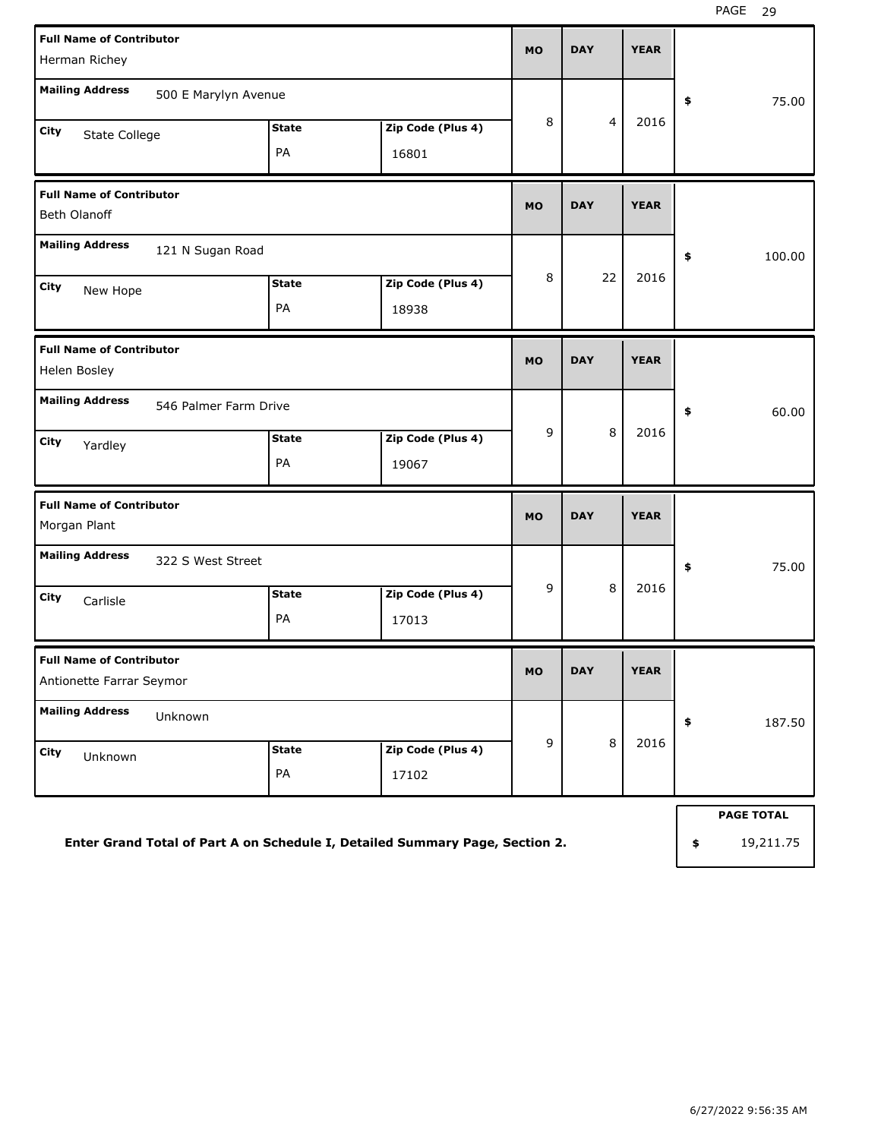| <b>Full Name of Contributor</b><br>Herman Richey                             |                    |                            | <b>MO</b>   | <b>DAY</b>     | <b>YEAR</b> |                                      |
|------------------------------------------------------------------------------|--------------------|----------------------------|-------------|----------------|-------------|--------------------------------------|
| <b>Mailing Address</b><br>500 E Marylyn Avenue                               |                    |                            |             |                |             | \$<br>75.00                          |
| City<br>State College                                                        | <b>State</b><br>PA | Zip Code (Plus 4)<br>16801 | 8           | $\overline{4}$ | 2016        |                                      |
| <b>Full Name of Contributor</b><br>Beth Olanoff                              |                    |                            | <b>MO</b>   | <b>DAY</b>     | <b>YEAR</b> |                                      |
| <b>Mailing Address</b><br>121 N Sugan Road<br>City<br>New Hope               | <b>State</b><br>PA | Zip Code (Plus 4)<br>18938 | 8           | 22             | 2016        | \$<br>100.00                         |
| <b>Full Name of Contributor</b><br>Helen Bosley                              |                    |                            | <b>MO</b>   | <b>DAY</b>     | <b>YEAR</b> |                                      |
| <b>Mailing Address</b><br>546 Palmer Farm Drive                              |                    |                            |             |                |             | \$<br>60.00                          |
| City<br>Yardley                                                              | <b>State</b><br>PA | Zip Code (Plus 4)<br>19067 | 9           | 8              | 2016        |                                      |
| <b>Full Name of Contributor</b><br>Morgan Plant                              |                    |                            | <b>MO</b>   | <b>DAY</b>     | <b>YEAR</b> |                                      |
| <b>Mailing Address</b><br>322 S West Street                                  |                    |                            |             |                |             | \$<br>75.00                          |
| City<br>Carlisle                                                             | <b>State</b><br>PA | Zip Code (Plus 4)<br>17013 | 9           | 8              | 2016        |                                      |
| <b>Full Name of Contributor</b><br>Antionette Farrar Seymor                  |                    |                            | <b>MO</b>   | <b>DAY</b>     | <b>YEAR</b> |                                      |
| <b>Mailing Address</b><br>Unknown                                            |                    |                            |             |                |             | \$<br>187.50                         |
| City<br>Unknown                                                              | <b>State</b><br>PA | Zip Code (Plus 4)<br>17102 | $\mathsf g$ | $\,8\,$        | 2016        |                                      |
| Enter Grand Total of Part A on Schedule I, Detailed Summary Page, Section 2. |                    |                            |             |                |             | \$<br><b>PAGE TOTAL</b><br>19,211.75 |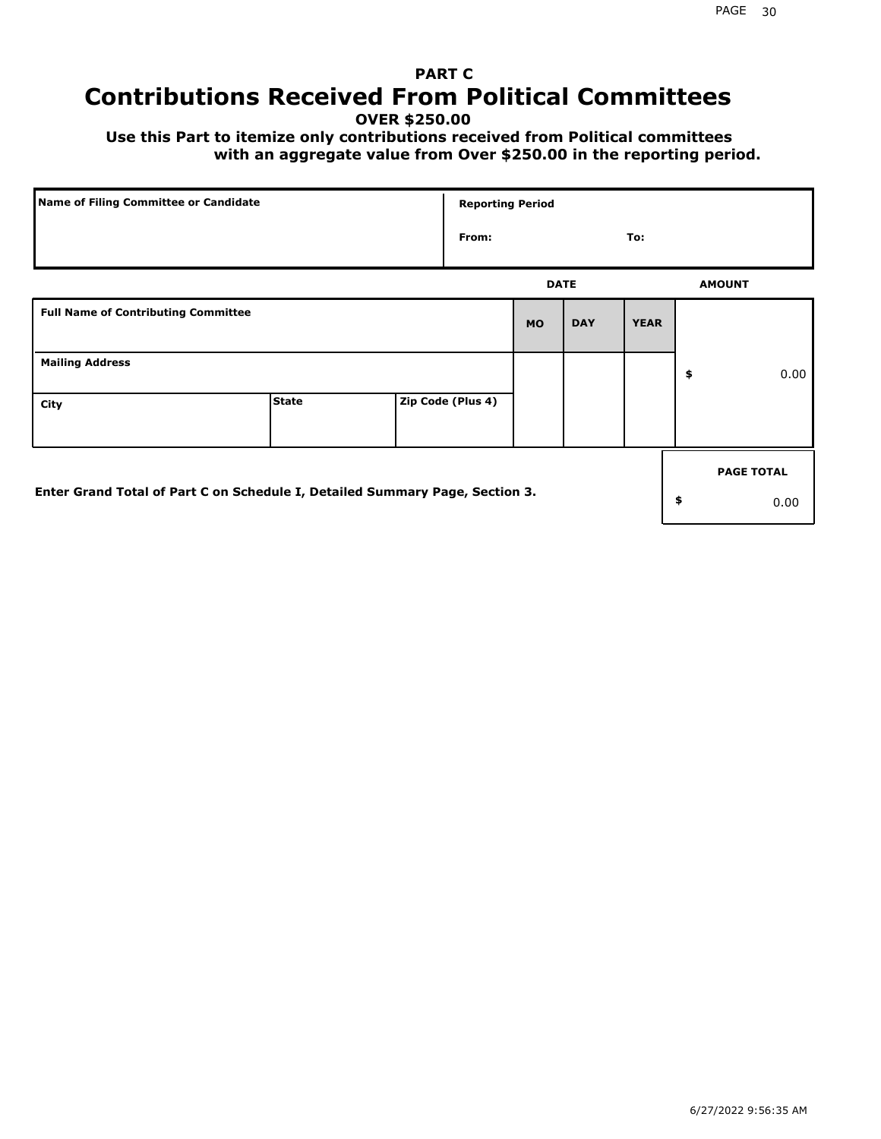## **PART C Contributions Received From Political Committees**

**OVER \$250.00**

 **Use this Part to itemize only contributions received from Political committees with an aggregate value from Over \$250.00 in the reporting period.**

| Name of Filing Committee or Candidate                                        | <b>Reporting Period</b> |                   |             |            |             |    |                   |
|------------------------------------------------------------------------------|-------------------------|-------------------|-------------|------------|-------------|----|-------------------|
|                                                                              |                         | From:             |             |            | To:         |    |                   |
|                                                                              |                         |                   | <b>DATE</b> |            |             |    | <b>AMOUNT</b>     |
| <b>Full Name of Contributing Committee</b>                                   |                         |                   | <b>MO</b>   | <b>DAY</b> | <b>YEAR</b> |    |                   |
| <b>Mailing Address</b>                                                       |                         |                   |             |            |             | \$ | 0.00              |
| City                                                                         | <b>State</b>            | Zip Code (Plus 4) |             |            |             |    |                   |
|                                                                              |                         |                   |             |            |             |    | <b>PAGE TOTAL</b> |
| Enter Grand Total of Part C on Schedule I, Detailed Summary Page, Section 3. |                         |                   |             |            |             | \$ | 0.00              |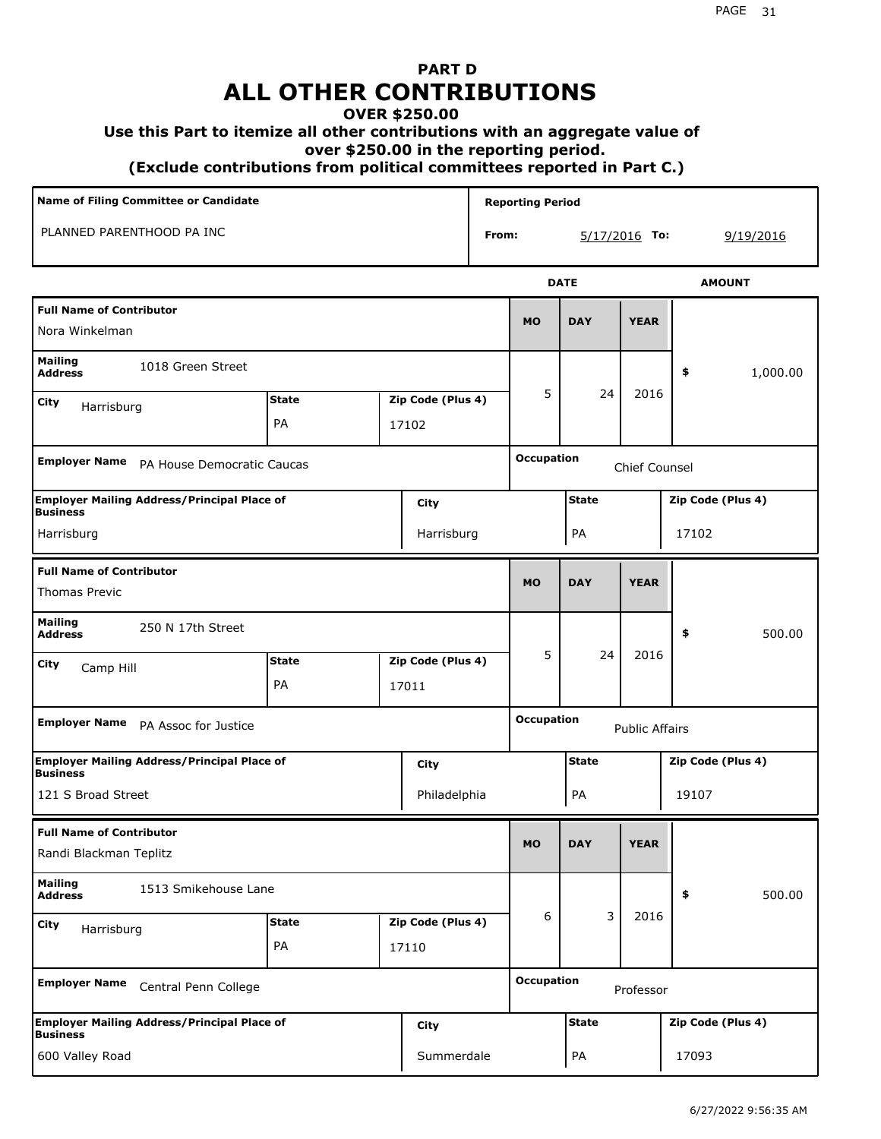## **PART D ALL OTHER CONTRIBUTIONS**

### **OVER \$250.00**

### **Use this Part to itemize all other contributions with an aggregate value of**

 **over \$250.00 in the reporting period.**

 **(Exclude contributions from political committees reported in Part C.)** 

| Name of Filing Committee or Candidate                                 |              |  |                   |       | <b>Reporting Period</b> |                 |                       |                   |
|-----------------------------------------------------------------------|--------------|--|-------------------|-------|-------------------------|-----------------|-----------------------|-------------------|
| PLANNED PARENTHOOD PA INC                                             |              |  |                   | From: |                         | $5/17/2016$ To: |                       | 9/19/2016         |
|                                                                       |              |  |                   |       |                         | <b>DATE</b>     |                       | <b>AMOUNT</b>     |
| <b>Full Name of Contributor</b><br>Nora Winkelman                     |              |  |                   |       | <b>MO</b>               | <b>DAY</b>      | <b>YEAR</b>           |                   |
| <b>Mailing</b><br>1018 Green Street<br><b>Address</b>                 |              |  |                   |       |                         |                 |                       | 1,000.00<br>\$    |
| <b>City</b><br>Harrisburg                                             | <b>State</b> |  | Zip Code (Plus 4) |       | 5                       | 24              | 2016                  |                   |
|                                                                       | PA           |  | 17102             |       |                         |                 |                       |                   |
| <b>Employer Name</b><br>PA House Democratic Caucas                    |              |  |                   |       | <b>Occupation</b>       |                 | Chief Counsel         |                   |
| <b>Employer Mailing Address/Principal Place of</b><br><b>Business</b> |              |  | City              |       |                         | <b>State</b>    |                       | Zip Code (Plus 4) |
| Harrisburg                                                            |              |  | Harrisburg        |       |                         | PA              |                       | 17102             |
| <b>Full Name of Contributor</b><br><b>Thomas Previc</b>               |              |  |                   |       | <b>MO</b>               | <b>DAY</b>      | <b>YEAR</b>           |                   |
| <b>Mailing</b><br>250 N 17th Street<br><b>Address</b>                 |              |  |                   |       |                         |                 |                       | \$<br>500.00      |
| City<br>Camp Hill                                                     | <b>State</b> |  | Zip Code (Plus 4) |       | 5                       | 24              | 2016                  |                   |
|                                                                       | <b>PA</b>    |  | 17011             |       |                         |                 |                       |                   |
| <b>Employer Name</b><br>PA Assoc for Justice                          |              |  |                   |       | <b>Occupation</b>       |                 | <b>Public Affairs</b> |                   |
| <b>Employer Mailing Address/Principal Place of</b><br><b>Business</b> |              |  | City              |       |                         | <b>State</b>    |                       | Zip Code (Plus 4) |
| 121 S Broad Street                                                    |              |  | Philadelphia      |       |                         | PA              |                       | 19107             |
| <b>Full Name of Contributor</b><br>Randi Blackman Teplitz             |              |  |                   |       | <b>MO</b>               | <b>DAY</b>      | <b>YEAR</b>           |                   |
| <b>Mailing</b><br>1513 Smikehouse Lane<br><b>Address</b>              |              |  |                   |       |                         |                 |                       | 500.00<br>\$      |
| City<br>Harrisburg                                                    | <b>State</b> |  | Zip Code (Plus 4) |       | 6                       | 3               | 2016                  |                   |
|                                                                       | PA           |  | 17110             |       |                         |                 |                       |                   |
| <b>Employer Name</b><br>Central Penn College                          |              |  |                   |       | <b>Occupation</b>       |                 | Professor             |                   |
| <b>Employer Mailing Address/Principal Place of</b><br><b>Business</b> |              |  | City              |       |                         | <b>State</b>    |                       | Zip Code (Plus 4) |
| 600 Valley Road                                                       |              |  | Summerdale        |       |                         | PA              |                       | 17093             |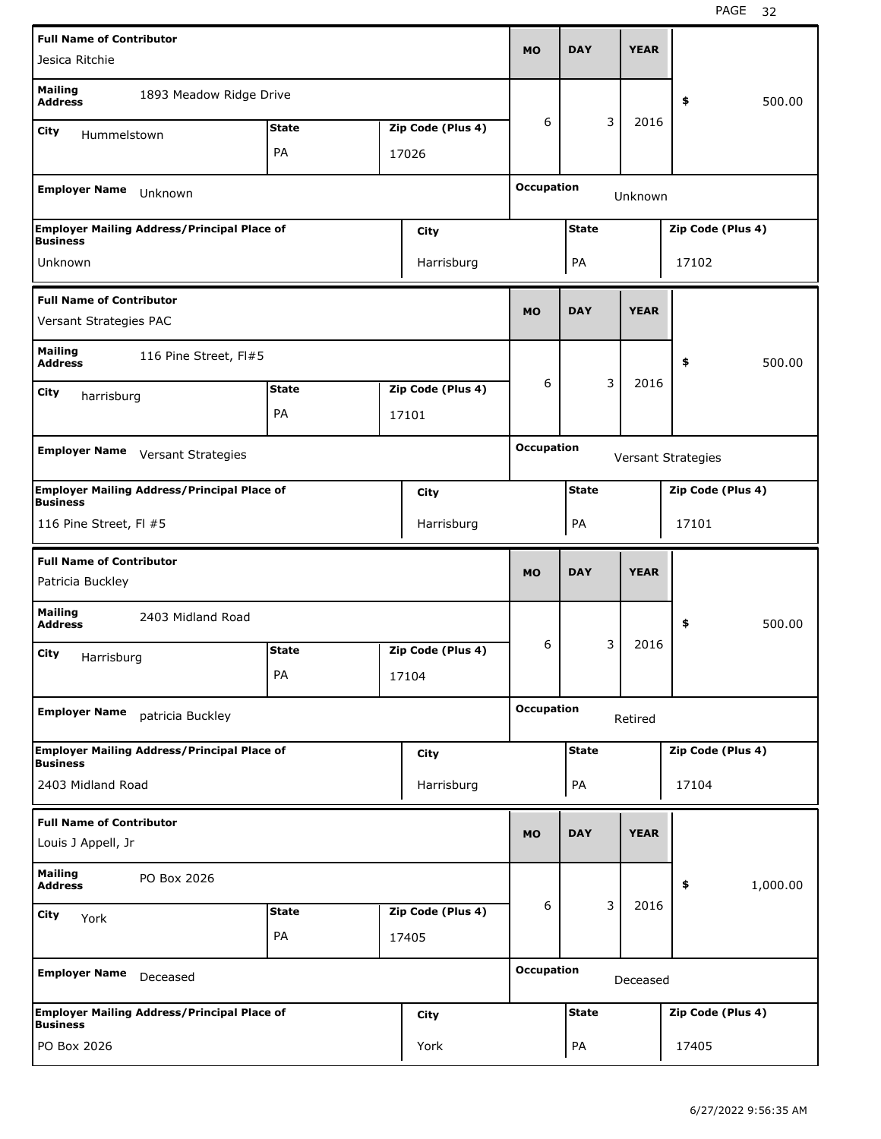| <b>Full Name of Contributor</b>                           |                                                    |              |                   |                   |              |   |             |                    |          |
|-----------------------------------------------------------|----------------------------------------------------|--------------|-------------------|-------------------|--------------|---|-------------|--------------------|----------|
| Jesica Ritchie                                            |                                                    |              |                   | <b>MO</b>         | <b>DAY</b>   |   | <b>YEAR</b> |                    |          |
| <b>Mailing</b><br><b>Address</b>                          | 1893 Meadow Ridge Drive                            |              |                   |                   |              |   |             | \$                 | 500.00   |
| City<br>Hummelstown                                       |                                                    | <b>State</b> | Zip Code (Plus 4) | 6                 |              | 3 | 2016        |                    |          |
|                                                           |                                                    | PA           | 17026             |                   |              |   |             |                    |          |
| <b>Employer Name</b>                                      | Unknown                                            |              |                   | <b>Occupation</b> |              |   | Unknown     |                    |          |
| <b>Business</b>                                           | <b>Employer Mailing Address/Principal Place of</b> |              | City              |                   | <b>State</b> |   |             | Zip Code (Plus 4)  |          |
| Unknown                                                   |                                                    |              | Harrisburg        |                   | PA           |   |             | 17102              |          |
| <b>Full Name of Contributor</b><br>Versant Strategies PAC |                                                    |              |                   | <b>MO</b>         | <b>DAY</b>   |   | <b>YEAR</b> |                    |          |
| <b>Mailing</b><br><b>Address</b>                          | 116 Pine Street, FI#5                              |              |                   |                   |              |   |             | \$                 | 500.00   |
| City                                                      |                                                    | <b>State</b> | Zip Code (Plus 4) | 6                 |              | 3 | 2016        |                    |          |
| harrisburg                                                |                                                    | PA           | 17101             |                   |              |   |             |                    |          |
|                                                           |                                                    |              |                   |                   |              |   |             |                    |          |
| <b>Employer Name</b>                                      | Versant Strategies                                 |              |                   | <b>Occupation</b> |              |   |             | Versant Strategies |          |
| <b>Business</b>                                           | <b>Employer Mailing Address/Principal Place of</b> |              | City              |                   | <b>State</b> |   |             | Zip Code (Plus 4)  |          |
| 116 Pine Street, FI #5                                    |                                                    |              | Harrisburg        |                   | PA           |   |             | 17101              |          |
|                                                           |                                                    |              |                   |                   |              |   |             |                    |          |
| <b>Full Name of Contributor</b><br>Patricia Buckley       |                                                    |              |                   | <b>MO</b>         | <b>DAY</b>   |   | <b>YEAR</b> |                    |          |
| <b>Mailing</b><br><b>Address</b>                          | 2403 Midland Road                                  |              |                   |                   |              |   |             | \$                 | 500.00   |
| City                                                      |                                                    | <b>State</b> | Zip Code (Plus 4) | 6                 |              | 3 | 2016        |                    |          |
| Harrisburg                                                |                                                    | PA           | 17104             |                   |              |   |             |                    |          |
| <b>Employer Name</b>                                      | patricia Buckley                                   |              |                   | <b>Occupation</b> |              |   | Retired     |                    |          |
|                                                           | <b>Employer Mailing Address/Principal Place of</b> |              | <b>City</b>       |                   | <b>State</b> |   |             | Zip Code (Plus 4)  |          |
| <b>Business</b><br>2403 Midland Road                      |                                                    |              | Harrisburg        |                   | PA           |   |             | 17104              |          |
| <b>Full Name of Contributor</b><br>Louis J Appell, Jr     |                                                    |              |                   | <b>MO</b>         | <b>DAY</b>   |   | <b>YEAR</b> |                    |          |
| <b>Mailing</b><br><b>Address</b>                          | PO Box 2026                                        |              |                   |                   |              |   |             | \$                 | 1,000.00 |
|                                                           |                                                    | <b>State</b> | Zip Code (Plus 4) | 6                 |              | 3 | 2016        |                    |          |
| City<br>York                                              |                                                    | PA           | 17405             |                   |              |   |             |                    |          |
| <b>Employer Name</b>                                      | Deceased                                           |              |                   | <b>Occupation</b> |              |   | Deceased    |                    |          |
| <b>Business</b>                                           | <b>Employer Mailing Address/Principal Place of</b> |              | <b>City</b>       |                   | <b>State</b> |   |             | Zip Code (Plus 4)  |          |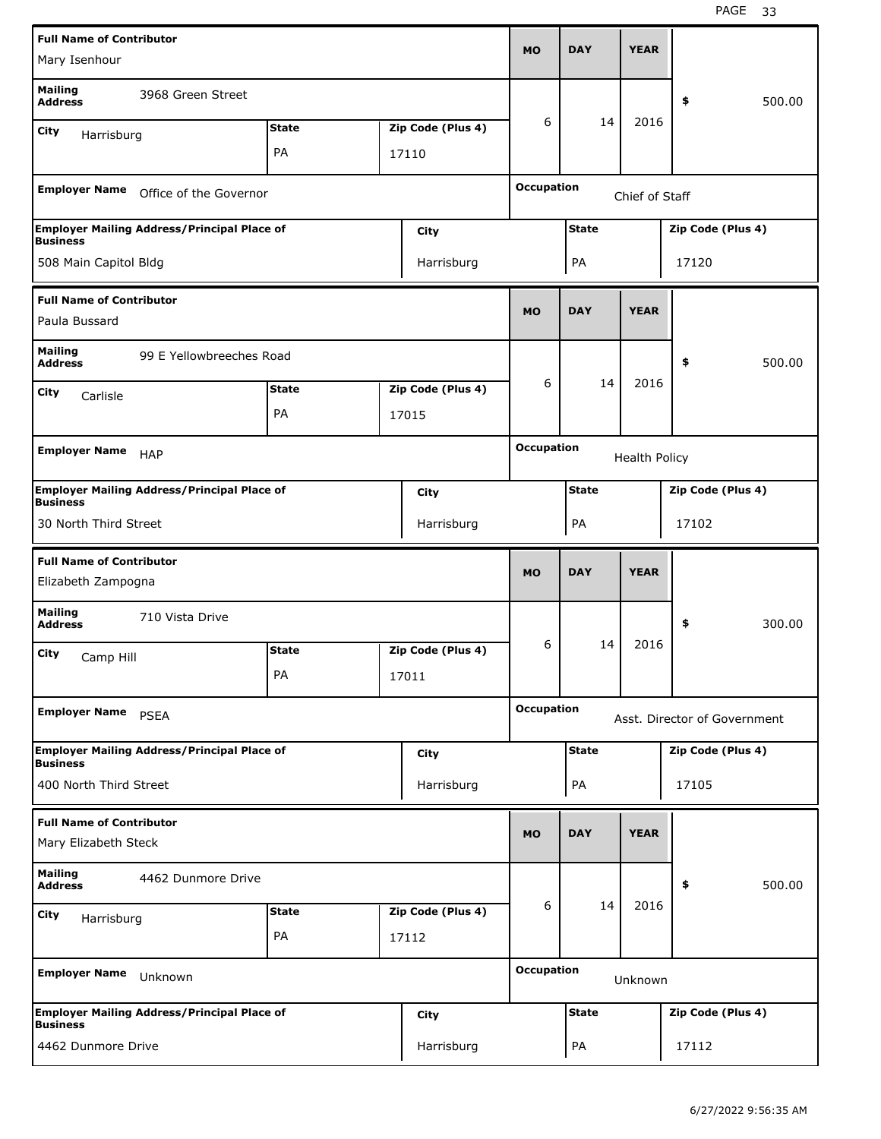| <b>Full Name of Contributor</b>                       |                                                    |              |                   |                   | <b>DAY</b>   | <b>YEAR</b>          |                              |        |
|-------------------------------------------------------|----------------------------------------------------|--------------|-------------------|-------------------|--------------|----------------------|------------------------------|--------|
| Mary Isenhour                                         |                                                    |              |                   | <b>MO</b>         |              |                      |                              |        |
| <b>Mailing</b><br><b>Address</b>                      | 3968 Green Street                                  |              |                   |                   |              |                      | \$                           | 500.00 |
| City<br>Harrisburg                                    |                                                    | <b>State</b> | Zip Code (Plus 4) | 6                 | 14           | 2016                 |                              |        |
|                                                       |                                                    | PA           | 17110             |                   |              |                      |                              |        |
|                                                       |                                                    |              |                   | <b>Occupation</b> |              |                      |                              |        |
| <b>Employer Name</b>                                  | Office of the Governor                             |              |                   |                   |              | Chief of Staff       |                              |        |
| <b>Business</b>                                       | <b>Employer Mailing Address/Principal Place of</b> |              | City              |                   | <b>State</b> |                      | Zip Code (Plus 4)            |        |
| 508 Main Capitol Bldg                                 |                                                    |              | Harrisburg        |                   | PA           |                      | 17120                        |        |
| <b>Full Name of Contributor</b>                       |                                                    |              |                   |                   |              |                      |                              |        |
| Paula Bussard                                         |                                                    |              |                   | <b>MO</b>         | <b>DAY</b>   | <b>YEAR</b>          |                              |        |
| <b>Mailing</b><br><b>Address</b>                      | 99 E Yellowbreeches Road                           |              |                   |                   |              |                      | \$                           | 500.00 |
| City<br>Carlisle                                      |                                                    | <b>State</b> | Zip Code (Plus 4) | 6                 | 14           | 2016                 |                              |        |
|                                                       |                                                    | PA           | 17015             |                   |              |                      |                              |        |
|                                                       |                                                    |              |                   | <b>Occupation</b> |              |                      |                              |        |
| <b>Employer Name</b>                                  | <b>HAP</b>                                         |              |                   |                   |              | <b>Health Policy</b> |                              |        |
| <b>Business</b>                                       | <b>Employer Mailing Address/Principal Place of</b> |              | <b>City</b>       |                   | <b>State</b> |                      | Zip Code (Plus 4)            |        |
| 30 North Third Street                                 |                                                    |              | Harrisburg        |                   | PA           |                      | 17102                        |        |
|                                                       |                                                    |              |                   |                   |              |                      |                              |        |
|                                                       |                                                    |              |                   |                   |              |                      |                              |        |
| <b>Full Name of Contributor</b><br>Elizabeth Zampogna |                                                    |              |                   | <b>MO</b>         | <b>DAY</b>   | <b>YEAR</b>          |                              |        |
| <b>Mailing</b><br><b>Address</b>                      | 710 Vista Drive                                    |              |                   |                   |              |                      | \$                           | 300.00 |
| City<br>Camp Hill                                     |                                                    | <b>State</b> | Zip Code (Plus 4) | 6                 | 14           | 2016                 |                              |        |
|                                                       |                                                    | PA           | 17011             |                   |              |                      |                              |        |
| <b>Employer Name</b>                                  | <b>PSEA</b>                                        |              |                   | <b>Occupation</b> |              |                      | Asst. Director of Government |        |
|                                                       | <b>Employer Mailing Address/Principal Place of</b> |              | <b>City</b>       |                   | <b>State</b> |                      | Zip Code (Plus 4)            |        |
| <b>Business</b><br>400 North Third Street             |                                                    |              | Harrisburg        |                   | PA           |                      | 17105                        |        |
| <b>Full Name of Contributor</b>                       |                                                    |              |                   |                   |              |                      |                              |        |
| Mary Elizabeth Steck                                  |                                                    |              |                   | <b>MO</b>         | <b>DAY</b>   | <b>YEAR</b>          |                              |        |
| <b>Mailing</b><br><b>Address</b>                      | 4462 Dunmore Drive                                 |              |                   |                   |              |                      | \$                           | 500.00 |
| <b>City</b><br>Harrisburg                             |                                                    | <b>State</b> | Zip Code (Plus 4) | 6                 | 14           | 2016                 |                              |        |
|                                                       |                                                    | PA           | 17112             |                   |              |                      |                              |        |
| <b>Employer Name</b>                                  | Unknown                                            |              |                   | <b>Occupation</b> |              | Unknown              |                              |        |
| <b>Business</b>                                       | <b>Employer Mailing Address/Principal Place of</b> |              | <b>City</b>       |                   | <b>State</b> |                      | Zip Code (Plus 4)            |        |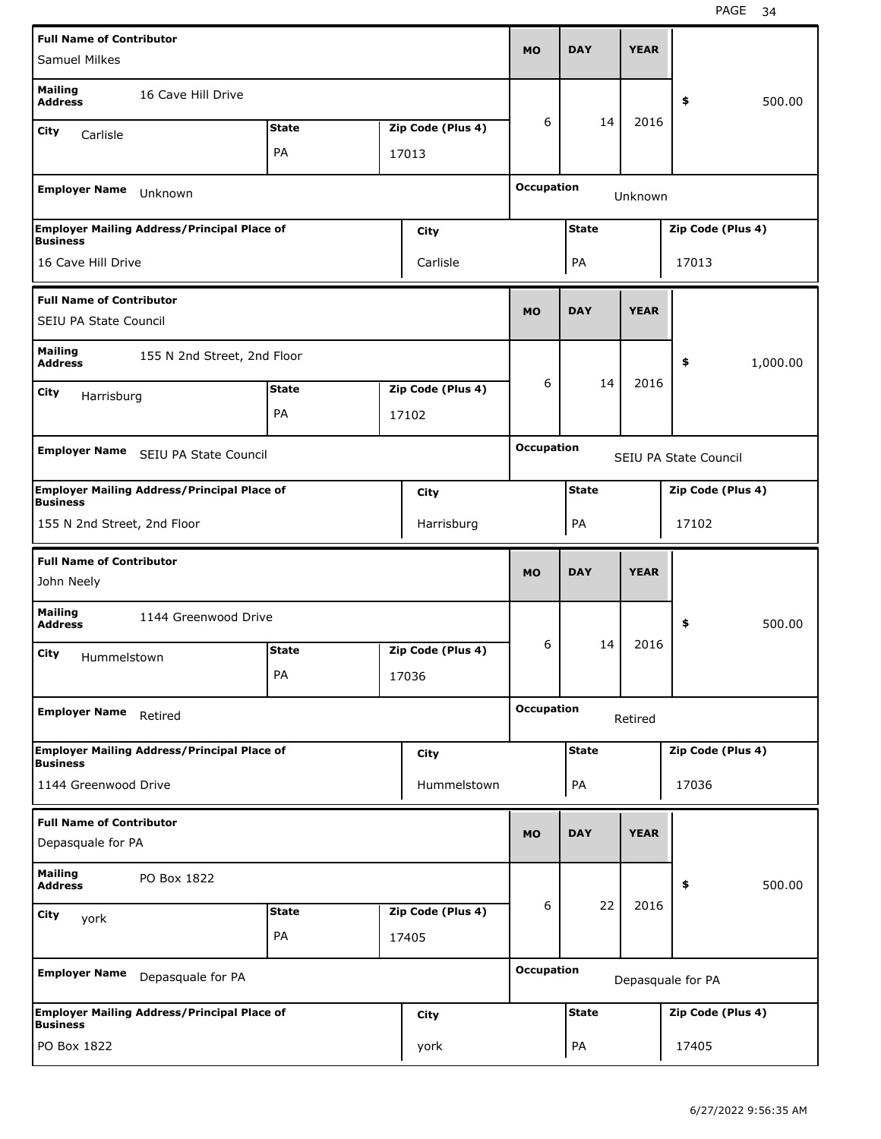| <b>Full Name of Contributor</b>                                       |              |                   |                   |              |             |                       |          |
|-----------------------------------------------------------------------|--------------|-------------------|-------------------|--------------|-------------|-----------------------|----------|
| <b>Samuel Milkes</b>                                                  |              |                   | <b>MO</b>         | <b>DAY</b>   | <b>YEAR</b> |                       |          |
| <b>Mailing</b><br>16 Cave Hill Drive<br><b>Address</b>                |              |                   |                   |              |             | \$                    | 500.00   |
| City<br>Carlisle                                                      | <b>State</b> | Zip Code (Plus 4) | 6                 | 14           | 2016        |                       |          |
|                                                                       | PA           | 17013             |                   |              |             |                       |          |
| <b>Employer Name</b><br>Unknown                                       |              |                   | <b>Occupation</b> |              | Unknown     |                       |          |
| <b>Employer Mailing Address/Principal Place of</b><br><b>Business</b> |              | City              |                   | <b>State</b> |             | Zip Code (Plus 4)     |          |
| 16 Cave Hill Drive                                                    |              | Carlisle          |                   | PA           |             | 17013                 |          |
| <b>Full Name of Contributor</b><br>SEIU PA State Council              |              |                   | <b>MO</b>         | <b>DAY</b>   | <b>YEAR</b> |                       |          |
| <b>Mailing</b><br>155 N 2nd Street, 2nd Floor<br><b>Address</b>       |              |                   |                   |              |             | \$                    | 1,000.00 |
| City<br>Harrisburg                                                    | <b>State</b> | Zip Code (Plus 4) | 6                 | 14           | 2016        |                       |          |
|                                                                       | PA           | 17102             |                   |              |             |                       |          |
|                                                                       |              |                   | <b>Occupation</b> |              |             |                       |          |
| <b>Employer Name</b><br>SEIU PA State Council                         |              |                   |                   |              |             | SEIU PA State Council |          |
| <b>Employer Mailing Address/Principal Place of</b><br><b>Business</b> |              | City              |                   | <b>State</b> |             | Zip Code (Plus 4)     |          |
| 155 N 2nd Street, 2nd Floor                                           |              | Harrisburg        |                   | PA           |             | 17102                 |          |
|                                                                       |              |                   |                   |              |             |                       |          |
|                                                                       |              |                   |                   |              |             |                       |          |
| <b>Full Name of Contributor</b><br>John Neely                         |              |                   | <b>MO</b>         | <b>DAY</b>   | <b>YEAR</b> |                       |          |
| <b>Mailing</b><br>1144 Greenwood Drive<br><b>Address</b>              |              |                   |                   |              |             | \$                    | 500.00   |
| City                                                                  | <b>State</b> | Zip Code (Plus 4) | 6                 | 14           | 2016        |                       |          |
| Hummelstown                                                           | PА           | 17036             |                   |              |             |                       |          |
| <b>Employer Name</b><br>Retired                                       |              |                   | <b>Occupation</b> |              | Retired     |                       |          |
| <b>Employer Mailing Address/Principal Place of</b>                    |              | City              |                   | <b>State</b> |             | Zip Code (Plus 4)     |          |
| <b>Business</b><br>1144 Greenwood Drive                               |              | Hummelstown       |                   | PA           |             | 17036                 |          |
| <b>Full Name of Contributor</b>                                       |              |                   |                   |              |             |                       |          |
| Depasquale for PA                                                     |              |                   | <b>MO</b>         | <b>DAY</b>   | <b>YEAR</b> |                       |          |
| <b>Mailing</b><br>PO Box 1822<br><b>Address</b>                       |              |                   |                   |              |             | \$                    | 500.00   |
| City<br>york                                                          | <b>State</b> | Zip Code (Plus 4) | 6                 | 22           | 2016        |                       |          |
|                                                                       | PA           | 17405             |                   |              |             |                       |          |
| <b>Employer Name</b><br>Depasquale for PA                             |              |                   | <b>Occupation</b> |              |             | Depasquale for PA     |          |
| <b>Employer Mailing Address/Principal Place of</b><br><b>Business</b> |              | City              |                   | <b>State</b> |             | Zip Code (Plus 4)     |          |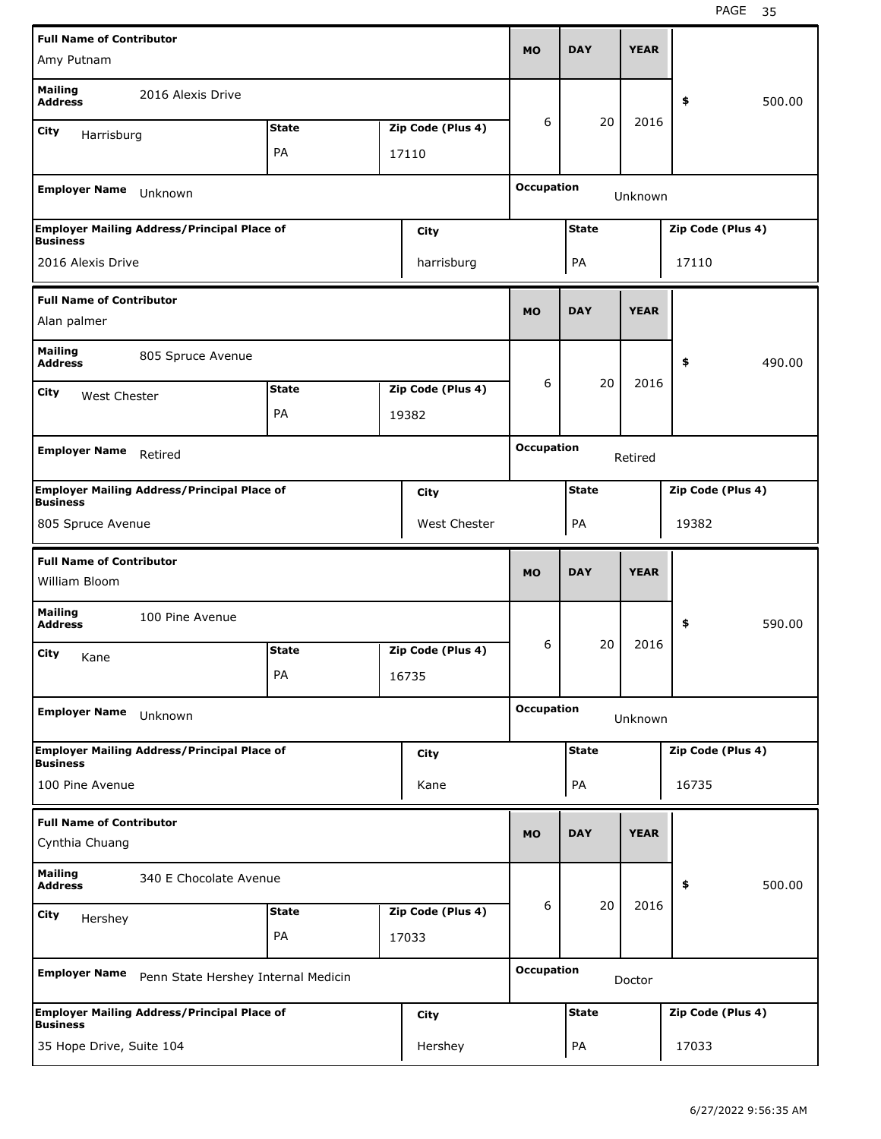| <b>Full Name of Contributor</b>             |                                                    |              |                   | <b>MO</b>         | <b>DAY</b>   | <b>YEAR</b> |                   |        |
|---------------------------------------------|----------------------------------------------------|--------------|-------------------|-------------------|--------------|-------------|-------------------|--------|
| Amy Putnam                                  |                                                    |              |                   |                   |              |             |                   |        |
| <b>Mailing</b><br><b>Address</b>            | 2016 Alexis Drive                                  |              |                   |                   |              |             | \$                | 500.00 |
| City<br>Harrisburg                          |                                                    | <b>State</b> | Zip Code (Plus 4) | 6                 | 20           | 2016        |                   |        |
|                                             |                                                    | PA           | 17110             |                   |              |             |                   |        |
| <b>Employer Name</b>                        | Unknown                                            |              |                   | <b>Occupation</b> |              | Unknown     |                   |        |
|                                             |                                                    |              |                   |                   |              |             |                   |        |
| <b>Business</b>                             | <b>Employer Mailing Address/Principal Place of</b> |              | City              |                   | <b>State</b> |             | Zip Code (Plus 4) |        |
| 2016 Alexis Drive                           |                                                    |              | harrisburg        |                   | PA           |             | 17110             |        |
| <b>Full Name of Contributor</b>             |                                                    |              |                   |                   |              |             |                   |        |
| Alan palmer                                 |                                                    |              |                   | <b>MO</b>         | <b>DAY</b>   | <b>YEAR</b> |                   |        |
| <b>Mailing</b><br><b>Address</b>            | 805 Spruce Avenue                                  |              |                   |                   |              |             | \$                | 490.00 |
| <b>City</b><br><b>West Chester</b>          |                                                    | <b>State</b> | Zip Code (Plus 4) | 6                 | 20           | 2016        |                   |        |
|                                             |                                                    | PA           | 19382             |                   |              |             |                   |        |
|                                             |                                                    |              |                   |                   |              |             |                   |        |
| <b>Employer Name</b>                        | Retired                                            |              |                   | <b>Occupation</b> |              | Retired     |                   |        |
| <b>Business</b>                             | <b>Employer Mailing Address/Principal Place of</b> |              | City              |                   | <b>State</b> |             | Zip Code (Plus 4) |        |
| 805 Spruce Avenue                           |                                                    |              | West Chester      |                   | PA           |             | 19382             |        |
|                                             |                                                    |              |                   |                   |              |             |                   |        |
| <b>Full Name of Contributor</b>             |                                                    |              |                   |                   |              |             |                   |        |
| William Bloom                               |                                                    |              |                   | <b>MO</b>         | <b>DAY</b>   | <b>YEAR</b> |                   |        |
| <b>Mailing</b><br><b>Address</b>            | 100 Pine Avenue                                    |              |                   |                   |              |             | \$                | 590.00 |
| City                                        |                                                    | <b>State</b> | Zip Code (Plus 4) | 6                 | 20           | 2016        |                   |        |
| Kane                                        |                                                    | PA           | 16735             |                   |              |             |                   |        |
| <b>Employer Name</b>                        | Unknown                                            |              |                   | <b>Occupation</b> |              | Unknown     |                   |        |
|                                             |                                                    |              |                   |                   | <b>State</b> |             |                   |        |
| <b>Business</b>                             | <b>Employer Mailing Address/Principal Place of</b> |              | City              |                   |              |             | Zip Code (Plus 4) |        |
| 100 Pine Avenue                             |                                                    |              | Kane              |                   | PA           |             | 16735             |        |
| <b>Full Name of Contributor</b>             |                                                    |              |                   |                   |              |             |                   |        |
| Cynthia Chuang                              |                                                    |              |                   | <b>MO</b>         | <b>DAY</b>   | <b>YEAR</b> |                   |        |
| <b>Mailing</b><br><b>Address</b>            | 340 E Chocolate Avenue                             |              |                   |                   |              |             | \$                | 500.00 |
|                                             |                                                    | <b>State</b> | Zip Code (Plus 4) | 6                 | 20           | 2016        |                   |        |
| <b>City</b><br>Hershey                      |                                                    | PA           | 17033             |                   |              |             |                   |        |
| <b>Employer Name</b>                        | Penn State Hershey Internal Medicin                |              |                   | <b>Occupation</b> |              | Doctor      |                   |        |
|                                             | <b>Employer Mailing Address/Principal Place of</b> |              |                   |                   | <b>State</b> |             | Zip Code (Plus 4) |        |
| <b>Business</b><br>35 Hope Drive, Suite 104 |                                                    |              | City<br>Hershey   |                   | PA           |             | 17033             |        |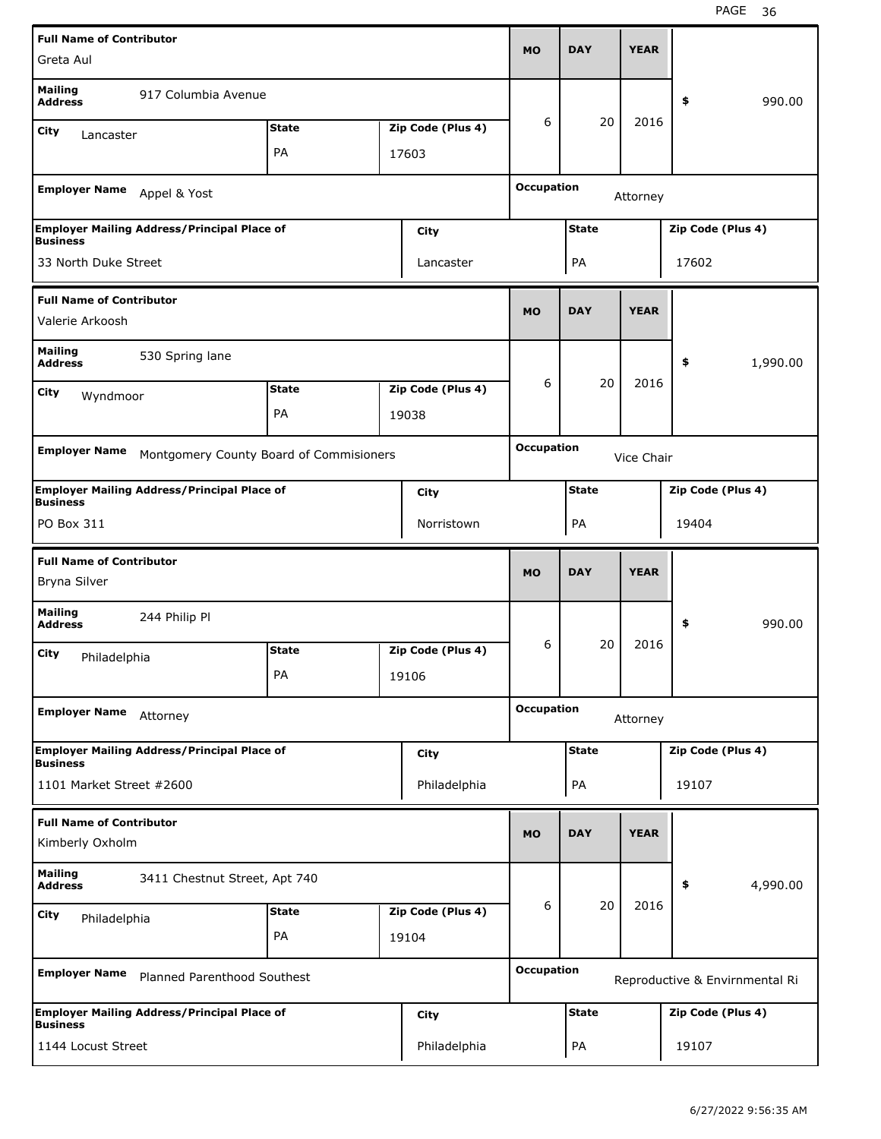| <b>Full Name of Contributor</b>                    |                                                    |              |                   |                   |              | <b>YEAR</b> |                   |                                |
|----------------------------------------------------|----------------------------------------------------|--------------|-------------------|-------------------|--------------|-------------|-------------------|--------------------------------|
| Greta Aul                                          |                                                    |              |                   | <b>MO</b>         | <b>DAY</b>   |             |                   |                                |
| <b>Mailing</b><br><b>Address</b>                   | 917 Columbia Avenue                                |              |                   |                   |              |             | \$                | 990.00                         |
| City<br>Lancaster                                  |                                                    | <b>State</b> | Zip Code (Plus 4) | 6                 | 20           | 2016        |                   |                                |
|                                                    |                                                    | PA           | 17603             |                   |              |             |                   |                                |
|                                                    |                                                    |              |                   | <b>Occupation</b> |              |             |                   |                                |
| <b>Employer Name</b>                               | Appel & Yost                                       |              |                   |                   |              | Attorney    |                   |                                |
|                                                    | <b>Employer Mailing Address/Principal Place of</b> |              | City              |                   | <b>State</b> |             | Zip Code (Plus 4) |                                |
| <b>Business</b><br>33 North Duke Street            |                                                    |              | Lancaster         |                   | PA           |             | 17602             |                                |
|                                                    |                                                    |              |                   |                   |              |             |                   |                                |
| <b>Full Name of Contributor</b>                    |                                                    |              |                   | <b>MO</b>         | <b>DAY</b>   | <b>YEAR</b> |                   |                                |
| Valerie Arkoosh                                    |                                                    |              |                   |                   |              |             |                   |                                |
| <b>Mailing</b><br><b>Address</b>                   | 530 Spring lane                                    |              |                   |                   |              |             | \$                | 1,990.00                       |
| City<br>Wyndmoor                                   |                                                    | <b>State</b> | Zip Code (Plus 4) | 6                 | 20           | 2016        |                   |                                |
|                                                    |                                                    | PA           | 19038             |                   |              |             |                   |                                |
|                                                    |                                                    |              |                   |                   |              |             |                   |                                |
| <b>Employer Name</b>                               | Montgomery County Board of Commisioners            |              |                   | <b>Occupation</b> |              | Vice Chair  |                   |                                |
| <b>Business</b>                                    | <b>Employer Mailing Address/Principal Place of</b> |              | City              |                   | <b>State</b> |             | Zip Code (Plus 4) |                                |
| PO Box 311                                         |                                                    |              | Norristown        |                   | PA           |             | 19404             |                                |
|                                                    |                                                    |              |                   |                   |              |             |                   |                                |
|                                                    |                                                    |              |                   |                   |              |             |                   |                                |
| <b>Full Name of Contributor</b>                    |                                                    |              |                   | <b>MO</b>         | <b>DAY</b>   | <b>YEAR</b> |                   |                                |
| Bryna Silver                                       |                                                    |              |                   |                   |              |             |                   |                                |
| <b>Mailing</b><br><b>Address</b>                   | 244 Philip Pl                                      |              |                   |                   |              |             | \$                | 990.00                         |
| City<br>Philadelphia                               |                                                    | <b>State</b> | Zip Code (Plus 4) | 6                 | 20           | 2016        |                   |                                |
|                                                    |                                                    | PA           | 19106             |                   |              |             |                   |                                |
|                                                    |                                                    |              |                   | <b>Occupation</b> |              |             |                   |                                |
| <b>Employer Name</b>                               | Attorney                                           |              |                   |                   |              | Attorney    |                   |                                |
| <b>Business</b>                                    | <b>Employer Mailing Address/Principal Place of</b> |              | City              |                   | <b>State</b> |             | Zip Code (Plus 4) |                                |
| 1101 Market Street #2600                           |                                                    |              | Philadelphia      |                   | PA           |             | 19107             |                                |
|                                                    |                                                    |              |                   |                   |              |             |                   |                                |
| <b>Full Name of Contributor</b><br>Kimberly Oxholm |                                                    |              |                   | <b>MO</b>         | <b>DAY</b>   | <b>YEAR</b> |                   |                                |
| <b>Mailing</b><br>Address                          | 3411 Chestnut Street, Apt 740                      |              |                   |                   |              |             | \$                | 4,990.00                       |
|                                                    |                                                    | <b>State</b> | Zip Code (Plus 4) | 6                 | 20           | 2016        |                   |                                |
| City<br>Philadelphia                               |                                                    | PA           | 19104             |                   |              |             |                   |                                |
|                                                    |                                                    |              |                   |                   |              |             |                   |                                |
| <b>Employer Name</b>                               | Planned Parenthood Southest                        |              |                   | <b>Occupation</b> |              |             |                   | Reproductive & Envirnmental Ri |
| <b>Business</b>                                    | <b>Employer Mailing Address/Principal Place of</b> |              | City              |                   | <b>State</b> |             | Zip Code (Plus 4) |                                |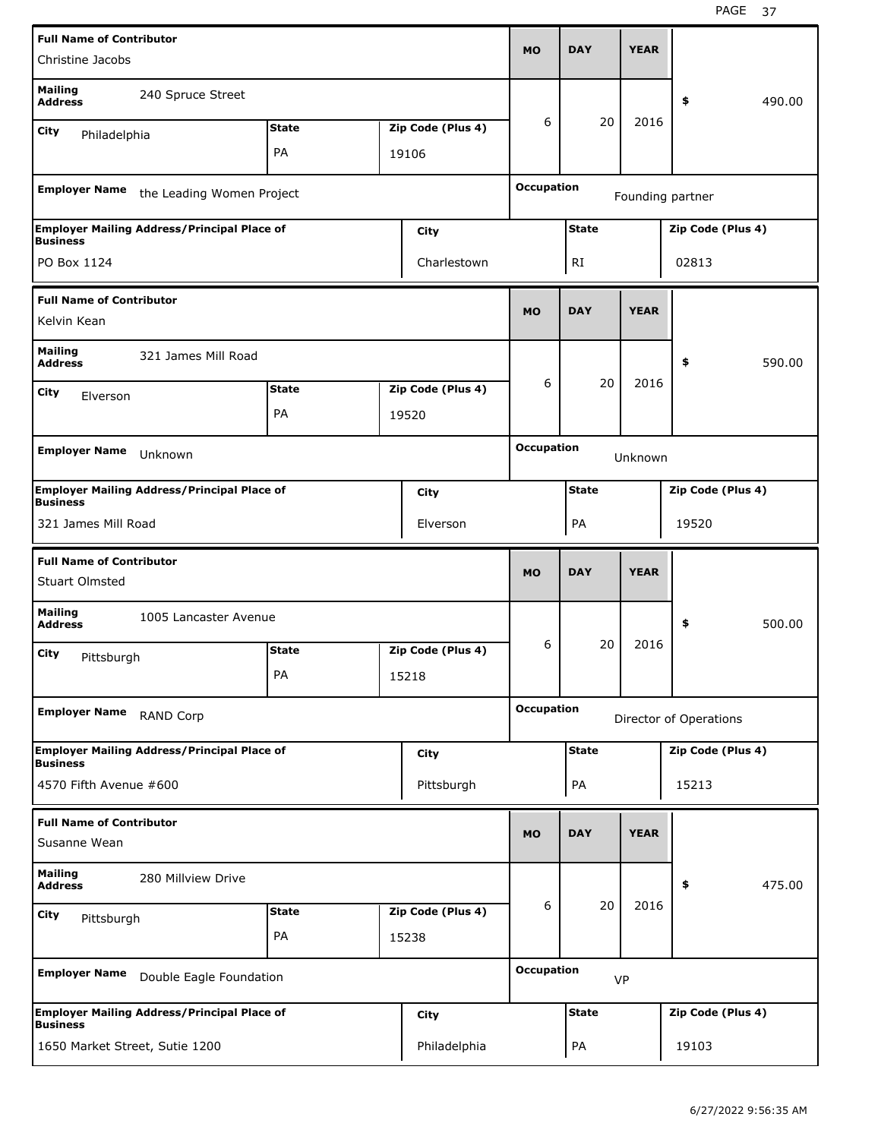| <b>Full Name of Contributor</b>                          |                                                    |              |                   |                   |              |             |                        |        |
|----------------------------------------------------------|----------------------------------------------------|--------------|-------------------|-------------------|--------------|-------------|------------------------|--------|
| Christine Jacobs                                         |                                                    |              |                   | <b>MO</b>         | <b>DAY</b>   | <b>YEAR</b> |                        |        |
| <b>Mailing</b><br><b>Address</b>                         | 240 Spruce Street                                  |              |                   |                   |              |             | \$                     | 490.00 |
| <b>City</b><br>Philadelphia                              |                                                    | <b>State</b> | Zip Code (Plus 4) | 6                 | 20           | 2016        |                        |        |
|                                                          |                                                    | PA           | 19106             |                   |              |             |                        |        |
| <b>Employer Name</b>                                     | the Leading Women Project                          |              |                   | <b>Occupation</b> |              |             | Founding partner       |        |
|                                                          | <b>Employer Mailing Address/Principal Place of</b> |              | City              |                   | <b>State</b> |             | Zip Code (Plus 4)      |        |
| <b>Business</b><br>PO Box 1124                           |                                                    |              | Charlestown       |                   | RI           |             | 02813                  |        |
| <b>Full Name of Contributor</b><br>Kelvin Kean           |                                                    |              |                   | <b>MO</b>         | <b>DAY</b>   | <b>YEAR</b> |                        |        |
| <b>Mailing</b>                                           |                                                    |              |                   |                   |              |             |                        |        |
| <b>Address</b>                                           | 321 James Mill Road                                |              |                   |                   |              |             | \$                     | 590.00 |
| City<br>Elverson                                         |                                                    | <b>State</b> | Zip Code (Plus 4) | 6                 | 20           | 2016        |                        |        |
|                                                          |                                                    | PA           | 19520             |                   |              |             |                        |        |
| <b>Employer Name</b>                                     | Unknown                                            |              |                   | <b>Occupation</b> |              | Unknown     |                        |        |
| <b>Business</b>                                          | <b>Employer Mailing Address/Principal Place of</b> |              | City              |                   | <b>State</b> |             | Zip Code (Plus 4)      |        |
| 321 James Mill Road                                      |                                                    |              | Elverson          |                   | PA           |             | 19520                  |        |
|                                                          |                                                    |              |                   |                   |              |             |                        |        |
|                                                          |                                                    |              |                   |                   |              |             |                        |        |
| <b>Full Name of Contributor</b><br><b>Stuart Olmsted</b> |                                                    |              |                   | <b>MO</b>         | <b>DAY</b>   | <b>YEAR</b> |                        |        |
| <b>Mailing</b><br><b>Address</b>                         | 1005 Lancaster Avenue                              |              |                   |                   |              |             | \$                     | 500.00 |
| City<br>Pittsburgh                                       |                                                    | <b>State</b> | Zip Code (Plus 4) | 6                 | 20           | 2016        |                        |        |
|                                                          |                                                    | PA           | 15218             |                   |              |             |                        |        |
| <b>Employer Name</b>                                     | RAND Corp                                          |              |                   | <b>Occupation</b> |              |             | Director of Operations |        |
|                                                          | <b>Employer Mailing Address/Principal Place of</b> |              | <b>City</b>       |                   | <b>State</b> |             | Zip Code (Plus 4)      |        |
| <b>Business</b><br>4570 Fifth Avenue #600                |                                                    |              | Pittsburgh        |                   | PA           |             | 15213                  |        |
| <b>Full Name of Contributor</b><br>Susanne Wean          |                                                    |              |                   | <b>MO</b>         | <b>DAY</b>   | <b>YEAR</b> |                        |        |
| <b>Mailing</b><br><b>Address</b>                         | 280 Millview Drive                                 |              |                   |                   |              |             | \$                     | 475.00 |
| <b>City</b>                                              |                                                    | <b>State</b> | Zip Code (Plus 4) | 6                 | 20           | 2016        |                        |        |
| Pittsburgh                                               |                                                    | PA           | 15238             |                   |              |             |                        |        |
| <b>Employer Name</b>                                     | Double Eagle Foundation                            |              |                   | <b>Occupation</b> | <b>VP</b>    |             |                        |        |
| <b>Business</b>                                          | <b>Employer Mailing Address/Principal Place of</b> |              | <b>City</b>       |                   | <b>State</b> |             | Zip Code (Plus 4)      |        |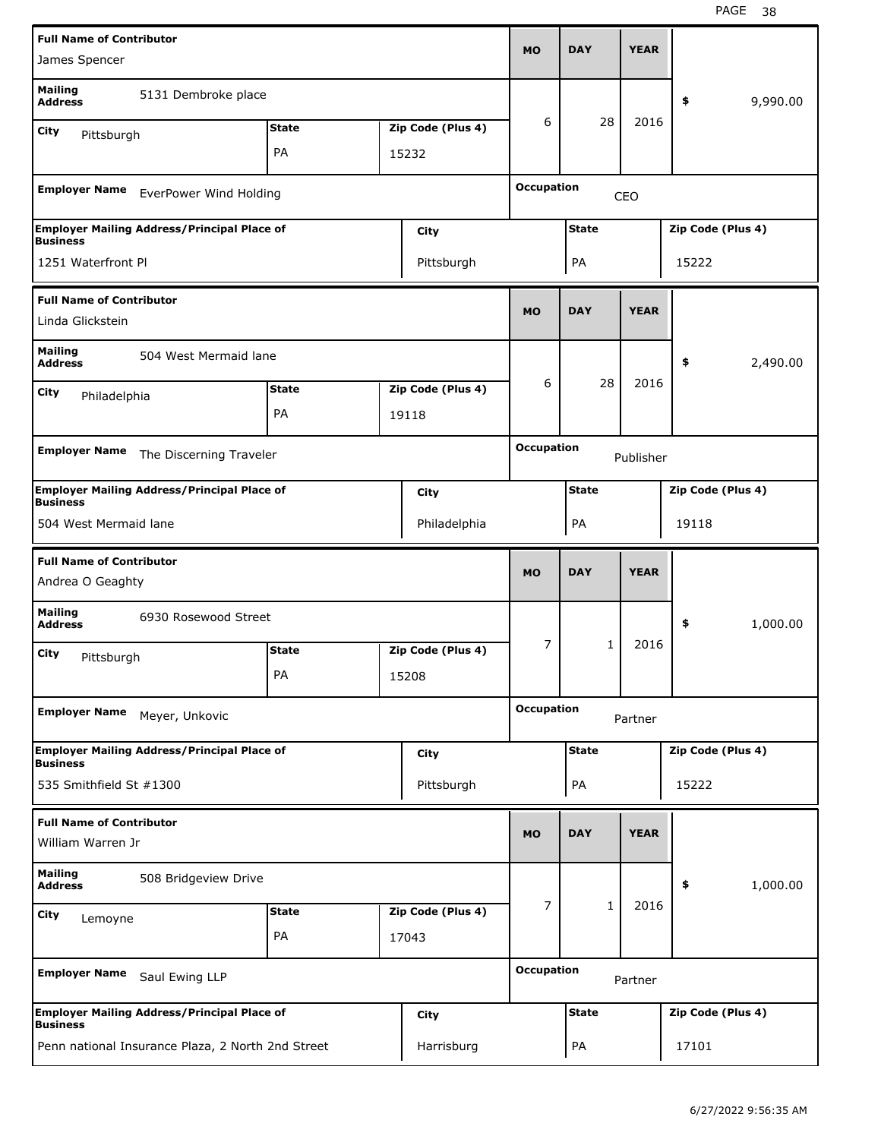| <b>Full Name of Contributor</b>                      |                                                    |              |                   |                   |              | <b>YEAR</b> |                   |          |
|------------------------------------------------------|----------------------------------------------------|--------------|-------------------|-------------------|--------------|-------------|-------------------|----------|
| James Spencer                                        |                                                    |              |                   | <b>MO</b>         | <b>DAY</b>   |             |                   |          |
| Mailing<br><b>Address</b>                            | 5131 Dembroke place                                |              |                   |                   |              |             | \$                | 9,990.00 |
| City<br>Pittsburgh                                   |                                                    | <b>State</b> | Zip Code (Plus 4) | 6                 | 28           | 2016        |                   |          |
|                                                      |                                                    | PA           | 15232             |                   |              |             |                   |          |
|                                                      |                                                    |              |                   | <b>Occupation</b> |              |             |                   |          |
| <b>Employer Name</b>                                 | EverPower Wind Holding                             |              |                   |                   |              | CEO         |                   |          |
| <b>Business</b>                                      | <b>Employer Mailing Address/Principal Place of</b> |              | City              |                   | <b>State</b> |             | Zip Code (Plus 4) |          |
| 1251 Waterfront Pl                                   |                                                    |              | Pittsburgh        |                   | PA           |             | 15222             |          |
| <b>Full Name of Contributor</b>                      |                                                    |              |                   |                   |              |             |                   |          |
| Linda Glickstein                                     |                                                    |              |                   | <b>MO</b>         | <b>DAY</b>   | <b>YEAR</b> |                   |          |
| <b>Mailing</b><br><b>Address</b>                     | 504 West Mermaid lane                              |              |                   |                   |              |             | \$                | 2,490.00 |
| City                                                 |                                                    | <b>State</b> | Zip Code (Plus 4) | 6                 | 28           | 2016        |                   |          |
| Philadelphia                                         |                                                    | PA           | 19118             |                   |              |             |                   |          |
|                                                      |                                                    |              |                   |                   |              |             |                   |          |
| <b>Employer Name</b>                                 | The Discerning Traveler                            |              |                   | <b>Occupation</b> |              | Publisher   |                   |          |
| <b>Business</b>                                      | <b>Employer Mailing Address/Principal Place of</b> |              | City              |                   | <b>State</b> |             | Zip Code (Plus 4) |          |
| 504 West Mermaid lane                                |                                                    |              | Philadelphia      |                   | PA           |             | 19118             |          |
|                                                      |                                                    |              |                   |                   |              |             |                   |          |
| <b>Full Name of Contributor</b>                      |                                                    |              |                   |                   |              |             |                   |          |
| Andrea O Geaghty                                     |                                                    |              |                   | <b>MO</b>         | <b>DAY</b>   | <b>YEAR</b> |                   |          |
| <b>Mailing</b><br><b>Address</b>                     | 6930 Rosewood Street                               |              |                   |                   |              |             | \$                | 1,000.00 |
| City                                                 |                                                    | <b>State</b> | Zip Code (Plus 4) | 7                 | 1            | 2016        |                   |          |
| Pittsburgh                                           |                                                    | PA           | 15208             |                   |              |             |                   |          |
| <b>Employer Name</b>                                 | Meyer, Unkovic                                     |              |                   | <b>Occupation</b> |              | Partner     |                   |          |
|                                                      | <b>Employer Mailing Address/Principal Place of</b> |              | City              |                   | <b>State</b> |             | Zip Code (Plus 4) |          |
| <b>Business</b><br>535 Smithfield St #1300           |                                                    |              | Pittsburgh        |                   | PA           |             | 15222             |          |
|                                                      |                                                    |              |                   |                   |              |             |                   |          |
| <b>Full Name of Contributor</b><br>William Warren Jr |                                                    |              |                   | <b>MO</b>         | <b>DAY</b>   | <b>YEAR</b> |                   |          |
| <b>Mailing</b><br>Address                            | 508 Bridgeview Drive                               |              |                   |                   |              |             | \$                | 1,000.00 |
| City                                                 |                                                    | <b>State</b> | Zip Code (Plus 4) | $\overline{7}$    | $\mathbf{1}$ | 2016        |                   |          |
| Lemoyne                                              |                                                    | PA           | 17043             |                   |              |             |                   |          |
| <b>Employer Name</b>                                 | Saul Ewing LLP                                     |              |                   | <b>Occupation</b> |              | Partner     |                   |          |
| <b>Business</b>                                      | <b>Employer Mailing Address/Principal Place of</b> |              | City              |                   | <b>State</b> |             | Zip Code (Plus 4) |          |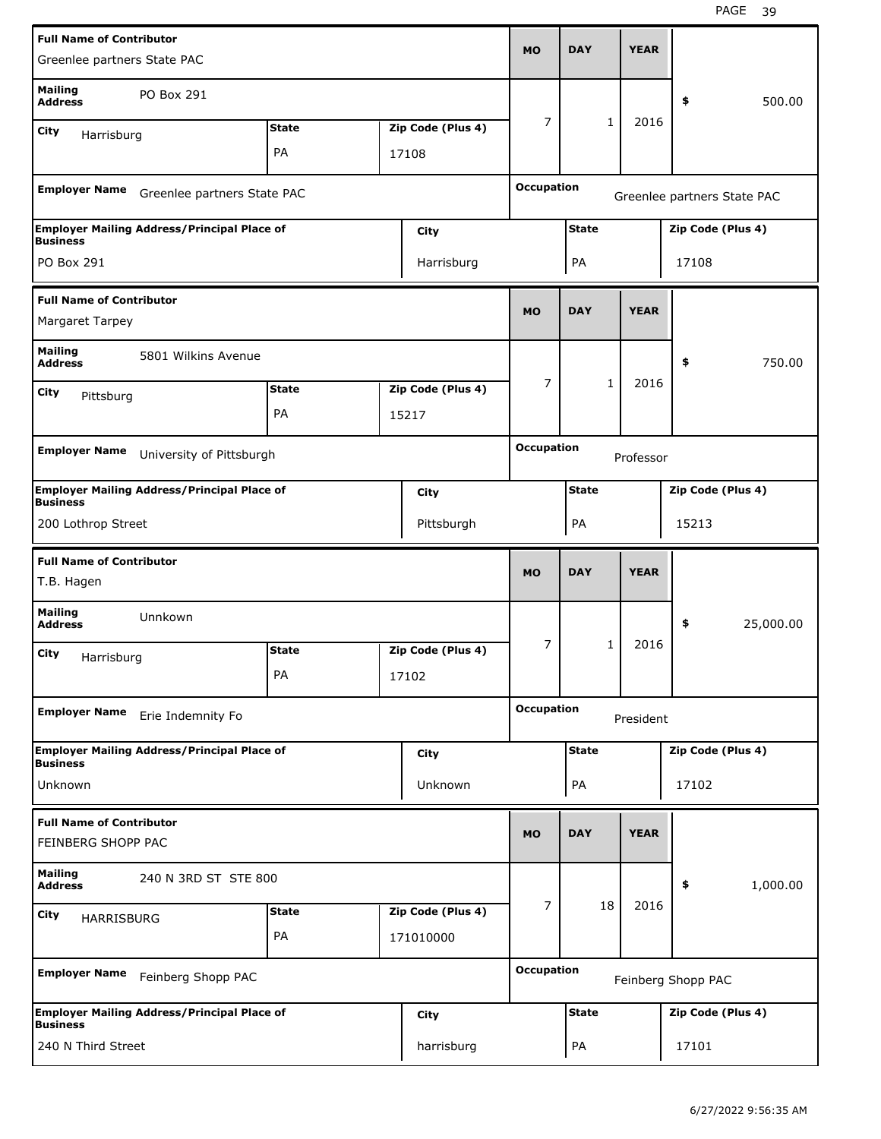| <b>Full Name of Contributor</b>                       |                                                    |              |                   |                   |              |             |                    |                             |
|-------------------------------------------------------|----------------------------------------------------|--------------|-------------------|-------------------|--------------|-------------|--------------------|-----------------------------|
| Greenlee partners State PAC                           |                                                    |              |                   | <b>MO</b>         | <b>DAY</b>   | <b>YEAR</b> |                    |                             |
| <b>Mailing</b><br><b>Address</b>                      | PO Box 291                                         |              |                   |                   |              |             | \$                 | 500.00                      |
| City<br>Harrisburg                                    |                                                    | <b>State</b> | Zip Code (Plus 4) | 7                 | $\mathbf{1}$ | 2016        |                    |                             |
|                                                       |                                                    | PA           | 17108             |                   |              |             |                    |                             |
| <b>Employer Name</b>                                  | Greenlee partners State PAC                        |              |                   | <b>Occupation</b> |              |             |                    | Greenlee partners State PAC |
| <b>Business</b>                                       | <b>Employer Mailing Address/Principal Place of</b> |              | City              |                   | <b>State</b> |             | Zip Code (Plus 4)  |                             |
| PO Box 291                                            |                                                    |              | Harrisburg        |                   | PA           |             | 17108              |                             |
| <b>Full Name of Contributor</b>                       |                                                    |              |                   |                   |              |             |                    |                             |
| Margaret Tarpey                                       |                                                    |              |                   | <b>MO</b>         | <b>DAY</b>   | <b>YEAR</b> |                    |                             |
| <b>Mailing</b><br><b>Address</b>                      | 5801 Wilkins Avenue                                |              |                   |                   |              |             | \$                 | 750.00                      |
| City<br>Pittsburg                                     |                                                    | <b>State</b> | Zip Code (Plus 4) | 7                 | $\mathbf{1}$ | 2016        |                    |                             |
|                                                       |                                                    | PA           | 15217             |                   |              |             |                    |                             |
| <b>Employer Name</b>                                  | University of Pittsburgh                           |              |                   | <b>Occupation</b> |              | Professor   |                    |                             |
| <b>Business</b>                                       | <b>Employer Mailing Address/Principal Place of</b> |              | City              |                   | <b>State</b> |             | Zip Code (Plus 4)  |                             |
| 200 Lothrop Street                                    |                                                    |              | Pittsburgh        |                   | PA           |             | 15213              |                             |
| <b>Full Name of Contributor</b><br>T.B. Hagen         |                                                    |              |                   | <b>MO</b>         | <b>DAY</b>   | <b>YEAR</b> |                    |                             |
|                                                       |                                                    |              |                   |                   |              |             |                    |                             |
| <b>Mailing</b><br><b>Address</b>                      | Unnkown                                            |              |                   |                   |              |             | \$                 | 25,000.00                   |
| City                                                  |                                                    | <b>State</b> | Zip Code (Plus 4) | 7                 | 1            | 2016        |                    |                             |
| Harrisburg                                            |                                                    | PA           | 17102             |                   |              |             |                    |                             |
| <b>Employer Name</b>                                  | Erie Indemnity Fo                                  |              |                   | <b>Occupation</b> |              | President   |                    |                             |
| <b>Business</b>                                       | <b>Employer Mailing Address/Principal Place of</b> |              | <b>City</b>       |                   | <b>State</b> |             | Zip Code (Plus 4)  |                             |
| Unknown                                               |                                                    |              | Unknown           |                   | PA           |             | 17102              |                             |
| <b>Full Name of Contributor</b><br>FEINBERG SHOPP PAC |                                                    |              |                   | <b>MO</b>         | <b>DAY</b>   | <b>YEAR</b> |                    |                             |
| <b>Mailing</b><br><b>Address</b>                      | 240 N 3RD ST STE 800                               |              |                   |                   |              |             | \$                 | 1,000.00                    |
|                                                       |                                                    | <b>State</b> | Zip Code (Plus 4) | 7                 | 18           | 2016        |                    |                             |
| City<br>HARRISBURG                                    |                                                    | PA           | 171010000         |                   |              |             |                    |                             |
| <b>Employer Name</b>                                  | Feinberg Shopp PAC                                 |              |                   | <b>Occupation</b> |              |             | Feinberg Shopp PAC |                             |
| <b>Business</b>                                       | <b>Employer Mailing Address/Principal Place of</b> |              | City              |                   | <b>State</b> |             | Zip Code (Plus 4)  |                             |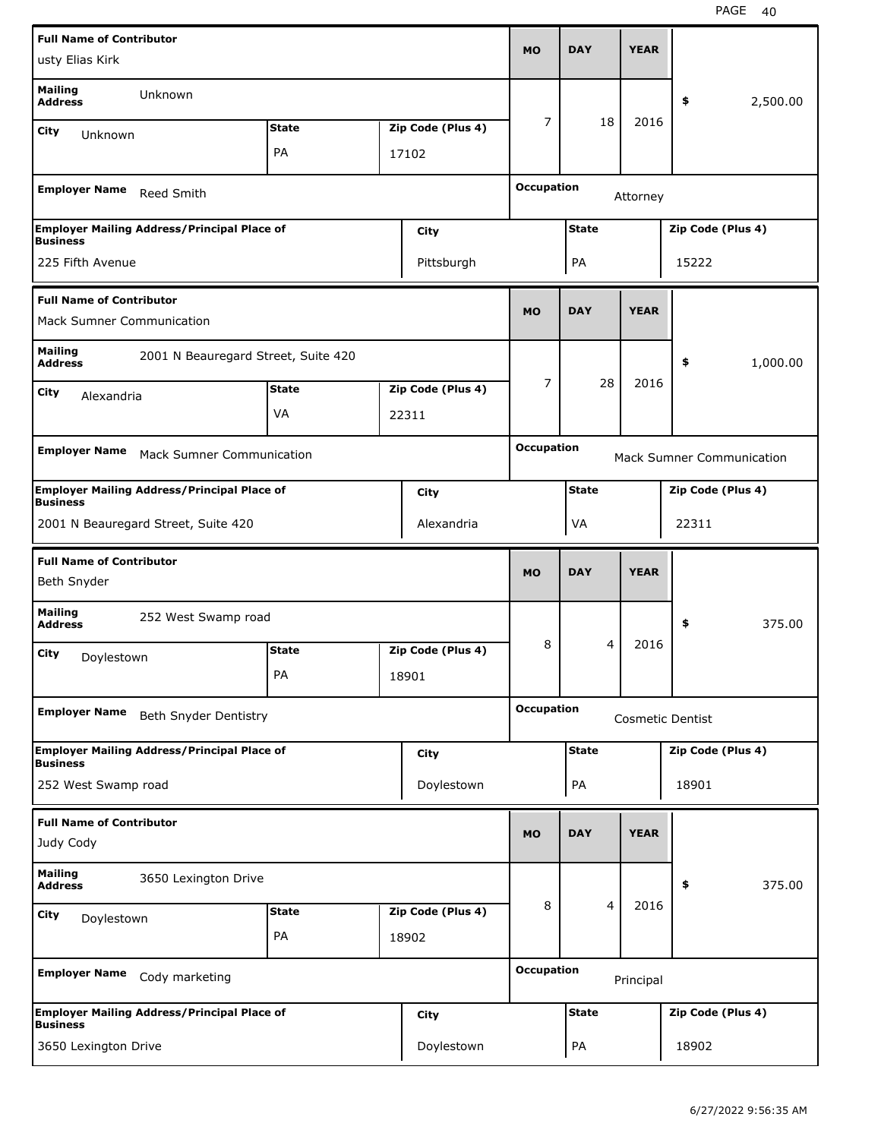| <b>Full Name of Contributor</b>                                     |                                                    |              |                   | <b>MO</b>         | <b>DAY</b>     | <b>YEAR</b> |                         |                                  |
|---------------------------------------------------------------------|----------------------------------------------------|--------------|-------------------|-------------------|----------------|-------------|-------------------------|----------------------------------|
| usty Elias Kirk                                                     |                                                    |              |                   |                   |                |             |                         |                                  |
| <b>Mailing</b><br><b>Address</b>                                    | Unknown                                            |              |                   |                   |                |             | \$                      | 2,500.00                         |
| City<br>Unknown                                                     |                                                    | <b>State</b> | Zip Code (Plus 4) | 7                 | 18             | 2016        |                         |                                  |
|                                                                     |                                                    | PA           | 17102             |                   |                |             |                         |                                  |
| <b>Employer Name</b>                                                | Reed Smith                                         |              |                   | <b>Occupation</b> |                | Attorney    |                         |                                  |
| <b>Business</b>                                                     | <b>Employer Mailing Address/Principal Place of</b> |              | City              |                   | <b>State</b>   |             | Zip Code (Plus 4)       |                                  |
| 225 Fifth Avenue                                                    |                                                    |              | Pittsburgh        |                   | PA             |             | 15222                   |                                  |
| <b>Full Name of Contributor</b><br><b>Mack Sumner Communication</b> |                                                    |              |                   | <b>MO</b>         | <b>DAY</b>     | <b>YEAR</b> |                         |                                  |
| <b>Mailing</b><br><b>Address</b>                                    | 2001 N Beauregard Street, Suite 420                |              |                   |                   |                |             | \$                      | 1,000.00                         |
| City<br>Alexandria                                                  |                                                    | <b>State</b> | Zip Code (Plus 4) | 7                 | 28             | 2016        |                         |                                  |
|                                                                     |                                                    | VA           | 22311             |                   |                |             |                         |                                  |
| <b>Employer Name</b>                                                |                                                    |              |                   | <b>Occupation</b> |                |             |                         |                                  |
|                                                                     | <b>Mack Sumner Communication</b>                   |              |                   |                   |                |             |                         | <b>Mack Sumner Communication</b> |
| <b>Business</b>                                                     | <b>Employer Mailing Address/Principal Place of</b> |              | City              |                   | <b>State</b>   |             | Zip Code (Plus 4)       |                                  |
|                                                                     | 2001 N Beauregard Street, Suite 420                |              | Alexandria        |                   | VA             |             | 22311                   |                                  |
|                                                                     |                                                    |              |                   |                   |                |             |                         |                                  |
| <b>Full Name of Contributor</b><br>Beth Snyder                      |                                                    |              |                   | <b>MO</b>         | <b>DAY</b>     | <b>YEAR</b> |                         |                                  |
| <b>Mailing</b><br><b>Address</b>                                    | 252 West Swamp road                                |              |                   |                   |                |             | \$                      | 375.00                           |
| City                                                                |                                                    | <b>State</b> | Zip Code (Plus 4) | 8                 | 4              | 2016        |                         |                                  |
| Doylestown                                                          |                                                    | PA           | 18901             |                   |                |             |                         |                                  |
| <b>Employer Name</b>                                                | Beth Snyder Dentistry                              |              |                   | <b>Occupation</b> |                |             | <b>Cosmetic Dentist</b> |                                  |
|                                                                     | <b>Employer Mailing Address/Principal Place of</b> |              | City              |                   | <b>State</b>   |             | Zip Code (Plus 4)       |                                  |
| <b>Business</b><br>252 West Swamp road                              |                                                    |              | Doylestown        |                   | PA             |             | 18901                   |                                  |
| <b>Full Name of Contributor</b>                                     |                                                    |              |                   |                   |                |             |                         |                                  |
| Judy Cody                                                           |                                                    |              |                   | <b>MO</b>         | <b>DAY</b>     | <b>YEAR</b> |                         |                                  |
| <b>Mailing</b><br><b>Address</b>                                    | 3650 Lexington Drive                               |              |                   |                   |                |             | \$                      | 375.00                           |
| City<br>Doylestown                                                  |                                                    | <b>State</b> | Zip Code (Plus 4) | 8                 | $\overline{4}$ | 2016        |                         |                                  |
|                                                                     |                                                    | PA           | 18902             |                   |                |             |                         |                                  |
| <b>Employer Name</b>                                                | Cody marketing                                     |              |                   | <b>Occupation</b> |                | Principal   |                         |                                  |
| <b>Business</b>                                                     | <b>Employer Mailing Address/Principal Place of</b> |              | City              |                   | <b>State</b>   |             | Zip Code (Plus 4)       |                                  |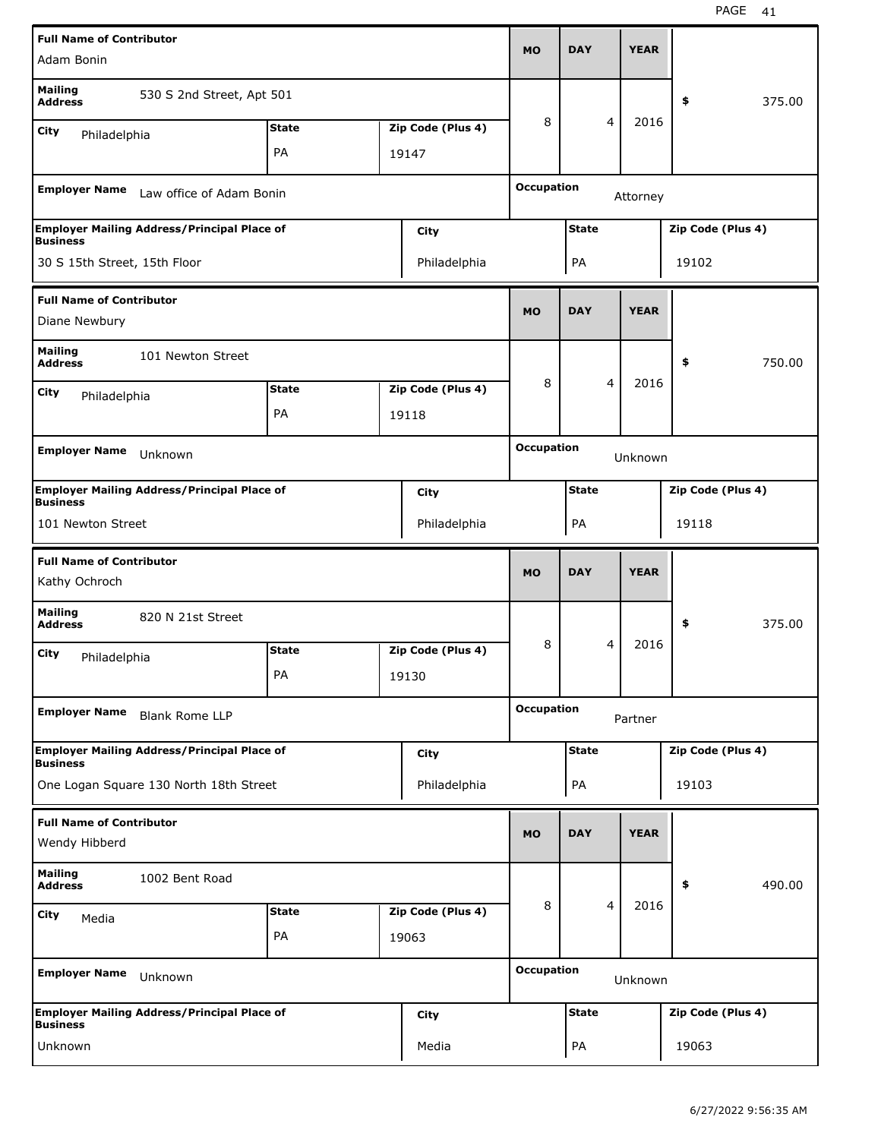| <b>Full Name of Contributor</b>                  |                                                    |                    |                            |                   |              |                | <b>YEAR</b> |                   |        |
|--------------------------------------------------|----------------------------------------------------|--------------------|----------------------------|-------------------|--------------|----------------|-------------|-------------------|--------|
| Adam Bonin                                       |                                                    |                    |                            | <b>MO</b>         | <b>DAY</b>   |                |             |                   |        |
| <b>Mailing</b><br><b>Address</b>                 | 530 S 2nd Street, Apt 501                          |                    |                            |                   |              |                |             | \$                | 375.00 |
| City<br>Philadelphia                             |                                                    | <b>State</b>       | Zip Code (Plus 4)          | 8                 |              | 4              | 2016        |                   |        |
|                                                  |                                                    | PA                 | 19147                      |                   |              |                |             |                   |        |
| <b>Employer Name</b>                             | Law office of Adam Bonin                           |                    |                            | <b>Occupation</b> |              |                | Attorney    |                   |        |
| <b>Business</b>                                  | <b>Employer Mailing Address/Principal Place of</b> |                    | City                       |                   | <b>State</b> |                |             | Zip Code (Plus 4) |        |
| 30 S 15th Street, 15th Floor                     |                                                    |                    | Philadelphia               |                   | PA           |                |             | 19102             |        |
| <b>Full Name of Contributor</b>                  |                                                    |                    |                            |                   |              |                |             |                   |        |
| Diane Newbury                                    |                                                    |                    |                            | <b>MO</b>         | <b>DAY</b>   |                | <b>YEAR</b> |                   |        |
| <b>Mailing</b><br><b>Address</b>                 | 101 Newton Street                                  |                    |                            |                   |              |                |             | \$                | 750.00 |
| City<br>Philadelphia                             |                                                    | <b>State</b>       | Zip Code (Plus 4)          | 8                 |              | 4              | 2016        |                   |        |
|                                                  |                                                    | PA                 | 19118                      |                   |              |                |             |                   |        |
| <b>Employer Name</b>                             | Unknown                                            |                    |                            | <b>Occupation</b> |              |                | Unknown     |                   |        |
|                                                  | <b>Employer Mailing Address/Principal Place of</b> |                    |                            |                   | <b>State</b> |                |             | Zip Code (Plus 4) |        |
| <b>Business</b>                                  |                                                    |                    | <b>City</b>                |                   |              |                |             |                   |        |
| 101 Newton Street                                |                                                    |                    | Philadelphia               |                   | PA           |                |             | 19118             |        |
|                                                  |                                                    |                    |                            |                   |              |                |             |                   |        |
| <b>Full Name of Contributor</b><br>Kathy Ochroch |                                                    |                    |                            | <b>MO</b>         | <b>DAY</b>   |                | <b>YEAR</b> |                   |        |
| <b>Mailing</b><br><b>Address</b>                 | 820 N 21st Street                                  |                    |                            |                   |              |                |             | \$                | 375.00 |
| City                                             |                                                    | <b>State</b>       | Zip Code (Plus 4)          | 8                 |              | 4              | 2016        |                   |        |
| Philadelphia                                     |                                                    | PA                 | 19130                      |                   |              |                |             |                   |        |
| <b>Employer Name</b>                             | <b>Blank Rome LLP</b>                              |                    |                            | <b>Occupation</b> |              |                | Partner     |                   |        |
|                                                  | <b>Employer Mailing Address/Principal Place of</b> |                    | <b>City</b>                |                   | <b>State</b> |                |             | Zip Code (Plus 4) |        |
| <b>Business</b>                                  | One Logan Square 130 North 18th Street             |                    | Philadelphia               |                   | PA           |                |             | 19103             |        |
| <b>Full Name of Contributor</b>                  |                                                    |                    |                            | <b>MO</b>         | <b>DAY</b>   |                | <b>YEAR</b> |                   |        |
| Wendy Hibberd<br><b>Mailing</b>                  | 1002 Bent Road                                     |                    |                            |                   |              |                |             |                   |        |
| <b>Address</b>                                   |                                                    |                    |                            | 8                 |              | $\overline{4}$ | 2016        | \$                | 490.00 |
| <b>City</b><br>Media                             |                                                    | <b>State</b><br>PA | Zip Code (Plus 4)<br>19063 |                   |              |                |             |                   |        |
| <b>Employer Name</b>                             | Unknown                                            |                    |                            | <b>Occupation</b> |              |                | Unknown     |                   |        |
| <b>Business</b>                                  | <b>Employer Mailing Address/Principal Place of</b> |                    | <b>City</b>                |                   | <b>State</b> |                |             | Zip Code (Plus 4) |        |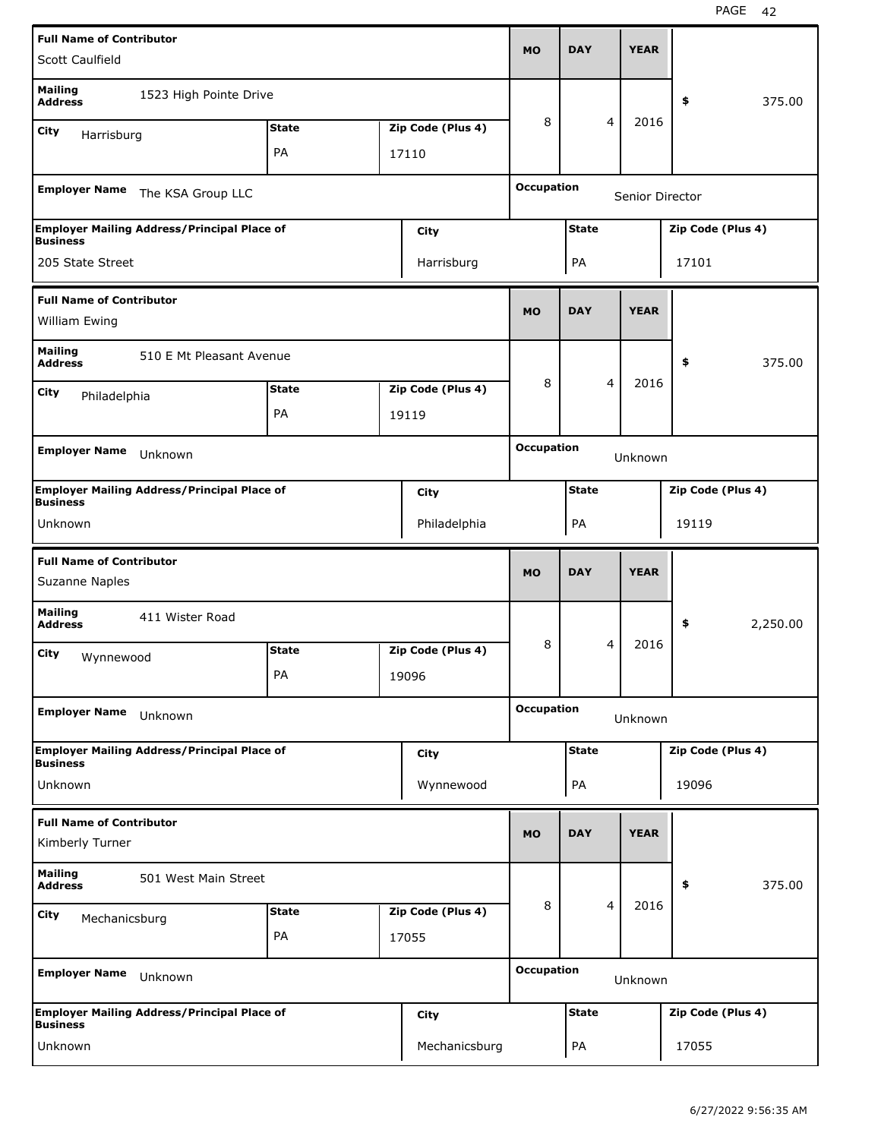| <b>Full Name of Contributor</b>                   |                                                    |              |                   |                   | <b>DAY</b>   |                | <b>YEAR</b>     |                   |          |
|---------------------------------------------------|----------------------------------------------------|--------------|-------------------|-------------------|--------------|----------------|-----------------|-------------------|----------|
| Scott Caulfield                                   |                                                    |              |                   | <b>MO</b>         |              |                |                 |                   |          |
| <b>Mailing</b><br><b>Address</b>                  | 1523 High Pointe Drive                             |              |                   |                   |              |                |                 | \$                | 375.00   |
| City<br>Harrisburg                                |                                                    | <b>State</b> | Zip Code (Plus 4) | 8                 |              | 4              | 2016            |                   |          |
|                                                   |                                                    | PA           | 17110             |                   |              |                |                 |                   |          |
| <b>Employer Name</b>                              | The KSA Group LLC                                  |              |                   | <b>Occupation</b> |              |                | Senior Director |                   |          |
| <b>Business</b>                                   | <b>Employer Mailing Address/Principal Place of</b> |              | City              |                   | <b>State</b> |                |                 | Zip Code (Plus 4) |          |
| 205 State Street                                  |                                                    |              | Harrisburg        |                   | PA           |                |                 | 17101             |          |
| <b>Full Name of Contributor</b>                   |                                                    |              |                   |                   |              |                |                 |                   |          |
| William Ewing                                     |                                                    |              |                   | <b>MO</b>         | <b>DAY</b>   |                | <b>YEAR</b>     |                   |          |
| <b>Mailing</b><br><b>Address</b>                  | 510 E Mt Pleasant Avenue                           |              |                   |                   |              |                |                 | \$                | 375.00   |
| City<br>Philadelphia                              |                                                    | <b>State</b> | Zip Code (Plus 4) | 8                 |              | $\overline{4}$ | 2016            |                   |          |
|                                                   |                                                    | PA           | 19119             |                   |              |                |                 |                   |          |
| <b>Employer Name</b>                              | Unknown                                            |              |                   | <b>Occupation</b> |              |                | Unknown         |                   |          |
|                                                   |                                                    |              |                   |                   |              |                |                 |                   |          |
| <b>Business</b>                                   | <b>Employer Mailing Address/Principal Place of</b> |              | City              |                   | <b>State</b> |                |                 | Zip Code (Plus 4) |          |
| Unknown                                           |                                                    |              | Philadelphia      |                   | PA           |                |                 | 19119             |          |
|                                                   |                                                    |              |                   |                   |              |                |                 |                   |          |
| <b>Full Name of Contributor</b><br>Suzanne Naples |                                                    |              |                   | <b>MO</b>         | <b>DAY</b>   |                | <b>YEAR</b>     |                   |          |
| <b>Mailing</b><br><b>Address</b>                  | 411 Wister Road                                    |              |                   |                   |              |                |                 | \$                | 2,250.00 |
| City                                              |                                                    | <b>State</b> | Zip Code (Plus 4) | 8                 |              | 4              | 2016            |                   |          |
| Wynnewood                                         |                                                    | PA           | 19096             |                   |              |                |                 |                   |          |
| <b>Employer Name</b>                              | Unknown                                            |              |                   | <b>Occupation</b> |              |                | Unknown         |                   |          |
|                                                   | <b>Employer Mailing Address/Principal Place of</b> |              | <b>City</b>       |                   | <b>State</b> |                |                 | Zip Code (Plus 4) |          |
| <b>Business</b><br>Unknown                        |                                                    |              | Wynnewood         |                   | PA           |                |                 | 19096             |          |
| <b>Full Name of Contributor</b>                   |                                                    |              |                   |                   |              |                |                 |                   |          |
| Kimberly Turner                                   |                                                    |              |                   | <b>MO</b>         | <b>DAY</b>   |                | <b>YEAR</b>     |                   |          |
| <b>Mailing</b><br><b>Address</b>                  | 501 West Main Street                               |              |                   |                   |              |                |                 | \$                | 375.00   |
| City<br>Mechanicsburg                             |                                                    | <b>State</b> | Zip Code (Plus 4) | 8                 |              | $\overline{4}$ | 2016            |                   |          |
|                                                   |                                                    | PA           | 17055             |                   |              |                |                 |                   |          |
| <b>Employer Name</b>                              | Unknown                                            |              |                   | <b>Occupation</b> |              |                | Unknown         |                   |          |
| <b>Business</b>                                   | <b>Employer Mailing Address/Principal Place of</b> |              | City              |                   | <b>State</b> |                |                 | Zip Code (Plus 4) |          |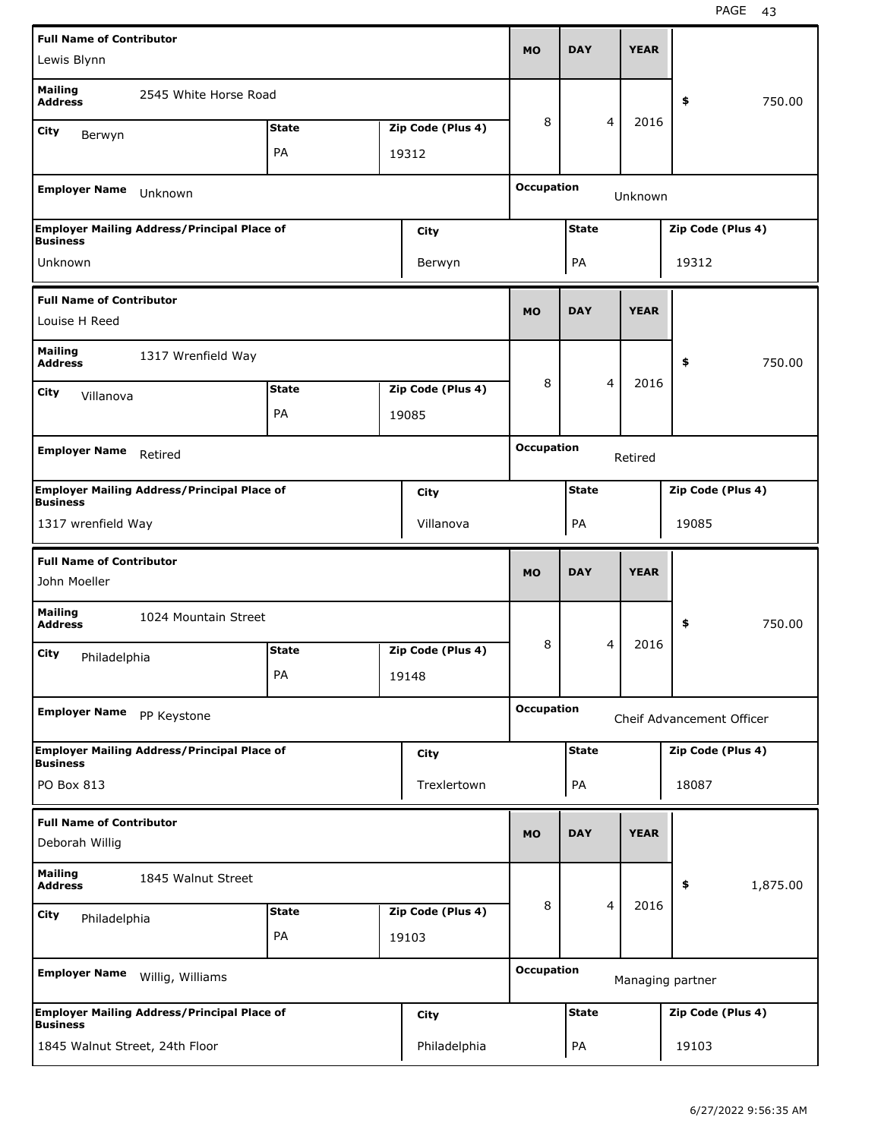| <b>Full Name of Contributor</b>  |                                                    |              |                            |                   |              |                |             |                           |          |
|----------------------------------|----------------------------------------------------|--------------|----------------------------|-------------------|--------------|----------------|-------------|---------------------------|----------|
| Lewis Blynn                      |                                                    |              |                            | <b>MO</b>         | <b>DAY</b>   |                | <b>YEAR</b> |                           |          |
| <b>Mailing</b><br><b>Address</b> | 2545 White Horse Road                              |              |                            |                   |              |                |             | \$                        | 750.00   |
| City<br>Berwyn                   |                                                    | <b>State</b> | Zip Code (Plus 4)          | 8                 |              | 4              | 2016        |                           |          |
|                                  |                                                    | PA           | 19312                      |                   |              |                |             |                           |          |
|                                  |                                                    |              |                            |                   |              |                |             |                           |          |
| <b>Employer Name</b>             | Unknown                                            |              |                            | <b>Occupation</b> |              |                | Unknown     |                           |          |
|                                  | <b>Employer Mailing Address/Principal Place of</b> |              | City                       |                   | <b>State</b> |                |             | Zip Code (Plus 4)         |          |
| <b>Business</b><br>Unknown       |                                                    |              |                            |                   |              |                |             | 19312                     |          |
|                                  |                                                    |              | Berwyn                     |                   | PA           |                |             |                           |          |
| <b>Full Name of Contributor</b>  |                                                    |              |                            | <b>MO</b>         | <b>DAY</b>   |                | <b>YEAR</b> |                           |          |
| Louise H Reed                    |                                                    |              |                            |                   |              |                |             |                           |          |
| <b>Mailing</b>                   | 1317 Wrenfield Way                                 |              |                            |                   |              |                |             | \$                        | 750.00   |
| <b>Address</b>                   |                                                    |              |                            | 8                 |              | 4              | 2016        |                           |          |
| City<br>Villanova                |                                                    | <b>State</b> | Zip Code (Plus 4)          |                   |              |                |             |                           |          |
|                                  |                                                    | PA           | 19085                      |                   |              |                |             |                           |          |
| <b>Employer Name</b>             | Retired                                            |              |                            | <b>Occupation</b> |              |                | Retired     |                           |          |
| <b>Business</b>                  | <b>Employer Mailing Address/Principal Place of</b> |              | City                       |                   | <b>State</b> |                |             | Zip Code (Plus 4)         |          |
| 1317 wrenfield Way               |                                                    |              | Villanova                  |                   | PA           |                |             | 19085                     |          |
|                                  |                                                    |              |                            |                   |              |                |             |                           |          |
|                                  |                                                    |              |                            |                   |              |                |             |                           |          |
| <b>Full Name of Contributor</b>  |                                                    |              |                            |                   | <b>DAY</b>   |                |             |                           |          |
| John Moeller                     |                                                    |              |                            | <b>MO</b>         |              |                | <b>YEAR</b> |                           |          |
| <b>Mailing</b><br><b>Address</b> | 1024 Mountain Street                               |              |                            |                   |              |                |             | \$                        | 750.00   |
| City                             |                                                    | <b>State</b> | Zip Code (Plus 4)          | 8                 |              | 4              | 2016        |                           |          |
| Philadelphia                     |                                                    | PA           | 19148                      |                   |              |                |             |                           |          |
|                                  |                                                    |              |                            | <b>Occupation</b> |              |                |             |                           |          |
| <b>Employer Name</b>             | PP Keystone                                        |              |                            |                   |              |                |             | Cheif Advancement Officer |          |
| <b>Business</b>                  | <b>Employer Mailing Address/Principal Place of</b> |              | City                       |                   | <b>State</b> |                |             | Zip Code (Plus 4)         |          |
| PO Box 813                       |                                                    |              | Trexlertown                |                   | PA           |                |             | 18087                     |          |
| <b>Full Name of Contributor</b>  |                                                    |              |                            |                   |              |                |             |                           |          |
| Deborah Willig                   |                                                    |              |                            | <b>MO</b>         | <b>DAY</b>   |                | <b>YEAR</b> |                           |          |
| <b>Mailing</b><br><b>Address</b> | 1845 Walnut Street                                 |              |                            |                   |              |                |             | \$                        | 1,875.00 |
|                                  |                                                    | <b>State</b> |                            | 8                 |              | $\overline{4}$ | 2016        |                           |          |
| City<br>Philadelphia             |                                                    | PA           | Zip Code (Plus 4)<br>19103 |                   |              |                |             |                           |          |
|                                  |                                                    |              |                            |                   |              |                |             |                           |          |
| <b>Employer Name</b>             | Willig, Williams                                   |              |                            | <b>Occupation</b> |              |                |             | Managing partner          |          |
| <b>Business</b>                  | <b>Employer Mailing Address/Principal Place of</b> |              | City                       |                   | <b>State</b> |                |             | Zip Code (Plus 4)         |          |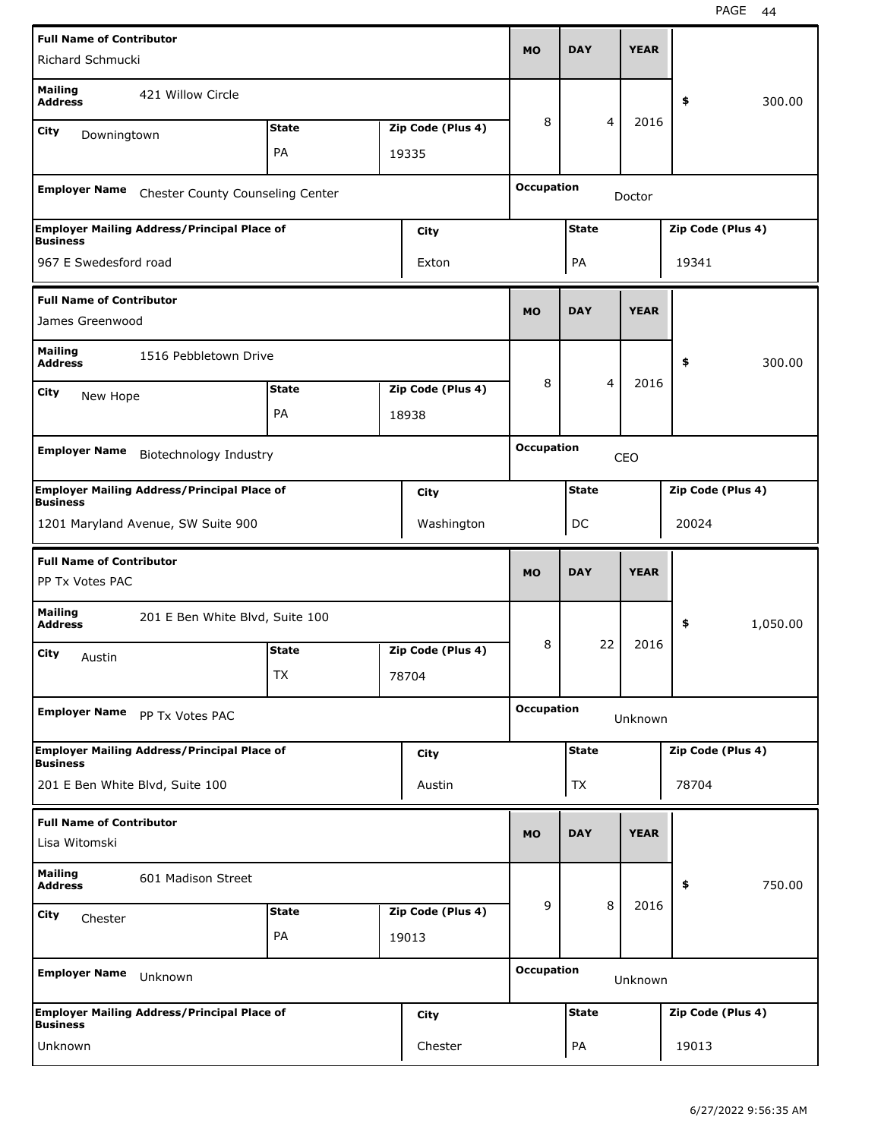| <b>Full Name of Contributor</b>                    |                                                    |              |                   | MO                | <b>DAY</b>     | <b>YEAR</b> |                   |          |
|----------------------------------------------------|----------------------------------------------------|--------------|-------------------|-------------------|----------------|-------------|-------------------|----------|
| Richard Schmucki                                   |                                                    |              |                   |                   |                |             |                   |          |
| <b>Mailing</b><br><b>Address</b>                   | 421 Willow Circle                                  |              |                   |                   |                |             | \$                | 300.00   |
| City<br>Downingtown                                |                                                    | <b>State</b> | Zip Code (Plus 4) | 8                 | $\overline{4}$ | 2016        |                   |          |
|                                                    |                                                    | PA           | 19335             |                   |                |             |                   |          |
| <b>Employer Name</b>                               | Chester County Counseling Center                   |              |                   | <b>Occupation</b> |                | Doctor      |                   |          |
| <b>Business</b>                                    | <b>Employer Mailing Address/Principal Place of</b> |              | City              |                   | <b>State</b>   |             | Zip Code (Plus 4) |          |
| 967 E Swedesford road                              |                                                    |              | Exton             |                   | PA             |             | 19341             |          |
| <b>Full Name of Contributor</b><br>James Greenwood |                                                    |              |                   | <b>MO</b>         | <b>DAY</b>     | <b>YEAR</b> |                   |          |
| <b>Mailing</b><br><b>Address</b>                   | 1516 Pebbletown Drive                              |              |                   |                   |                |             | \$                | 300.00   |
| City<br>New Hope                                   |                                                    | <b>State</b> | Zip Code (Plus 4) | 8                 | 4              | 2016        |                   |          |
|                                                    |                                                    | PA           | 18938             |                   |                |             |                   |          |
|                                                    |                                                    |              |                   | <b>Occupation</b> |                |             |                   |          |
| <b>Employer Name</b>                               | Biotechnology Industry                             |              |                   |                   |                | CEO         |                   |          |
| <b>Business</b>                                    | <b>Employer Mailing Address/Principal Place of</b> |              | City              |                   | <b>State</b>   |             | Zip Code (Plus 4) |          |
|                                                    | 1201 Maryland Avenue, SW Suite 900                 |              | Washington        |                   | DC             |             | 20024             |          |
|                                                    |                                                    |              |                   |                   |                |             |                   |          |
| <b>Full Name of Contributor</b><br>PP Tx Votes PAC |                                                    |              |                   | <b>MO</b>         | <b>DAY</b>     | <b>YEAR</b> |                   |          |
| <b>Mailing</b><br><b>Address</b>                   | 201 E Ben White Blvd, Suite 100                    |              |                   |                   |                |             | \$                | 1,050.00 |
| City                                               |                                                    | <b>State</b> | Zip Code (Plus 4) | 8                 | 22             | 2016        |                   |          |
| Austin                                             |                                                    | 1X           | 78704             |                   |                |             |                   |          |
| <b>Employer Name</b>                               | PP Tx Votes PAC                                    |              |                   | <b>Occupation</b> |                | Unknown     |                   |          |
|                                                    | <b>Employer Mailing Address/Principal Place of</b> |              | City              |                   | <b>State</b>   |             | Zip Code (Plus 4) |          |
| <b>Business</b><br>201 E Ben White Blvd, Suite 100 |                                                    |              | Austin            |                   | TX             |             | 78704             |          |
| <b>Full Name of Contributor</b>                    |                                                    |              |                   | <b>MO</b>         | <b>DAY</b>     | <b>YEAR</b> |                   |          |
| Lisa Witomski                                      |                                                    |              |                   |                   |                |             |                   |          |
| <b>Mailing</b><br><b>Address</b>                   | 601 Madison Street                                 |              |                   |                   |                |             | \$                | 750.00   |
| City<br>Chester                                    |                                                    | <b>State</b> | Zip Code (Plus 4) | 9                 | 8              | 2016        |                   |          |
|                                                    |                                                    | PA           | 19013             |                   |                |             |                   |          |
| <b>Employer Name</b>                               | Unknown                                            |              |                   | <b>Occupation</b> |                | Unknown     |                   |          |
| <b>Business</b>                                    | <b>Employer Mailing Address/Principal Place of</b> |              | City              |                   | <b>State</b>   |             | Zip Code (Plus 4) |          |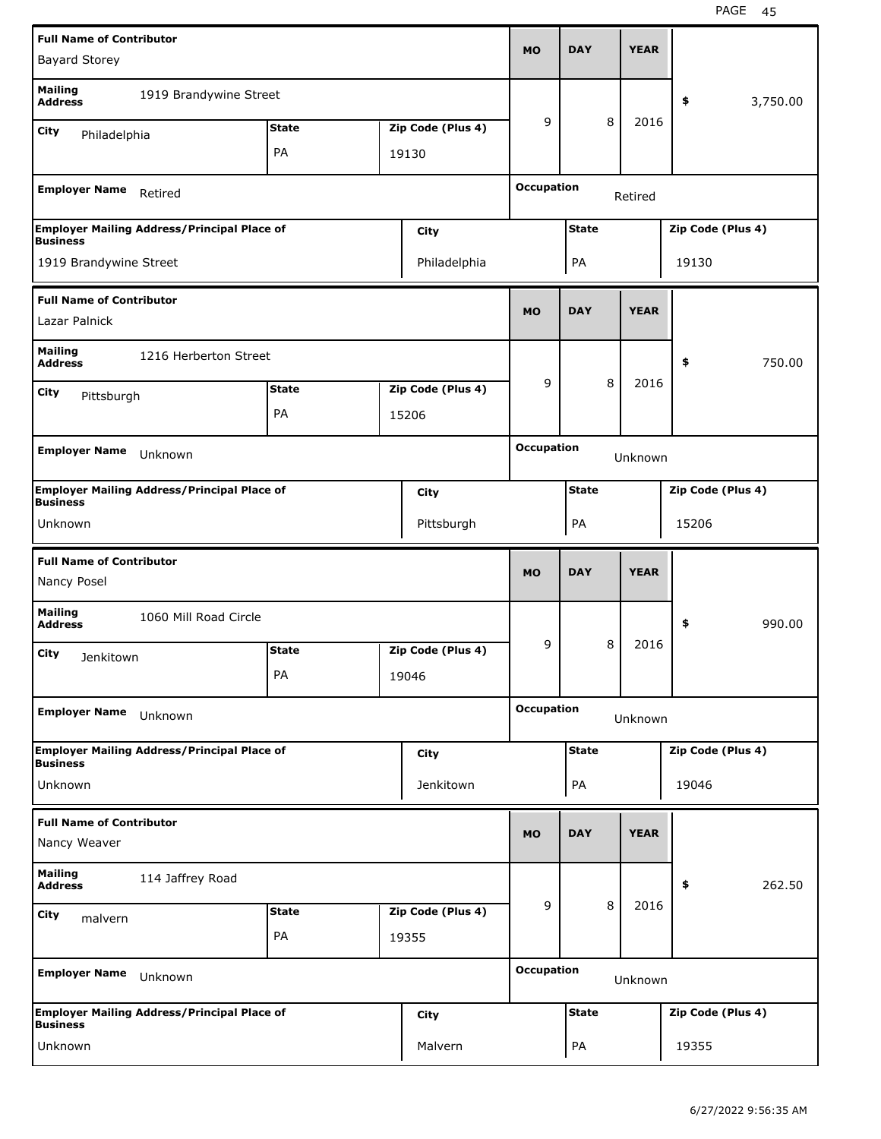| <b>Full Name of Contributor</b>                 |                                                    |              |                   |                   |              |   |             |                   |          |
|-------------------------------------------------|----------------------------------------------------|--------------|-------------------|-------------------|--------------|---|-------------|-------------------|----------|
| <b>Bayard Storey</b>                            |                                                    |              |                   | <b>MO</b>         | <b>DAY</b>   |   | <b>YEAR</b> |                   |          |
| <b>Mailing</b><br><b>Address</b>                | 1919 Brandywine Street                             |              |                   |                   |              |   |             | \$                | 3,750.00 |
| City<br>Philadelphia                            |                                                    | <b>State</b> | Zip Code (Plus 4) | 9                 |              | 8 | 2016        |                   |          |
|                                                 |                                                    | PA           | 19130             |                   |              |   |             |                   |          |
|                                                 |                                                    |              |                   |                   |              |   |             |                   |          |
| <b>Employer Name</b>                            | Retired                                            |              |                   | <b>Occupation</b> |              |   | Retired     |                   |          |
| <b>Business</b>                                 | <b>Employer Mailing Address/Principal Place of</b> |              | City              |                   | <b>State</b> |   |             | Zip Code (Plus 4) |          |
| 1919 Brandywine Street                          |                                                    |              | Philadelphia      |                   | PA           |   |             | 19130             |          |
| <b>Full Name of Contributor</b>                 |                                                    |              |                   |                   |              |   |             |                   |          |
| Lazar Palnick                                   |                                                    |              |                   | <b>MO</b>         | <b>DAY</b>   |   | <b>YEAR</b> |                   |          |
| <b>Mailing</b><br><b>Address</b>                | 1216 Herberton Street                              |              |                   |                   |              |   |             | \$                | 750.00   |
| <b>City</b><br>Pittsburgh                       |                                                    | <b>State</b> | Zip Code (Plus 4) | 9                 |              | 8 | 2016        |                   |          |
|                                                 |                                                    | PA           | 15206             |                   |              |   |             |                   |          |
|                                                 |                                                    |              |                   |                   |              |   |             |                   |          |
| <b>Employer Name</b>                            | Unknown                                            |              |                   | <b>Occupation</b> |              |   | Unknown     |                   |          |
| <b>Business</b>                                 | <b>Employer Mailing Address/Principal Place of</b> |              | City              |                   | <b>State</b> |   |             | Zip Code (Plus 4) |          |
| Unknown                                         |                                                    |              | Pittsburgh        |                   | PA           |   |             | 15206             |          |
|                                                 |                                                    |              |                   |                   |              |   |             |                   |          |
|                                                 |                                                    |              |                   |                   |              |   |             |                   |          |
| <b>Full Name of Contributor</b><br>Nancy Posel  |                                                    |              |                   | <b>MO</b>         | <b>DAY</b>   |   | <b>YEAR</b> |                   |          |
| <b>Mailing</b><br><b>Address</b>                | 1060 Mill Road Circle                              |              |                   |                   |              |   |             | \$                | 990.00   |
| City                                            |                                                    | <b>State</b> | Zip Code (Plus 4) | 9                 |              | 8 | 2016        |                   |          |
| Jenkitown                                       |                                                    | PA           | 19046             |                   |              |   |             |                   |          |
|                                                 |                                                    |              |                   |                   |              |   |             |                   |          |
| <b>Employer Name</b>                            | Unknown                                            |              |                   | <b>Occupation</b> |              |   | Unknown     |                   |          |
| <b>Business</b>                                 | <b>Employer Mailing Address/Principal Place of</b> |              | City              |                   | <b>State</b> |   |             | Zip Code (Plus 4) |          |
| Unknown                                         |                                                    |              | Jenkitown         |                   | PA           |   |             | 19046             |          |
|                                                 |                                                    |              |                   |                   |              |   |             |                   |          |
| <b>Full Name of Contributor</b><br>Nancy Weaver |                                                    |              |                   | <b>MO</b>         | <b>DAY</b>   |   | <b>YEAR</b> |                   |          |
| <b>Mailing</b><br><b>Address</b>                | 114 Jaffrey Road                                   |              |                   |                   |              |   |             | \$                | 262.50   |
| <b>City</b>                                     |                                                    | <b>State</b> | Zip Code (Plus 4) | 9                 |              | 8 | 2016        |                   |          |
| malvern                                         |                                                    | PA           | 19355             |                   |              |   |             |                   |          |
| <b>Employer Name</b>                            | Unknown                                            |              |                   | <b>Occupation</b> |              |   |             |                   |          |
|                                                 |                                                    |              |                   |                   |              |   | Unknown     |                   |          |
| <b>Business</b>                                 | <b>Employer Mailing Address/Principal Place of</b> |              | <b>City</b>       |                   | <b>State</b> |   |             | Zip Code (Plus 4) |          |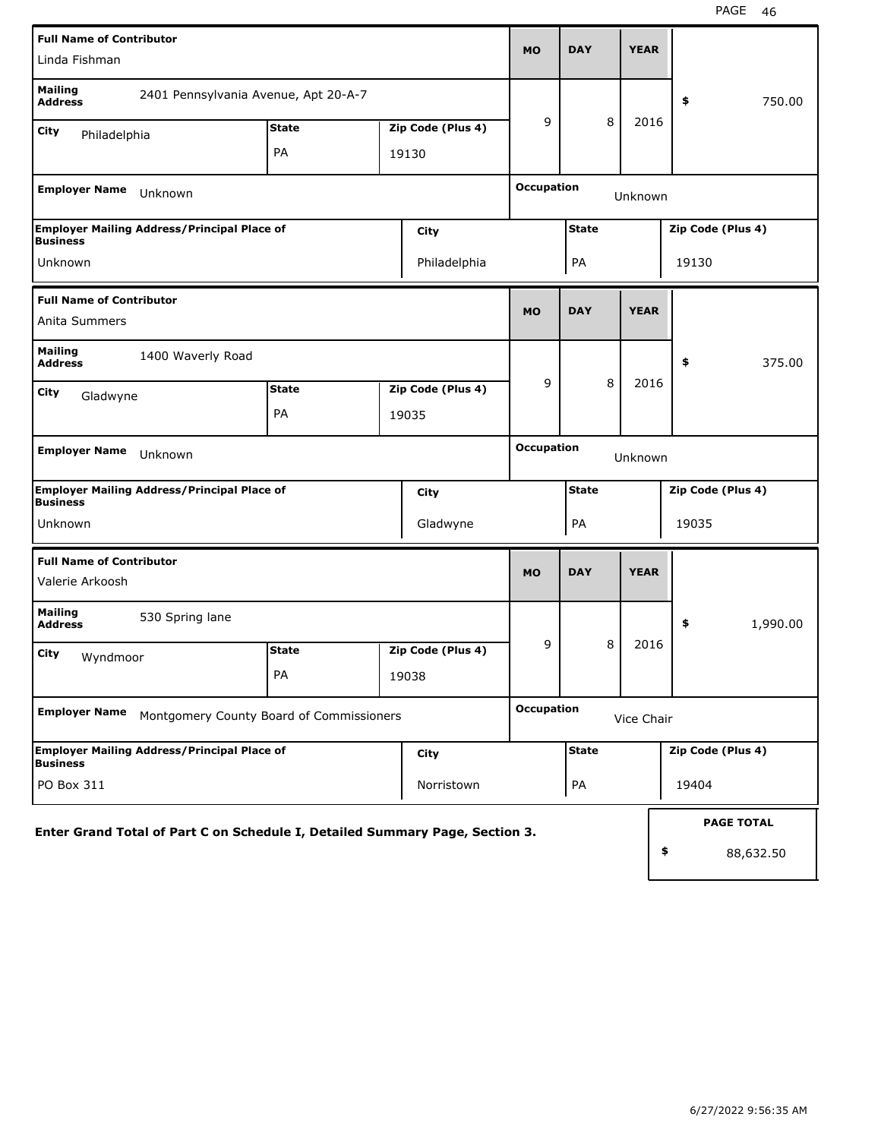| <b>Full Name of Contributor</b>                                              |              |       |                   |                   |              |   |             |       |                   |
|------------------------------------------------------------------------------|--------------|-------|-------------------|-------------------|--------------|---|-------------|-------|-------------------|
| Linda Fishman                                                                |              |       |                   | <b>MO</b>         | <b>DAY</b>   |   | <b>YEAR</b> |       |                   |
| <b>Mailing</b><br>2401 Pennsylvania Avenue, Apt 20-A-7<br><b>Address</b>     |              |       |                   |                   |              |   |             | \$    | 750.00            |
| City<br>Philadelphia                                                         | <b>State</b> |       | Zip Code (Plus 4) | 9                 |              | 8 | 2016        |       |                   |
|                                                                              | PA           | 19130 |                   |                   |              |   |             |       |                   |
| <b>Employer Name</b><br>Unknown                                              |              |       |                   | <b>Occupation</b> |              |   | Unknown     |       |                   |
| <b>Employer Mailing Address/Principal Place of</b><br><b>Business</b>        |              |       | City              |                   | <b>State</b> |   |             |       | Zip Code (Plus 4) |
| Unknown                                                                      |              |       | Philadelphia      |                   | PA           |   |             | 19130 |                   |
| <b>Full Name of Contributor</b>                                              |              |       |                   | <b>MO</b>         | <b>DAY</b>   |   | <b>YEAR</b> |       |                   |
| Anita Summers                                                                |              |       |                   |                   |              |   |             |       |                   |
| <b>Mailing</b><br>1400 Waverly Road<br><b>Address</b>                        |              |       |                   |                   |              |   |             | \$    | 375.00            |
| <b>City</b><br>Gladwyne                                                      | <b>State</b> |       | Zip Code (Plus 4) | 9                 |              | 8 | 2016        |       |                   |
|                                                                              | PA           | 19035 |                   |                   |              |   |             |       |                   |
| <b>Employer Name</b><br>Unknown                                              |              |       |                   | <b>Occupation</b> |              |   | Unknown     |       |                   |
| <b>Employer Mailing Address/Principal Place of</b><br><b>Business</b>        |              |       | City              |                   | <b>State</b> |   |             |       | Zip Code (Plus 4) |
| Unknown                                                                      |              |       | Gladwyne          |                   | PA           |   |             | 19035 |                   |
| <b>Full Name of Contributor</b>                                              |              |       |                   |                   | <b>DAY</b>   |   | <b>YEAR</b> |       |                   |
| Valerie Arkoosh                                                              |              |       |                   | <b>MO</b>         |              |   |             |       |                   |
| <b>Mailing</b><br>530 Spring lane<br><b>Address</b>                          |              |       |                   |                   |              |   |             | \$    | 1,990.00          |
| City<br>Wyndmoor                                                             | <b>State</b> |       | Zip Code (Plus 4) | 9                 |              | 8 | 2016        |       |                   |
|                                                                              | PA           |       | 19038             |                   |              |   |             |       |                   |
| <b>Employer Name</b><br>Montgomery County Board of Commissioners             |              |       |                   | <b>Occupation</b> |              |   | Vice Chair  |       |                   |
| <b>Employer Mailing Address/Principal Place of</b><br><b>Business</b>        |              |       | City              |                   | <b>State</b> |   |             |       | Zip Code (Plus 4) |
| PO Box 311                                                                   |              |       | Norristown        |                   | PA           |   |             | 19404 |                   |
| Enter Grand Total of Part C on Schedule I, Detailed Summary Page, Section 3. |              |       |                   |                   |              |   |             |       | <b>PAGE TOTAL</b> |
|                                                                              |              |       |                   |                   |              |   |             | \$    | 88,632.50         |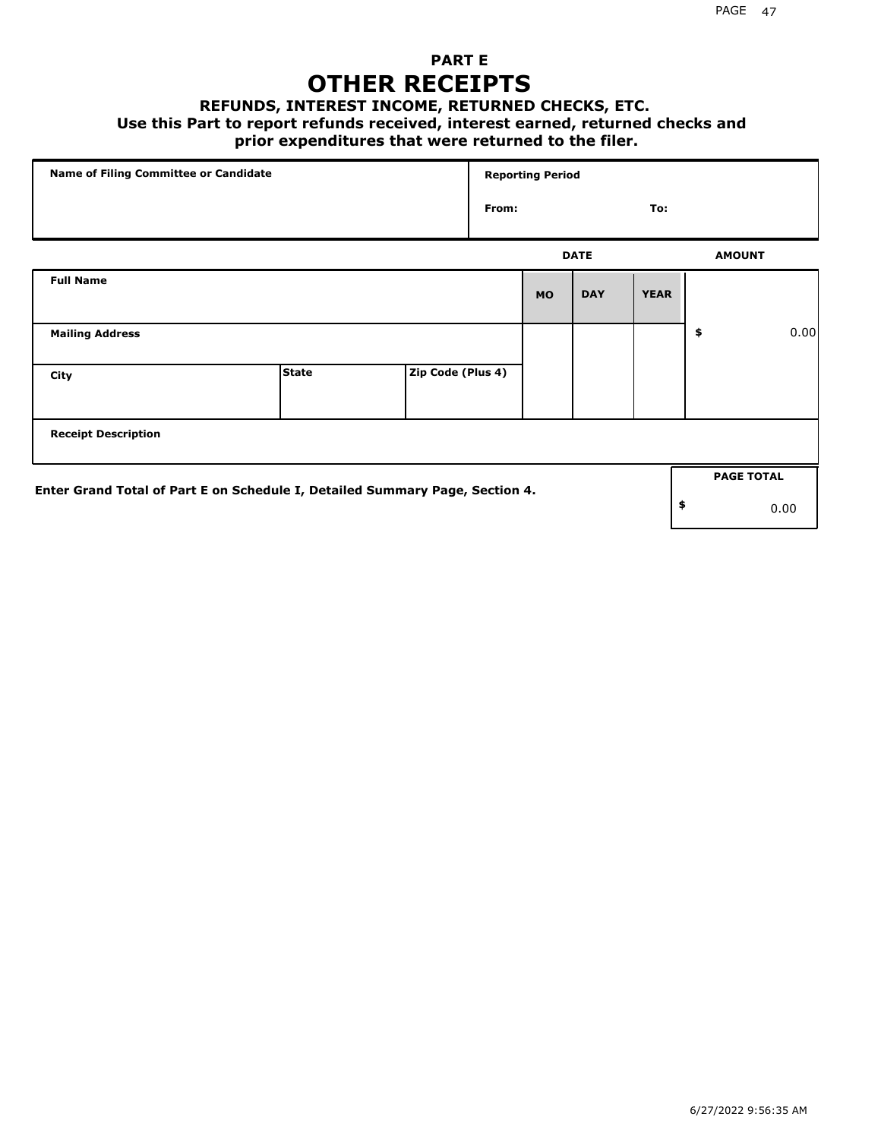## **PART E OTHER RECEIPTS**

#### **REFUNDS, INTEREST INCOME, RETURNED CHECKS, ETC.**

#### **Use this Part to report refunds received, interest earned, returned checks and**

### **prior expenditures that were returned to the filer.**

| Name of Filing Committee or Candidate                                        |              | <b>Reporting Period</b> |       |           |             |             |                   |      |
|------------------------------------------------------------------------------|--------------|-------------------------|-------|-----------|-------------|-------------|-------------------|------|
|                                                                              |              |                         | From: |           |             | To:         |                   |      |
|                                                                              |              |                         |       |           | <b>DATE</b> |             | <b>AMOUNT</b>     |      |
| <b>Full Name</b>                                                             |              |                         |       | <b>MO</b> | <b>DAY</b>  | <b>YEAR</b> |                   |      |
| <b>Mailing Address</b>                                                       |              |                         |       |           |             |             | \$                | 0.00 |
| City                                                                         | <b>State</b> | Zip Code (Plus 4)       |       |           |             |             |                   |      |
| <b>Receipt Description</b>                                                   |              |                         |       |           |             |             |                   |      |
|                                                                              |              |                         |       |           |             |             | <b>PAGE TOTAL</b> |      |
| Enter Grand Total of Part E on Schedule I, Detailed Summary Page, Section 4. |              |                         |       |           |             |             | \$                | 0.00 |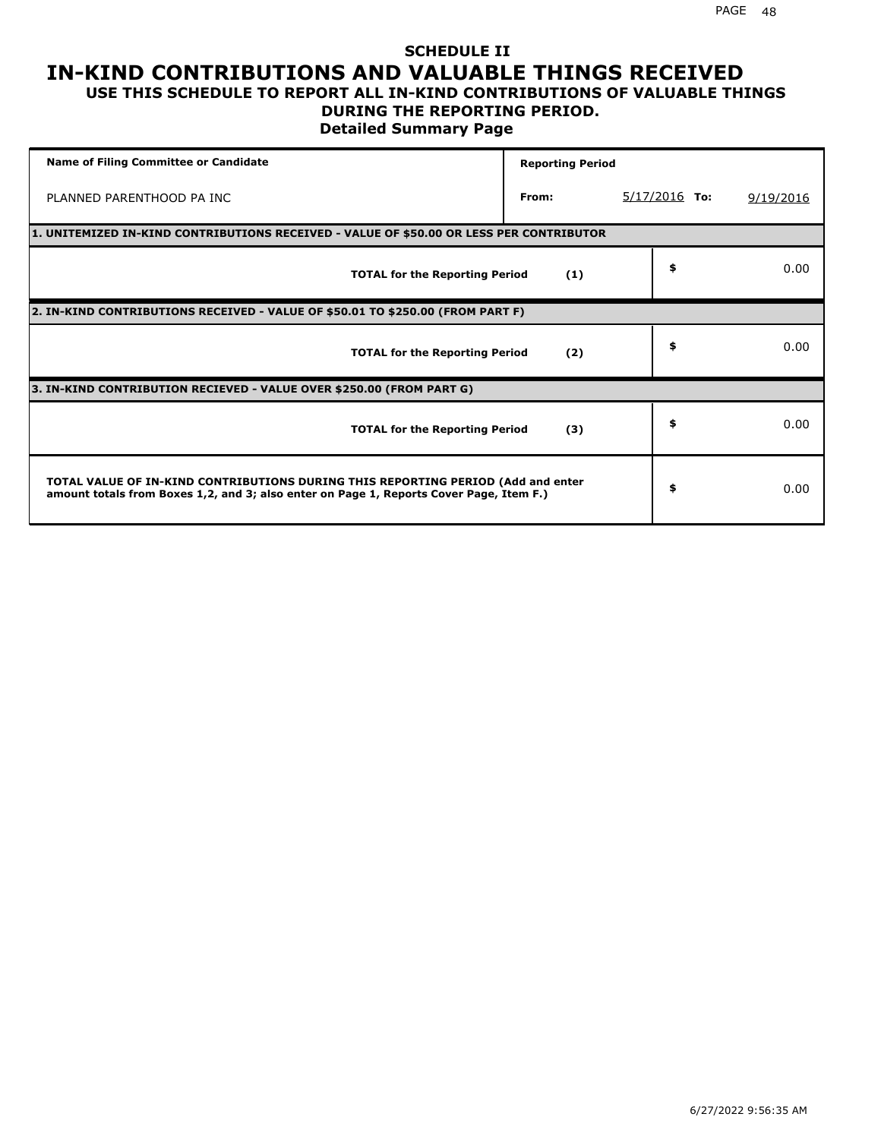### **SCHEDULE II IN-KIND CONTRIBUTIONS AND VALUABLE THINGS RECEIVED USE THIS SCHEDULE TO REPORT ALL IN-KIND CONTRIBUTIONS OF VALUABLE THINGS**

### **DURING THE REPORTING PERIOD.**

**Detailed Summary Page**

| <b>Name of Filing Committee or Candidate</b>                                                                                                                                | <b>Reporting Period</b> |                 |           |
|-----------------------------------------------------------------------------------------------------------------------------------------------------------------------------|-------------------------|-----------------|-----------|
| PLANNED PARENTHOOD PA INC                                                                                                                                                   | From:                   | $5/17/2016$ To: | 9/19/2016 |
| 1. UNITEMIZED IN-KIND CONTRIBUTIONS RECEIVED - VALUE OF \$50.00 OR LESS PER CONTRIBUTOR                                                                                     |                         |                 |           |
| <b>TOTAL for the Reporting Period</b>                                                                                                                                       | (1)                     | \$              | 0.00      |
| 2. IN-KIND CONTRIBUTIONS RECEIVED - VALUE OF \$50.01 TO \$250.00 (FROM PART F)                                                                                              |                         |                 |           |
| <b>TOTAL for the Reporting Period</b>                                                                                                                                       | (2)                     | \$              | 0.00      |
| 3. IN-KIND CONTRIBUTION RECIEVED - VALUE OVER \$250.00 (FROM PART G)                                                                                                        |                         |                 |           |
| <b>TOTAL for the Reporting Period</b>                                                                                                                                       | (3)                     | \$              | 0.00      |
| TOTAL VALUE OF IN-KIND CONTRIBUTIONS DURING THIS REPORTING PERIOD (Add and enter<br>amount totals from Boxes 1,2, and 3; also enter on Page 1, Reports Cover Page, Item F.) |                         | \$              | 0.00      |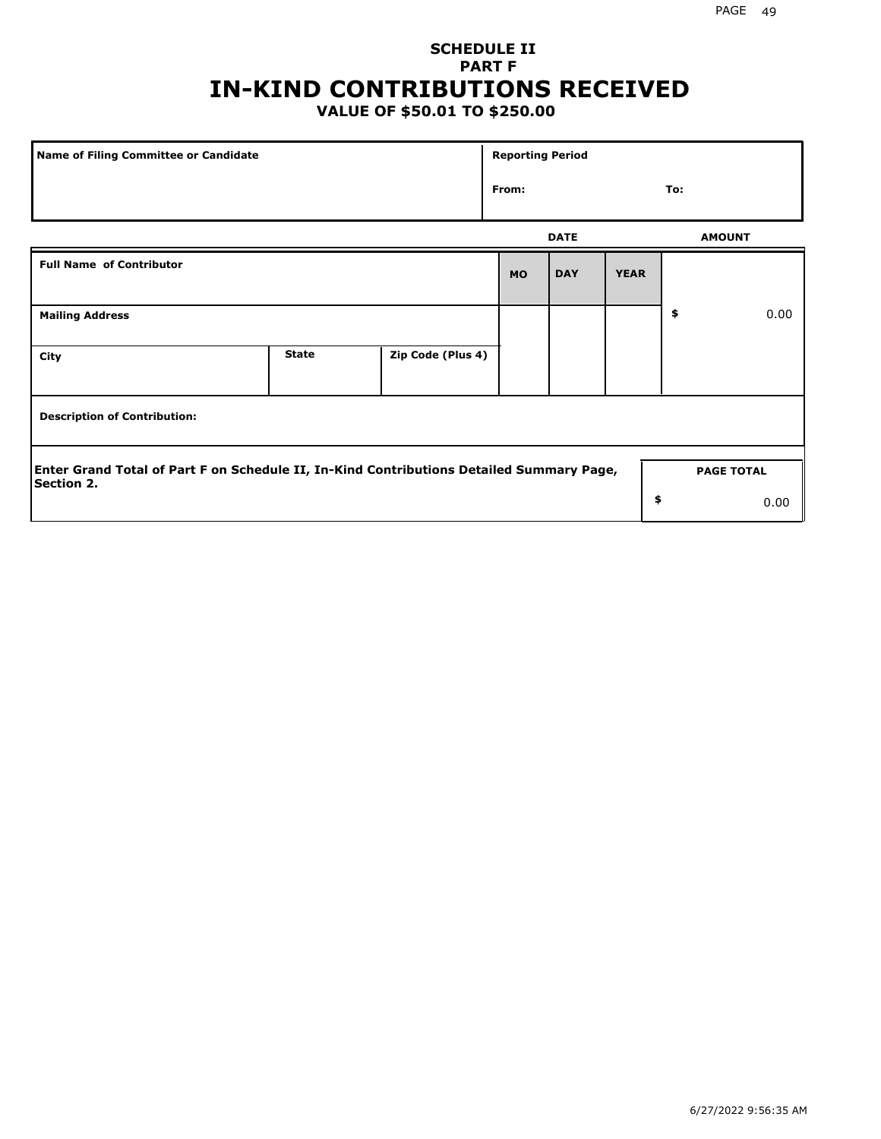## **SCHEDULE II PART F IN-KIND CONTRIBUTIONS RECEIVED**

## **VALUE OF \$50.01 TO \$250.00**

| Name of Filing Committee or Candidate                                                                         |              |                   | <b>Reporting Period</b> |             |             |               |                   |
|---------------------------------------------------------------------------------------------------------------|--------------|-------------------|-------------------------|-------------|-------------|---------------|-------------------|
|                                                                                                               |              |                   | From:                   |             |             | To:           |                   |
|                                                                                                               |              |                   |                         | <b>DATE</b> |             | <b>AMOUNT</b> |                   |
| <b>Full Name of Contributor</b>                                                                               |              |                   | <b>MO</b>               | <b>DAY</b>  | <b>YEAR</b> |               |                   |
| <b>Mailing Address</b>                                                                                        |              |                   |                         |             |             | \$            | 0.00              |
| City                                                                                                          | <b>State</b> | Zip Code (Plus 4) |                         |             |             |               |                   |
| <b>Description of Contribution:</b>                                                                           |              |                   |                         |             |             |               |                   |
| Enter Grand Total of Part F on Schedule II, In-Kind Contributions Detailed Summary Page,<br><b>Section 2.</b> |              |                   |                         |             |             |               | <b>PAGE TOTAL</b> |
|                                                                                                               |              |                   |                         |             | \$          |               | 0.00              |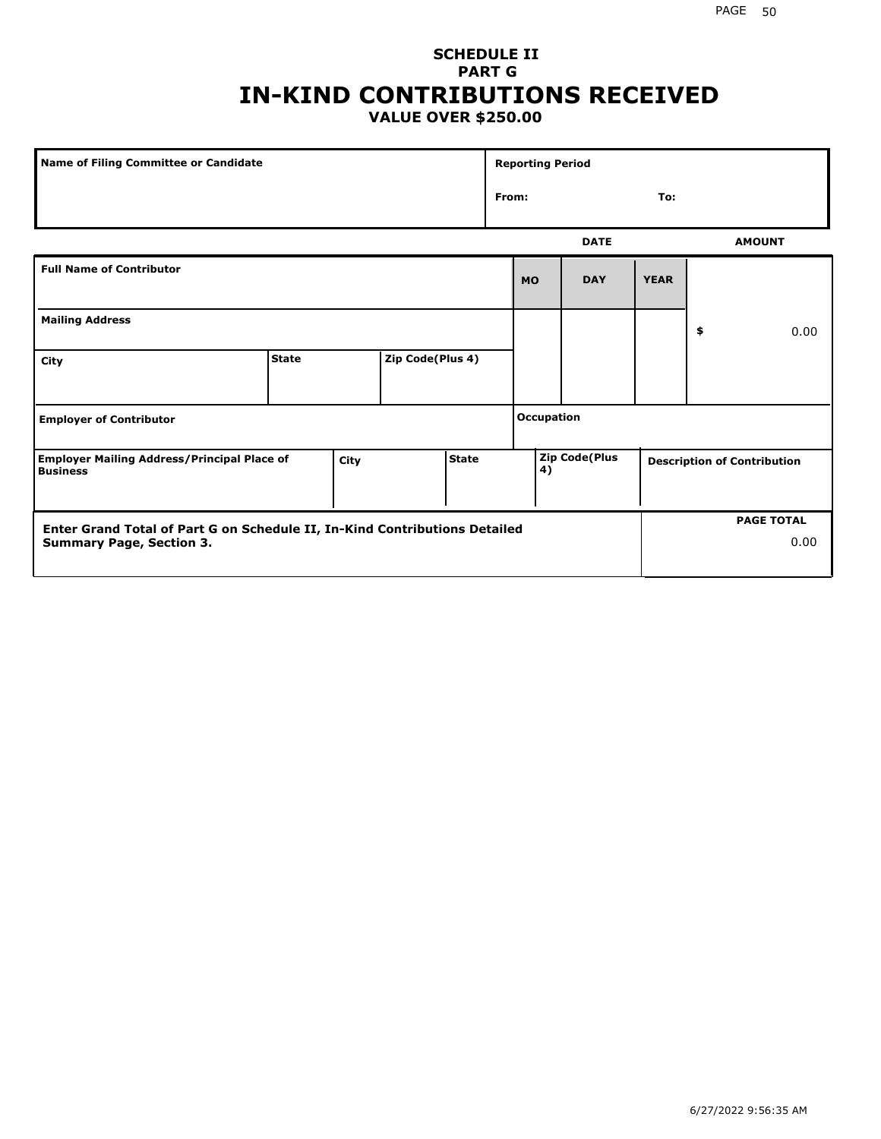### **SCHEDULE II PART G IN-KIND CONTRIBUTIONS RECEIVED VALUE OVER \$250.00**

| Name of Filing Committee or Candidate                                 |              |      |                  | <b>Reporting Period</b> |       |                   |               |             |    |                                    |
|-----------------------------------------------------------------------|--------------|------|------------------|-------------------------|-------|-------------------|---------------|-------------|----|------------------------------------|
|                                                                       |              |      |                  |                         | From: |                   |               | To:         |    |                                    |
|                                                                       |              |      |                  |                         |       |                   | <b>DATE</b>   |             |    | <b>AMOUNT</b>                      |
| <b>Full Name of Contributor</b>                                       |              |      |                  |                         |       | <b>MO</b>         | <b>DAY</b>    | <b>YEAR</b> |    |                                    |
| <b>Mailing Address</b>                                                |              |      |                  |                         |       |                   |               |             | \$ | 0.00                               |
| City                                                                  | <b>State</b> |      | Zip Code(Plus 4) |                         |       |                   |               |             |    |                                    |
| <b>Employer of Contributor</b>                                        |              |      |                  |                         |       | <b>Occupation</b> |               |             |    |                                    |
| <b>Employer Mailing Address/Principal Place of</b><br><b>Business</b> |              | City |                  | <b>State</b>            |       | 4)                | Zip Code(Plus |             |    | <b>Description of Contribution</b> |

| Enter Grand Total of Part G on Schedule II, In-Kind Contributions Detailed |  | <b>PAGE TOTAL</b> |
|----------------------------------------------------------------------------|--|-------------------|
| <b>Summary Page, Section 3.</b>                                            |  | 0.00              |
|                                                                            |  |                   |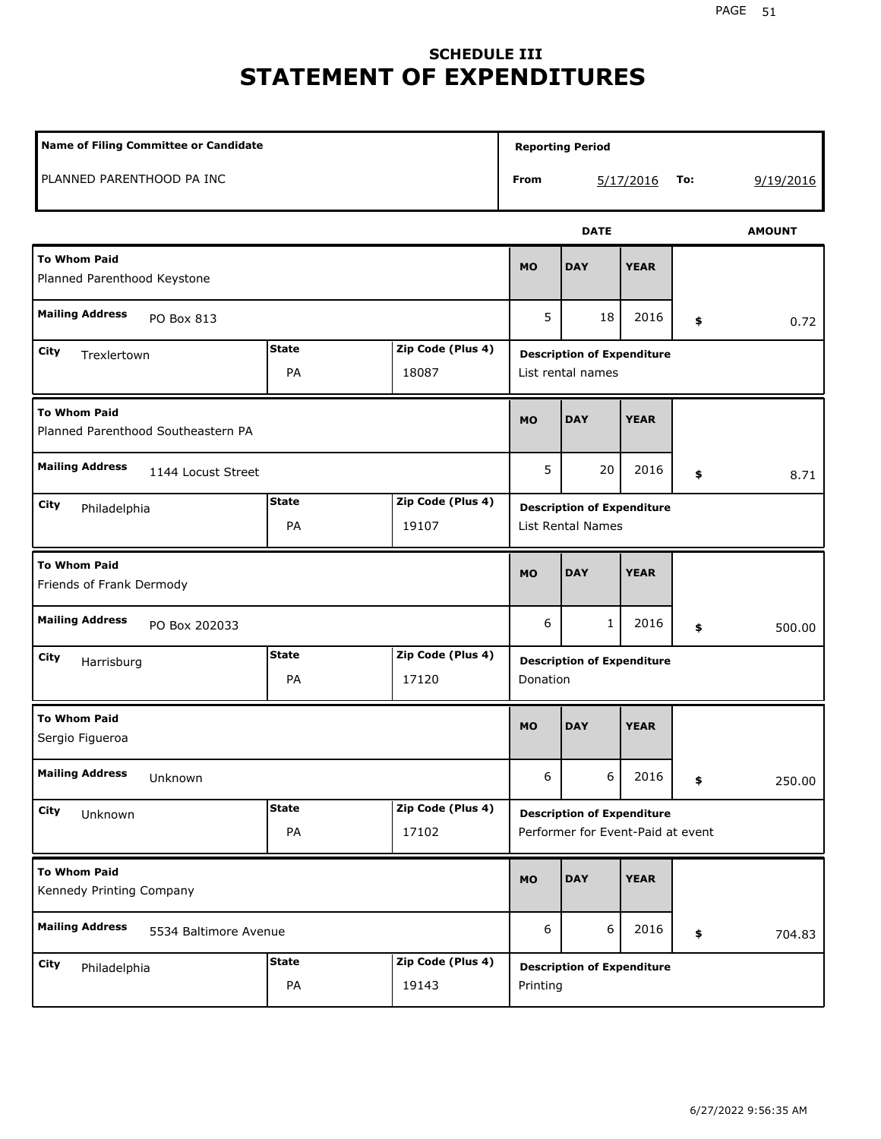## **SCHEDULE III STATEMENT OF EXPENDITURES**

| <b>Name of Filing Committee or Candidate</b>                             |                    |                            |           | <b>Reporting Period</b>                                                |             |     |           |  |
|--------------------------------------------------------------------------|--------------------|----------------------------|-----------|------------------------------------------------------------------------|-------------|-----|-----------|--|
| PLANNED PARENTHOOD PA INC                                                |                    |                            | From      |                                                                        | 5/17/2016   | To: | 9/19/2016 |  |
|                                                                          |                    |                            |           | <b>DATE</b>                                                            |             |     |           |  |
| <b>To Whom Paid</b><br>Planned Parenthood Keystone                       |                    |                            |           | <b>DAY</b>                                                             | <b>YEAR</b> |     |           |  |
| <b>Mailing Address</b><br>PO Box 813                                     |                    |                            | 5         | 18                                                                     | 2016        | \$  | 0.72      |  |
| <b>State</b><br>Zip Code (Plus 4)<br>City<br>Trexlertown<br>PA<br>18087  |                    |                            |           | <b>Description of Expenditure</b><br>List rental names                 |             |     |           |  |
| <b>To Whom Paid</b><br>Planned Parenthood Southeastern PA                |                    |                            | <b>MO</b> | <b>DAY</b>                                                             | <b>YEAR</b> |     |           |  |
| <b>Mailing Address</b><br>1144 Locust Street                             |                    |                            | 5         | 20                                                                     | 2016        | \$  | 8.71      |  |
| <b>State</b><br>Zip Code (Plus 4)<br>City<br>Philadelphia<br>PA<br>19107 |                    |                            |           | <b>Description of Expenditure</b><br>List Rental Names                 |             |     |           |  |
| <b>To Whom Paid</b><br>Friends of Frank Dermody                          |                    |                            | <b>MO</b> | <b>DAY</b>                                                             | <b>YEAR</b> |     |           |  |
| <b>Mailing Address</b><br>PO Box 202033                                  |                    |                            | 6         | 1                                                                      | 2016        | \$  | 500.00    |  |
| City<br>Harrisburg                                                       | <b>State</b><br>PA | Zip Code (Plus 4)<br>17120 | Donation  | <b>Description of Expenditure</b>                                      |             |     |           |  |
| <b>To Whom Paid</b><br>Sergio Figueroa                                   |                    |                            | <b>MO</b> | <b>DAY</b>                                                             | <b>YEAR</b> |     |           |  |
| <b>Mailing Address</b><br>Unknown                                        |                    |                            | 6         | 6                                                                      | 2016        | \$  | 250.00    |  |
| City<br>Unknown                                                          | <b>State</b><br>PA | Zip Code (Plus 4)<br>17102 |           | <b>Description of Expenditure</b><br>Performer for Event-Paid at event |             |     |           |  |
| <b>To Whom Paid</b><br>Kennedy Printing Company                          |                    |                            | <b>MO</b> | <b>DAY</b>                                                             | <b>YEAR</b> |     |           |  |
| <b>Mailing Address</b><br>5534 Baltimore Avenue                          |                    |                            | 6         | 6                                                                      | 2016        | \$  | 704.83    |  |
| City<br>Philadelphia                                                     | <b>State</b><br>PA | Zip Code (Plus 4)<br>19143 | Printing  | <b>Description of Expenditure</b>                                      |             |     |           |  |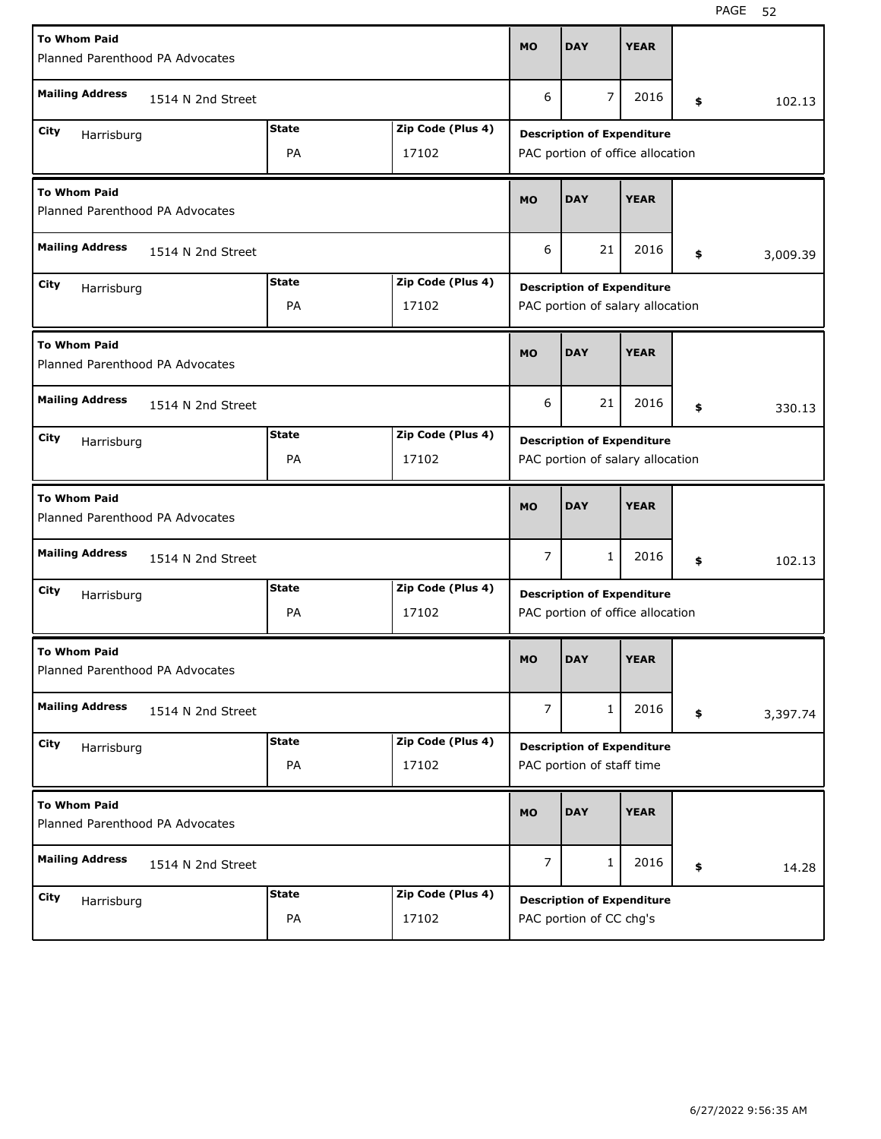| <b>To Whom Paid</b><br>Planned Parenthood PA Advocates |                   |              |                   |                | <b>DAY</b>                                                            | <b>YEAR</b> |                |
|--------------------------------------------------------|-------------------|--------------|-------------------|----------------|-----------------------------------------------------------------------|-------------|----------------|
| <b>Mailing Address</b>                                 | 1514 N 2nd Street |              |                   |                |                                                                       |             | \$<br>102.13   |
| City                                                   |                   | <b>State</b> | Zip Code (Plus 4) |                |                                                                       |             |                |
| Harrisburg<br>PA<br>17102                              |                   |              |                   |                | <b>Description of Expenditure</b><br>PAC portion of office allocation |             |                |
| <b>To Whom Paid</b><br>Planned Parenthood PA Advocates |                   |              |                   | <b>MO</b>      | <b>DAY</b>                                                            | <b>YEAR</b> |                |
| <b>Mailing Address</b><br>1514 N 2nd Street            |                   |              |                   | 6              | 21                                                                    | 2016        | \$<br>3,009.39 |
| City<br>Harrisburg                                     |                   | <b>State</b> | Zip Code (Plus 4) |                | <b>Description of Expenditure</b>                                     |             |                |
|                                                        |                   | PA           | 17102             |                | PAC portion of salary allocation                                      |             |                |
| <b>To Whom Paid</b><br>Planned Parenthood PA Advocates |                   |              |                   | <b>MO</b>      | <b>DAY</b>                                                            | <b>YEAR</b> |                |
| <b>Mailing Address</b>                                 | 1514 N 2nd Street |              |                   | 6              | 21                                                                    | 2016        | \$<br>330.13   |
| City<br>Harrisburg                                     |                   | <b>State</b> | Zip Code (Plus 4) |                | <b>Description of Expenditure</b>                                     |             |                |
|                                                        |                   | PA           | 17102             |                | PAC portion of salary allocation                                      |             |                |
|                                                        |                   |              |                   |                |                                                                       |             |                |
| <b>To Whom Paid</b><br>Planned Parenthood PA Advocates |                   |              |                   | <b>MO</b>      | <b>DAY</b>                                                            | <b>YEAR</b> |                |
| <b>Mailing Address</b>                                 | 1514 N 2nd Street |              |                   | $\overline{7}$ | $\mathbf{1}$                                                          | 2016        | \$<br>102.13   |
| City                                                   |                   | <b>State</b> | Zip Code (Plus 4) |                |                                                                       |             |                |
| Harrisburg                                             |                   | PA           | 17102             |                | <b>Description of Expenditure</b><br>PAC portion of office allocation |             |                |
| <b>To Whom Paid</b><br>Planned Parenthood PA Advocates |                   |              |                   | <b>MO</b>      | <b>DAY</b>                                                            | <b>YEAR</b> |                |
| <b>Mailing Address</b>                                 | 1514 N 2nd Street |              |                   | $\overline{7}$ | 1                                                                     | 2016        | \$<br>3,397.74 |
| City                                                   |                   | <b>State</b> | Zip Code (Plus 4) |                |                                                                       |             |                |
| Harrisburg                                             |                   | PA           | 17102             |                | <b>Description of Expenditure</b><br>PAC portion of staff time        |             |                |
| <b>To Whom Paid</b><br>Planned Parenthood PA Advocates |                   |              |                   | <b>MO</b>      | <b>DAY</b>                                                            | <b>YEAR</b> |                |
| <b>Mailing Address</b>                                 | 1514 N 2nd Street |              |                   | $\overline{7}$ | 1                                                                     | 2016        | \$<br>14.28    |
| City<br>Harrisburg                                     |                   | <b>State</b> | Zip Code (Plus 4) |                | <b>Description of Expenditure</b>                                     |             |                |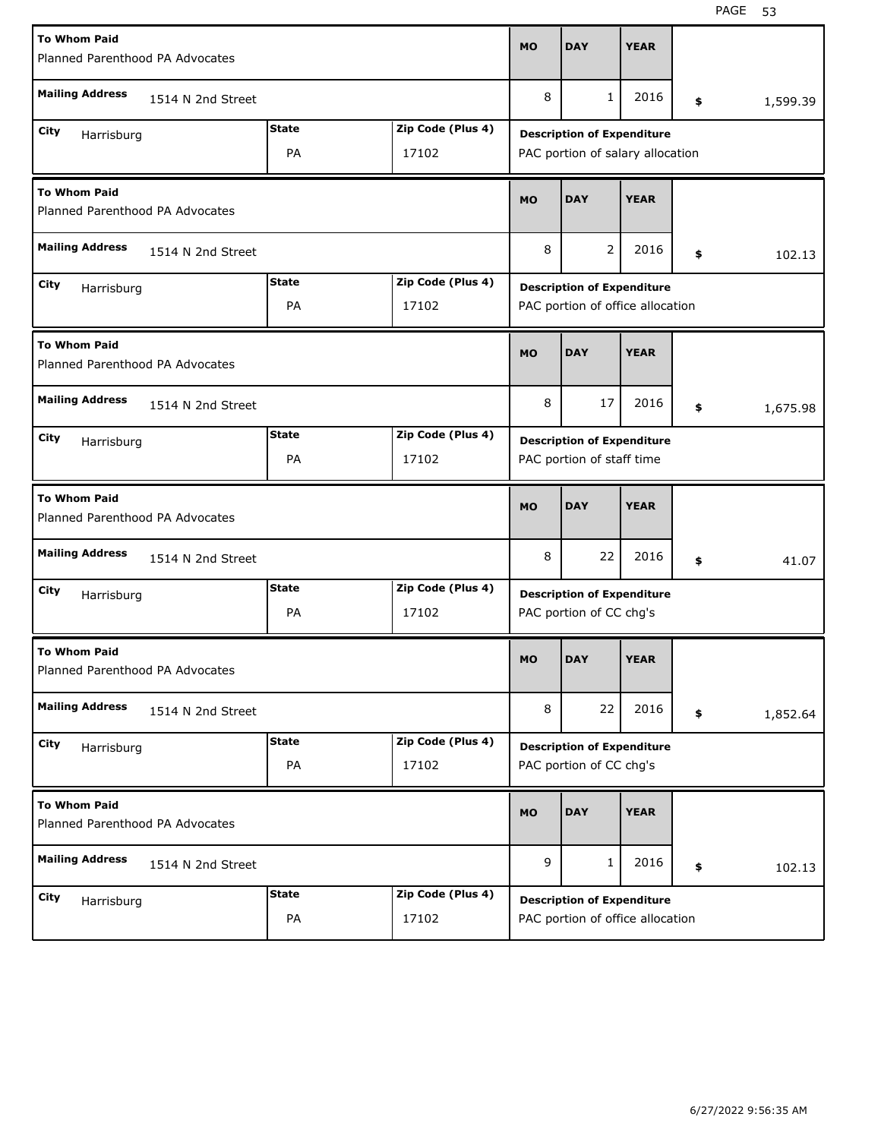| <b>To Whom Paid</b>                                    |                   |              |                   |           |                                                              |             |                |
|--------------------------------------------------------|-------------------|--------------|-------------------|-----------|--------------------------------------------------------------|-------------|----------------|
| Planned Parenthood PA Advocates                        |                   |              |                   |           | <b>DAY</b>                                                   | <b>YEAR</b> |                |
| <b>Mailing Address</b>                                 | 1514 N 2nd Street |              |                   | 8         | 1                                                            | 2016        | \$<br>1,599.39 |
| City<br>Harrisburg                                     |                   | <b>State</b> | Zip Code (Plus 4) |           | <b>Description of Expenditure</b>                            |             |                |
| PA<br>17102                                            |                   |              |                   |           | PAC portion of salary allocation                             |             |                |
| <b>To Whom Paid</b><br>Planned Parenthood PA Advocates |                   |              |                   |           | <b>DAY</b>                                                   | <b>YEAR</b> |                |
| <b>Mailing Address</b><br>1514 N 2nd Street            |                   |              |                   | 8         | 2                                                            | 2016        | \$<br>102.13   |
| City<br>Harrisburg                                     |                   | <b>State</b> | Zip Code (Plus 4) |           | <b>Description of Expenditure</b>                            |             |                |
|                                                        |                   | PA           | 17102             |           | PAC portion of office allocation                             |             |                |
| <b>To Whom Paid</b><br>Planned Parenthood PA Advocates |                   |              |                   | <b>MO</b> | <b>DAY</b>                                                   | <b>YEAR</b> |                |
| <b>Mailing Address</b>                                 | 1514 N 2nd Street |              |                   |           |                                                              | 2016        | \$<br>1,675.98 |
| City<br>Harrisburg                                     |                   | <b>State</b> | Zip Code (Plus 4) |           | <b>Description of Expenditure</b>                            |             |                |
|                                                        |                   | PA           | 17102             |           | PAC portion of staff time                                    |             |                |
|                                                        |                   |              |                   |           |                                                              |             |                |
| <b>To Whom Paid</b><br>Planned Parenthood PA Advocates |                   |              |                   | <b>MO</b> | <b>DAY</b>                                                   | <b>YEAR</b> |                |
| <b>Mailing Address</b>                                 | 1514 N 2nd Street |              |                   | 8         | 22                                                           | 2016        | \$<br>41.07    |
| City                                                   |                   | <b>State</b> | Zip Code (Plus 4) |           |                                                              |             |                |
| Harrisburg                                             |                   | PA           | 17102             |           | <b>Description of Expenditure</b><br>PAC portion of CC chg's |             |                |
| <b>To Whom Paid</b><br>Planned Parenthood PA Advocates |                   |              |                   | <b>MO</b> | <b>DAY</b>                                                   | <b>YEAR</b> |                |
| <b>Mailing Address</b>                                 | 1514 N 2nd Street |              |                   | 8         | 22                                                           | 2016        | \$<br>1,852.64 |
| City                                                   |                   | <b>State</b> | Zip Code (Plus 4) |           |                                                              |             |                |
| Harrisburg                                             |                   | PA           | 17102             |           | <b>Description of Expenditure</b><br>PAC portion of CC chg's |             |                |
| <b>To Whom Paid</b><br>Planned Parenthood PA Advocates |                   |              |                   | <b>MO</b> | <b>DAY</b>                                                   | <b>YEAR</b> |                |
| <b>Mailing Address</b>                                 | 1514 N 2nd Street |              |                   | 9         | 1                                                            | 2016        | \$<br>102.13   |
| City<br>Harrisburg                                     |                   | <b>State</b> | Zip Code (Plus 4) |           | <b>Description of Expenditure</b>                            |             |                |

۰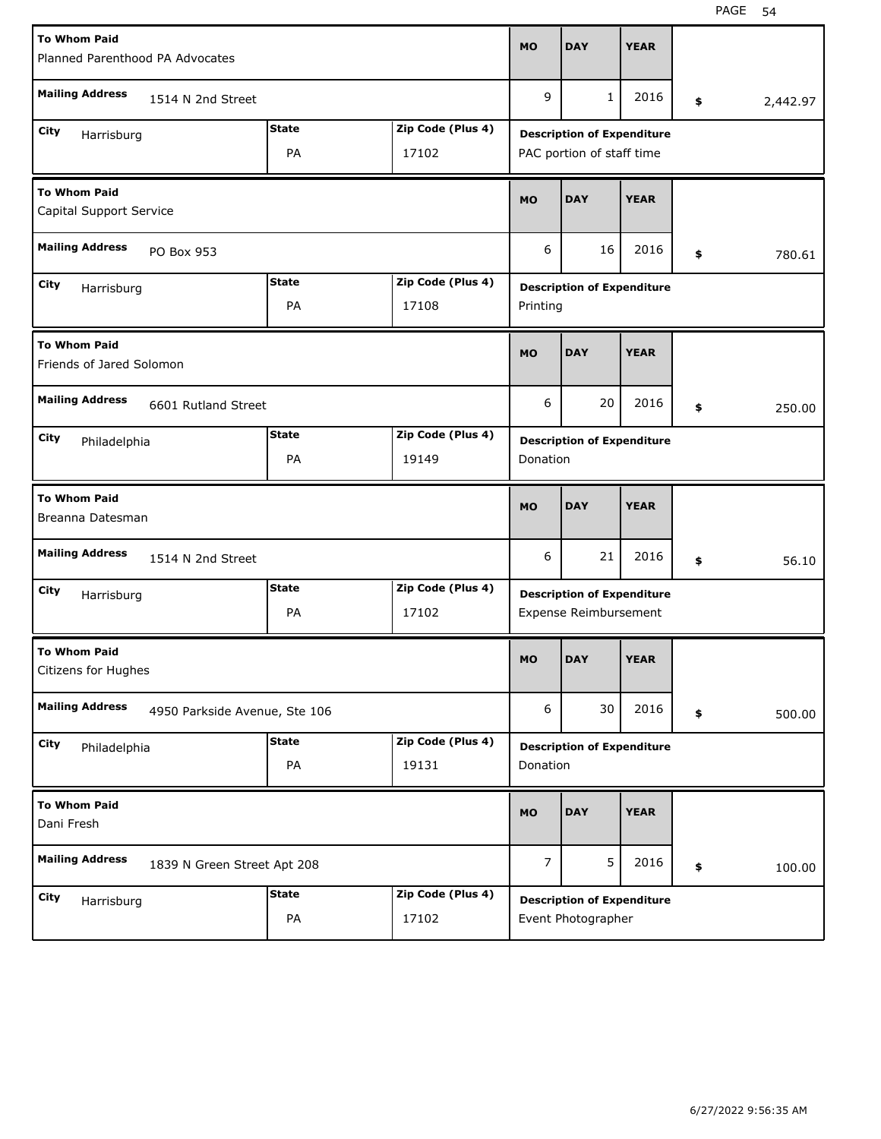| <b>To Whom Paid</b><br>Planned Parenthood PA Advocates                   |                                                  |                    |                            |           | <b>DAY</b>                                                     | <b>YEAR</b> |                |
|--------------------------------------------------------------------------|--------------------------------------------------|--------------------|----------------------------|-----------|----------------------------------------------------------------|-------------|----------------|
| <b>Mailing Address</b>                                                   | 1514 N 2nd Street                                |                    |                            | 9         | $\mathbf{1}$                                                   | 2016        | \$<br>2,442.97 |
| <b>State</b><br>Zip Code (Plus 4)<br>City<br>Harrisburg<br>PA<br>17102   |                                                  |                    |                            |           | <b>Description of Expenditure</b><br>PAC portion of staff time |             |                |
| <b>To Whom Paid</b><br>Capital Support Service                           |                                                  |                    |                            |           | <b>DAY</b>                                                     | <b>YEAR</b> |                |
| <b>Mailing Address</b><br>PO Box 953                                     |                                                  |                    |                            | 6         | 16                                                             | 2016        | \$<br>780.61   |
| <b>State</b><br>Zip Code (Plus 4)<br>City<br>Harrisburg<br>PA<br>17108   |                                                  |                    |                            | Printing  | <b>Description of Expenditure</b>                              |             |                |
| <b>To Whom Paid</b><br>Friends of Jared Solomon                          |                                                  |                    |                            |           | <b>DAY</b>                                                     | <b>YEAR</b> |                |
| <b>Mailing Address</b><br>6601 Rutland Street                            |                                                  |                    |                            |           | 20                                                             | 2016        | \$<br>250.00   |
| <b>State</b><br>Zip Code (Plus 4)<br>City<br>Philadelphia<br>PA<br>19149 |                                                  |                    |                            | Donation  | <b>Description of Expenditure</b>                              |             |                |
| <b>To Whom Paid</b><br>Breanna Datesman                                  |                                                  |                    |                            | <b>MO</b> | <b>DAY</b>                                                     | <b>YEAR</b> |                |
| <b>Mailing Address</b>                                                   | 1514 N 2nd Street                                |                    |                            | 6         | 21                                                             | 2016        | \$<br>56.10    |
| City<br>Harrisburg                                                       | Zip Code (Plus 4)<br><b>State</b><br>PA<br>17102 |                    |                            |           |                                                                |             |                |
|                                                                          |                                                  |                    |                            |           | <b>Description of Expenditure</b><br>Expense Reimbursement     |             |                |
| <b>To Whom Paid</b><br>Citizens for Hughes                               |                                                  |                    |                            | <b>MO</b> | <b>DAY</b>                                                     | <b>YEAR</b> |                |
| <b>Mailing Address</b>                                                   | 4950 Parkside Avenue, Ste 106                    |                    |                            | 6         | 30                                                             | 2016        | \$<br>500.00   |
| City<br>Philadelphia                                                     |                                                  | <b>State</b><br>PA | Zip Code (Plus 4)<br>19131 | Donation  | <b>Description of Expenditure</b>                              |             |                |
| <b>To Whom Paid</b><br>Dani Fresh                                        |                                                  |                    |                            | <b>MO</b> | <b>DAY</b>                                                     | <b>YEAR</b> |                |
| <b>Mailing Address</b>                                                   | 1839 N Green Street Apt 208                      |                    |                            | 7         | 5                                                              | 2016        | \$<br>100.00   |

H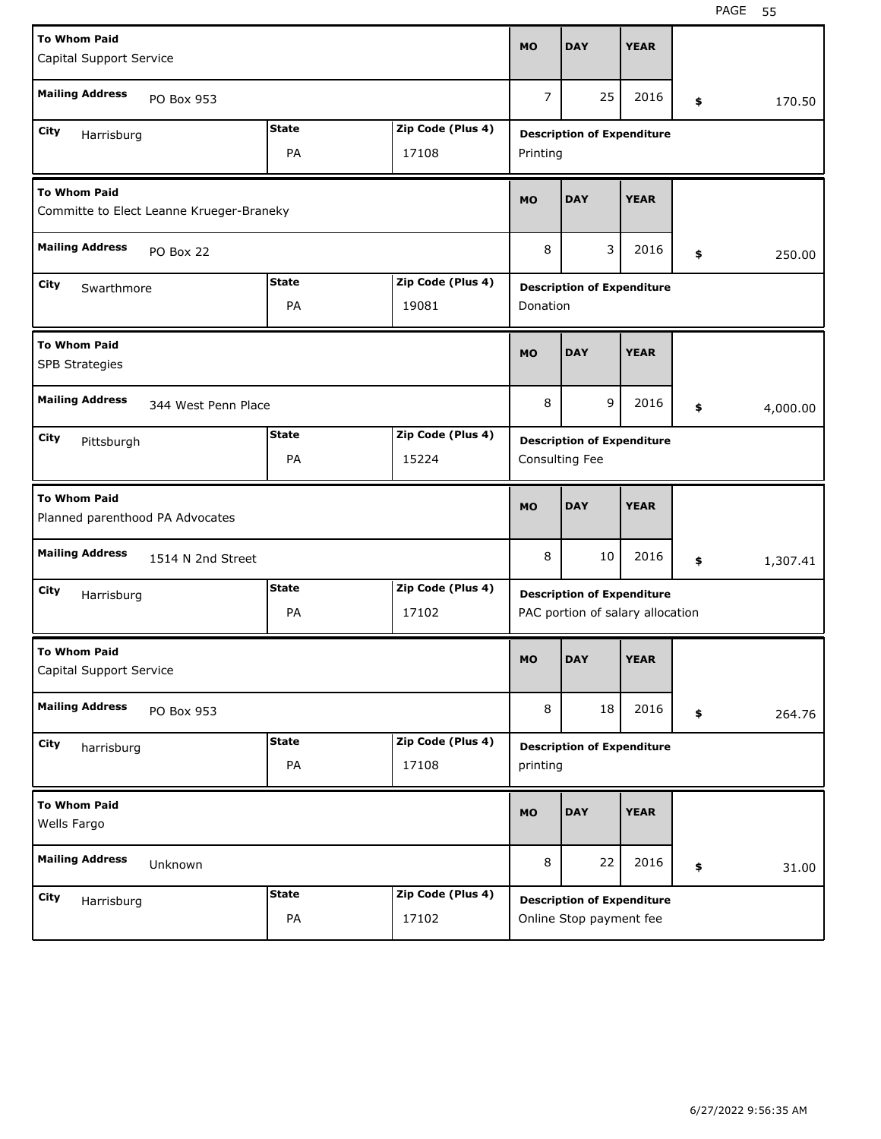| <b>To Whom Paid</b><br>Capital Support Service                  |                     |              |                   |           | <b>DAY</b>                                                            | <b>YEAR</b> |                |
|-----------------------------------------------------------------|---------------------|--------------|-------------------|-----------|-----------------------------------------------------------------------|-------------|----------------|
| <b>Mailing Address</b>                                          | PO Box 953          |              |                   | 7         | 25                                                                    | 2016        | \$<br>170.50   |
| City<br>Harrisburg                                              |                     | <b>State</b> | Zip Code (Plus 4) |           | <b>Description of Expenditure</b>                                     |             |                |
| PA<br>17108                                                     |                     |              |                   |           | Printing                                                              |             |                |
| <b>To Whom Paid</b><br>Committe to Elect Leanne Krueger-Braneky |                     |              |                   |           | <b>DAY</b>                                                            | <b>YEAR</b> |                |
| <b>Mailing Address</b>                                          | PO Box 22           |              |                   | 8         | 3                                                                     | 2016        | \$<br>250.00   |
| <b>State</b><br>Zip Code (Plus 4)<br>City<br>Swarthmore         |                     |              |                   |           | <b>Description of Expenditure</b>                                     |             |                |
|                                                                 |                     | PA           | 19081             | Donation  |                                                                       |             |                |
| <b>To Whom Paid</b><br>SPB Strategies                           |                     |              |                   |           | <b>DAY</b>                                                            | <b>YEAR</b> |                |
| <b>Mailing Address</b>                                          | 344 West Penn Place |              |                   |           |                                                                       | 2016        | \$<br>4,000.00 |
| City<br>Pittsburgh                                              |                     | <b>State</b> | Zip Code (Plus 4) |           | <b>Description of Expenditure</b>                                     |             |                |
|                                                                 |                     | PA           | 15224             |           | Consulting Fee                                                        |             |                |
|                                                                 |                     |              |                   |           |                                                                       |             |                |
| <b>To Whom Paid</b><br>Planned parenthood PA Advocates          |                     |              |                   | <b>MO</b> | <b>DAY</b>                                                            | <b>YEAR</b> |                |
| <b>Mailing Address</b>                                          | 1514 N 2nd Street   |              |                   | 8         | 10                                                                    | 2016        | \$<br>1,307.41 |
| City                                                            |                     | <b>State</b> | Zip Code (Plus 4) |           |                                                                       |             |                |
| Harrisburg                                                      |                     | PA           | 17102             |           | <b>Description of Expenditure</b><br>PAC portion of salary allocation |             |                |
| <b>To Whom Paid</b><br>Capital Support Service                  |                     |              |                   | <b>MO</b> | <b>DAY</b>                                                            | <b>YEAR</b> |                |
| <b>Mailing Address</b>                                          | PO Box 953          |              |                   | 8         | 18                                                                    | 2016        | \$<br>264.76   |
| City                                                            |                     | <b>State</b> | Zip Code (Plus 4) |           |                                                                       |             |                |
| harrisburg                                                      |                     | PA           | 17108             | printing  | <b>Description of Expenditure</b>                                     |             |                |
| <b>To Whom Paid</b><br>Wells Fargo                              |                     |              |                   | <b>MO</b> | <b>DAY</b>                                                            | <b>YEAR</b> |                |
| <b>Mailing Address</b>                                          | Unknown             |              |                   | 8         | 22                                                                    | 2016        | \$<br>31.00    |
| City<br>Harrisburg                                              |                     | <b>State</b> | Zip Code (Plus 4) |           | <b>Description of Expenditure</b>                                     |             |                |